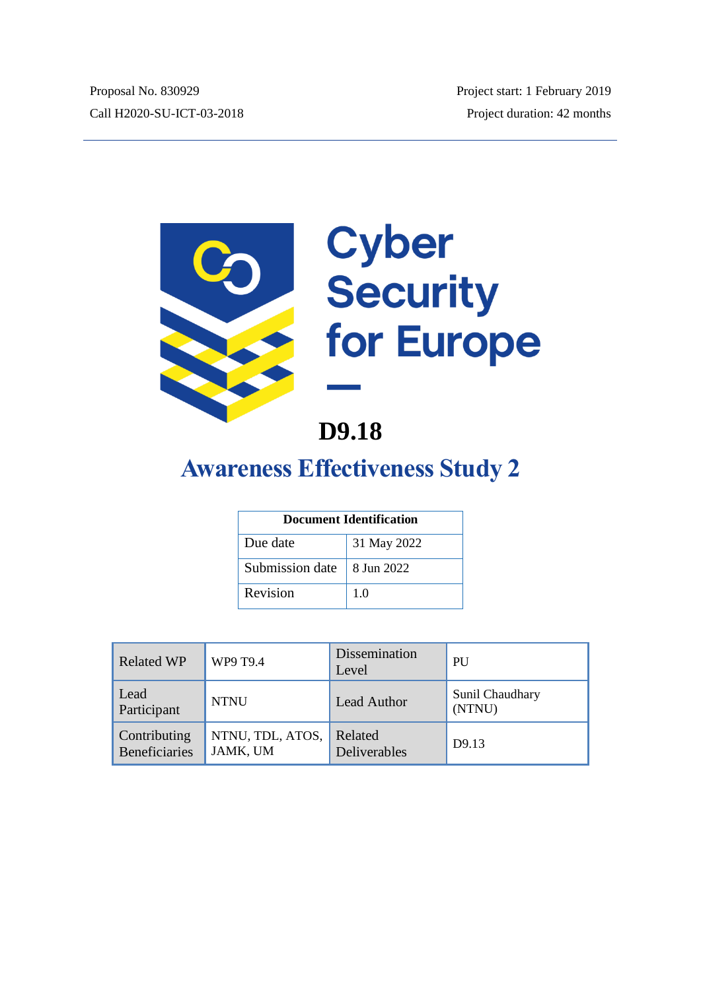

# **D9.18**

# **Awareness Effectiveness Study 2**

| <b>Document Identification</b> |             |  |
|--------------------------------|-------------|--|
| Due date                       | 31 May 2022 |  |
| Submission date                | 8 Jun 2022  |  |
| Revision                       | 1.0         |  |

| <b>Related WP</b>             | WP9 T9.4                     | Dissemination<br>Level  | PU                        |
|-------------------------------|------------------------------|-------------------------|---------------------------|
| Lead<br>Participant           | <b>NTNU</b>                  | <b>Lead Author</b>      | Sunil Chaudhary<br>(NTNU) |
| Contributing<br>Beneficiaries | NTNU, TDL, ATOS,<br>JAMK, UM | Related<br>Deliverables | D9.13                     |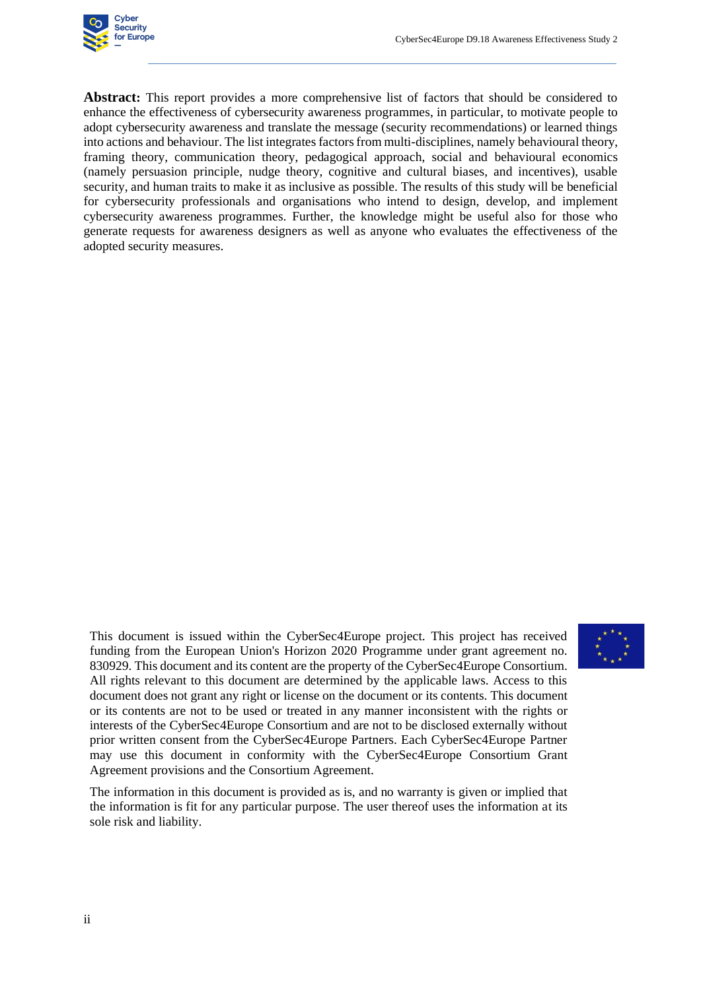

**Abstract:** This report provides a more comprehensive list of factors that should be considered to enhance the effectiveness of cybersecurity awareness programmes, in particular, to motivate people to adopt cybersecurity awareness and translate the message (security recommendations) or learned things into actions and behaviour. The list integrates factors from multi-disciplines, namely behavioural theory, framing theory, communication theory, pedagogical approach, social and behavioural economics (namely persuasion principle, nudge theory, cognitive and cultural biases, and incentives), usable security, and human traits to make it as inclusive as possible. The results of this study will be beneficial for cybersecurity professionals and organisations who intend to design, develop, and implement cybersecurity awareness programmes. Further, the knowledge might be useful also for those who generate requests for awareness designers as well as anyone who evaluates the effectiveness of the adopted security measures.

This document is issued within the CyberSec4Europe project. This project has received funding from the European Union's Horizon 2020 Programme under grant agreement no. 830929. This document and its content are the property of the CyberSec4Europe Consortium. All rights relevant to this document are determined by the applicable laws. Access to this document does not grant any right or license on the document or its contents. This document or its contents are not to be used or treated in any manner inconsistent with the rights or interests of the CyberSec4Europe Consortium and are not to be disclosed externally without prior written consent from the CyberSec4Europe Partners. Each CyberSec4Europe Partner may use this document in conformity with the CyberSec4Europe Consortium Grant Agreement provisions and the Consortium Agreement.



The information in this document is provided as is, and no warranty is given or implied that the information is fit for any particular purpose. The user thereof uses the information at its sole risk and liability.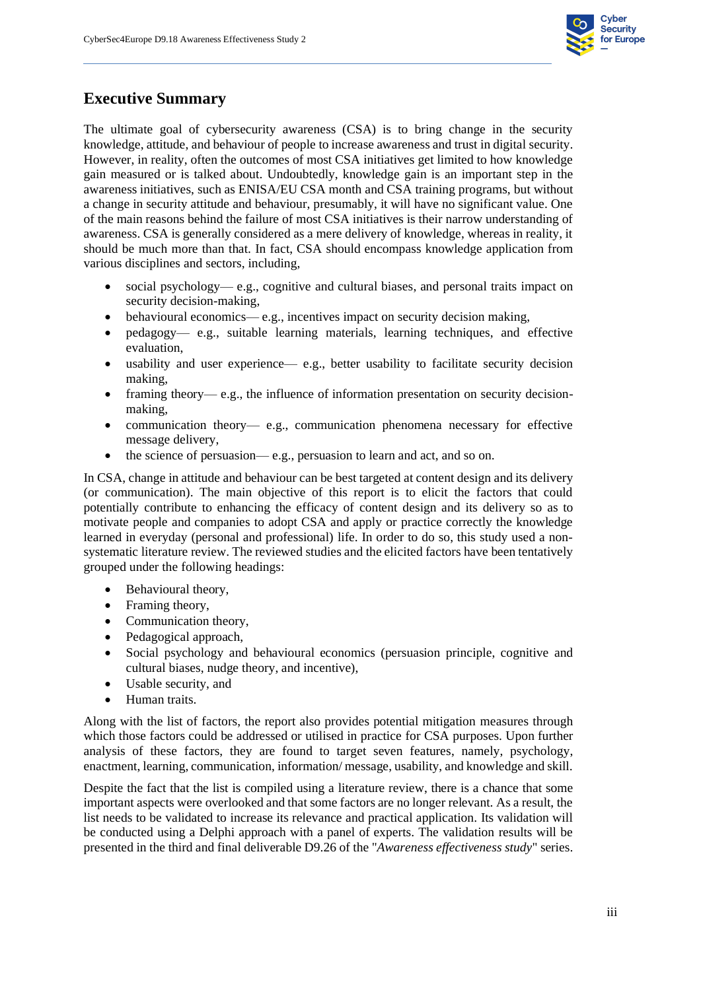

### **Executive Summary**

The ultimate goal of cybersecurity awareness (CSA) is to bring change in the security knowledge, attitude, and behaviour of people to increase awareness and trust in digital security. However, in reality, often the outcomes of most CSA initiatives get limited to how knowledge gain measured or is talked about. Undoubtedly, knowledge gain is an important step in the awareness initiatives, such as ENISA/EU CSA month and CSA training programs, but without a change in security attitude and behaviour, presumably, it will have no significant value. One of the main reasons behind the failure of most CSA initiatives is their narrow understanding of awareness. CSA is generally considered as a mere delivery of knowledge, whereas in reality, it should be much more than that. In fact, CSA should encompass knowledge application from various disciplines and sectors, including,

- social psychology— e.g., cognitive and cultural biases, and personal traits impact on security decision-making,
- behavioural economics— e.g., incentives impact on security decision making,
- pedagogy— e.g., suitable learning materials, learning techniques, and effective evaluation,
- usability and user experience— e.g., better usability to facilitate security decision making,
- framing theory— e.g., the influence of information presentation on security decisionmaking,
- communication theory— e.g., communication phenomena necessary for effective message delivery,
- the science of persuasion— e.g., persuasion to learn and act, and so on.

In CSA, change in attitude and behaviour can be best targeted at content design and its delivery (or communication). The main objective of this report is to elicit the factors that could potentially contribute to enhancing the efficacy of content design and its delivery so as to motivate people and companies to adopt CSA and apply or practice correctly the knowledge learned in everyday (personal and professional) life. In order to do so, this study used a nonsystematic literature review. The reviewed studies and the elicited factors have been tentatively grouped under the following headings:

- Behavioural theory,
- Framing theory,
- Communication theory,
- Pedagogical approach,
- Social psychology and behavioural economics (persuasion principle, cognitive and cultural biases, nudge theory, and incentive),
- Usable security, and
- Human traits.

Along with the list of factors, the report also provides potential mitigation measures through which those factors could be addressed or utilised in practice for CSA purposes. Upon further analysis of these factors, they are found to target seven features, namely, psychology, enactment, learning, communication, information/ message, usability, and knowledge and skill.

Despite the fact that the list is compiled using a literature review, there is a chance that some important aspects were overlooked and that some factors are no longer relevant. As a result, the list needs to be validated to increase its relevance and practical application. Its validation will be conducted using a Delphi approach with a panel of experts. The validation results will be presented in the third and final deliverable D9.26 of the "*Awareness effectiveness study*" series.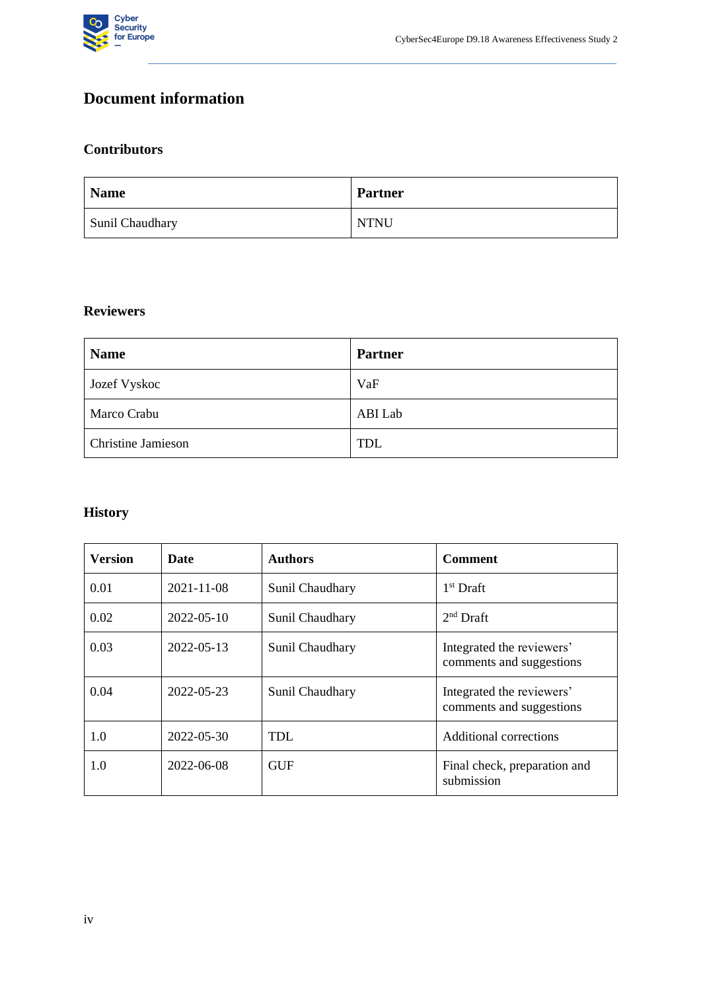

# **Document information**

#### **Contributors**

| <b>Name</b>     | <b>Partner</b> |
|-----------------|----------------|
| Sunil Chaudhary | <b>NTNU</b>    |

#### **Reviewers**

| <b>Name</b>               | <b>Partner</b> |
|---------------------------|----------------|
| <b>Jozef Vyskoc</b>       | VaF            |
| Marco Crabu               | ABI Lab        |
| <b>Christine Jamieson</b> | <b>TDL</b>     |

# **History**

| <b>Version</b> | Date             | <b>Authors</b>  | <b>Comment</b>                                        |
|----------------|------------------|-----------------|-------------------------------------------------------|
| 0.01           | $2021 - 11 - 08$ | Sunil Chaudhary | $1st$ Draft                                           |
| 0.02           | $2022 - 05 - 10$ | Sunil Chaudhary | $2nd$ Draft                                           |
| 0.03           | 2022-05-13       | Sunil Chaudhary | Integrated the reviewers'<br>comments and suggestions |
| 0.04           | 2022-05-23       | Sunil Chaudhary | Integrated the reviewers'<br>comments and suggestions |
| 1.0            | 2022-05-30       | TDL             | <b>Additional corrections</b>                         |
| 1.0            | 2022-06-08       | <b>GUF</b>      | Final check, preparation and<br>submission            |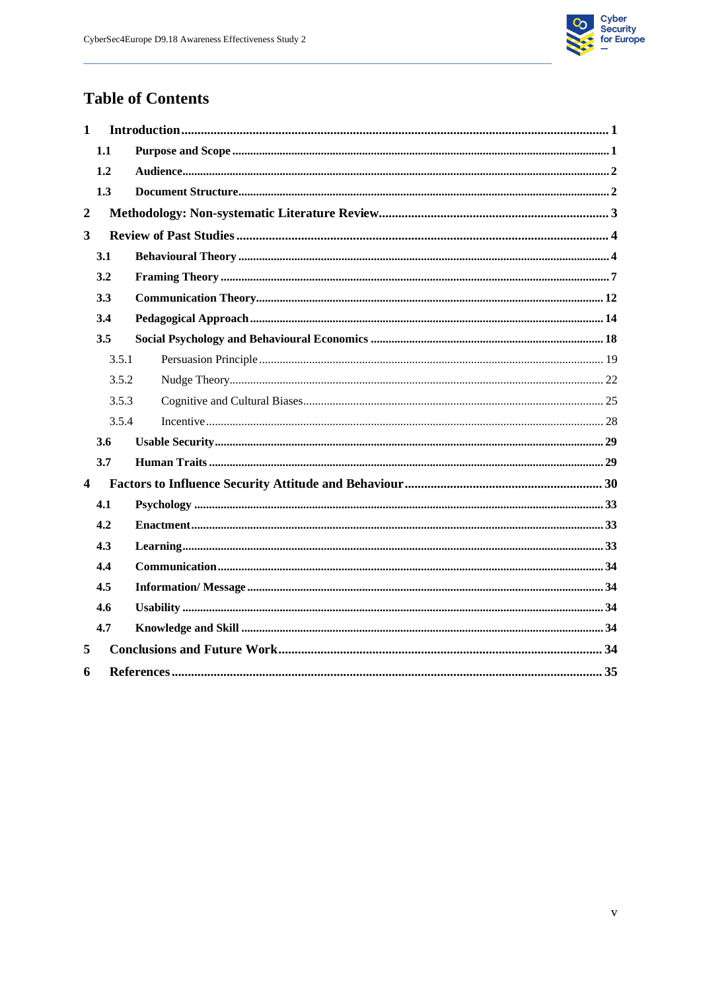

# **Table of Contents**

| $\mathbf{1}$            |       |  |  |  |
|-------------------------|-------|--|--|--|
|                         | 1.1   |  |  |  |
|                         | 1.2   |  |  |  |
|                         | 1.3   |  |  |  |
| $\boldsymbol{2}$        |       |  |  |  |
| $\overline{\mathbf{3}}$ |       |  |  |  |
|                         | 3.1   |  |  |  |
|                         | 3.2   |  |  |  |
|                         | 3.3   |  |  |  |
|                         | 3.4   |  |  |  |
|                         | 3.5   |  |  |  |
|                         | 3.5.1 |  |  |  |
|                         | 3.5.2 |  |  |  |
|                         | 3.5.3 |  |  |  |
|                         | 3.5.4 |  |  |  |
|                         | 3.6   |  |  |  |
|                         | 3.7   |  |  |  |
| $\overline{\mathbf{4}}$ |       |  |  |  |
|                         | 4.1   |  |  |  |
|                         | 4.2   |  |  |  |
|                         | 4.3   |  |  |  |
|                         | 4.4   |  |  |  |
|                         | 4.5   |  |  |  |
|                         | 4.6   |  |  |  |
|                         | 4.7   |  |  |  |
| 5                       |       |  |  |  |
| 6                       |       |  |  |  |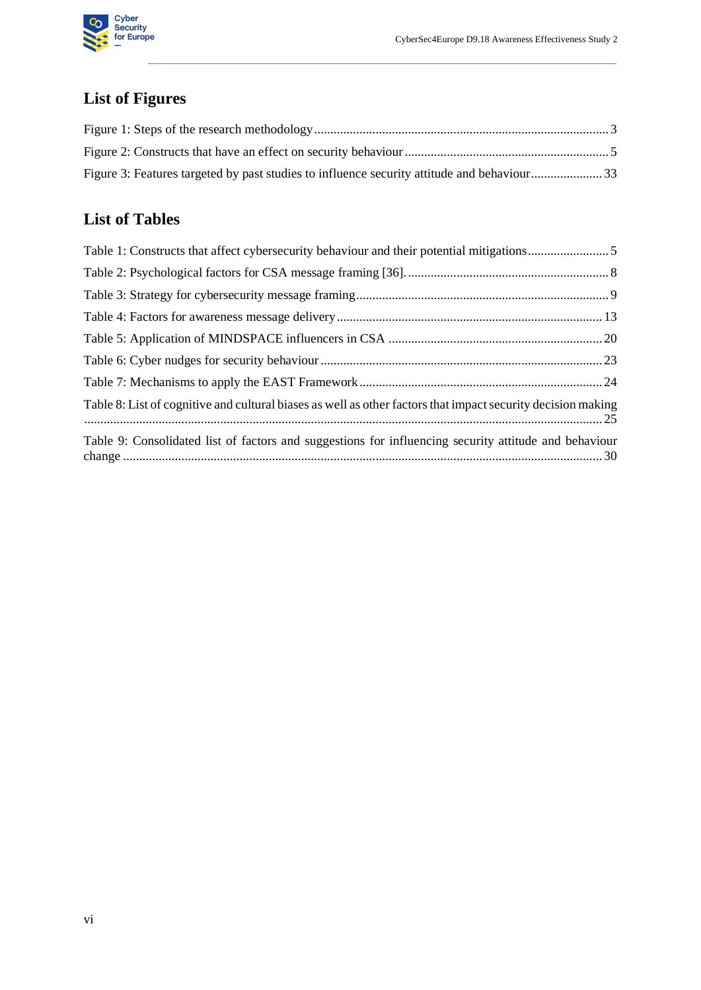

# **List of Figures**

| Figure 3: Features targeted by past studies to influence security attitude and behaviour33 |  |
|--------------------------------------------------------------------------------------------|--|

# **List of Tables**

| Table 8: List of cognitive and cultural biases as well as other factors that impact security decision making |  |
|--------------------------------------------------------------------------------------------------------------|--|
| Table 9: Consolidated list of factors and suggestions for influencing security attitude and behaviour        |  |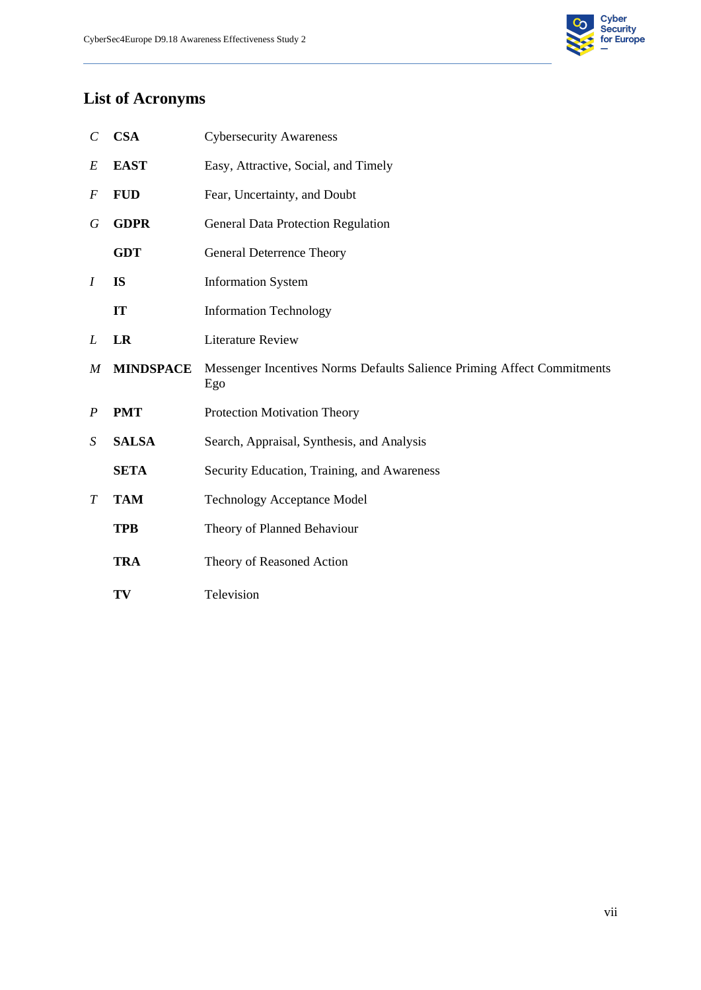

# **List of Acronyms**

| $\mathcal{C}_{0}^{0}$ | <b>CSA</b>       | <b>Cybersecurity Awareness</b>                                                 |  |
|-----------------------|------------------|--------------------------------------------------------------------------------|--|
| E                     | <b>EAST</b>      | Easy, Attractive, Social, and Timely                                           |  |
| F                     | <b>FUD</b>       | Fear, Uncertainty, and Doubt                                                   |  |
| G                     | <b>GDPR</b>      | <b>General Data Protection Regulation</b>                                      |  |
|                       | <b>GDT</b>       | <b>General Deterrence Theory</b>                                               |  |
| $\overline{I}$        | <b>IS</b>        | <b>Information System</b>                                                      |  |
|                       | IT               | <b>Information Technology</b>                                                  |  |
| L                     | <b>LR</b>        | <b>Literature Review</b>                                                       |  |
| $\boldsymbol{M}$      | <b>MINDSPACE</b> | Messenger Incentives Norms Defaults Salience Priming Affect Commitments<br>Ego |  |
| $\boldsymbol{P}$      | <b>PMT</b>       | Protection Motivation Theory                                                   |  |
| S                     | <b>SALSA</b>     | Search, Appraisal, Synthesis, and Analysis                                     |  |
|                       | <b>SETA</b>      | Security Education, Training, and Awareness                                    |  |
| $\overline{T}$        | <b>TAM</b>       | <b>Technology Acceptance Model</b>                                             |  |
|                       | <b>TPB</b>       | Theory of Planned Behaviour                                                    |  |
|                       | <b>TRA</b>       | Theory of Reasoned Action                                                      |  |
|                       | TV               | Television                                                                     |  |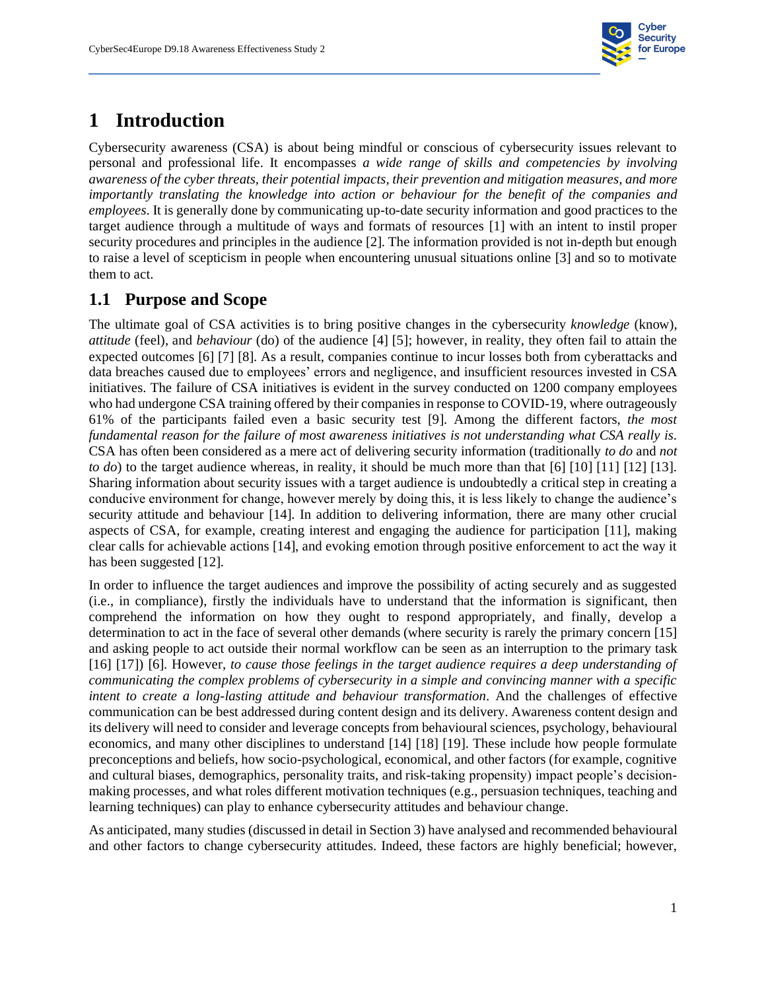

# **1 Introduction**

<span id="page-8-0"></span>Cybersecurity awareness (CSA) is about being mindful or conscious of cybersecurity issues relevant to personal and professional life. It encompasses *a wide range of skills and competencies by involving awareness of the cyber threats, their potential impacts, their prevention and mitigation measures, and more importantly translating the knowledge into action or behaviour for the benefit of the companies and employees*. It is generally done by communicating up-to-date security information and good practices to the target audience through a multitude of ways and formats of resources [1] with an intent to instil proper security procedures and principles in the audience [2]. The information provided is not in-depth but enough to raise a level of scepticism in people when encountering unusual situations online [3] and so to motivate them to act.

### **1.1 Purpose and Scope**

<span id="page-8-1"></span>The ultimate goal of CSA activities is to bring positive changes in the cybersecurity *knowledge* (know), *attitude* (feel), and *behaviour* (do) of the audience [4] [5]; however, in reality, they often fail to attain the expected outcomes [6] [7] [8]. As a result, companies continue to incur losses both from cyberattacks and data breaches caused due to employees' errors and negligence, and insufficient resources invested in CSA initiatives. The failure of CSA initiatives is evident in the survey conducted on 1200 company employees who had undergone CSA training offered by their companies in response to COVID-19, where outrageously 61% of the participants failed even a basic security test [9]. Among the different factors, *the most fundamental reason for the failure of most awareness initiatives is not understanding what CSA really is*. CSA has often been considered as a mere act of delivering security information (traditionally *to do* and *not to do*) to the target audience whereas, in reality, it should be much more than that [6] [10] [11] [12] [13]. Sharing information about security issues with a target audience is undoubtedly a critical step in creating a conducive environment for change, however merely by doing this, it is less likely to change the audience's security attitude and behaviour [14]. In addition to delivering information, there are many other crucial aspects of CSA, for example, creating interest and engaging the audience for participation [11], making clear calls for achievable actions [14], and evoking emotion through positive enforcement to act the way it has been suggested [12].

In order to influence the target audiences and improve the possibility of acting securely and as suggested (i.e., in compliance), firstly the individuals have to understand that the information is significant, then comprehend the information on how they ought to respond appropriately, and finally, develop a determination to act in the face of several other demands (where security is rarely the primary concern [15] and asking people to act outside their normal workflow can be seen as an interruption to the primary task [16] [17]) [6]. However, *to cause those feelings in the target audience requires a deep understanding of communicating the complex problems of cybersecurity in a simple and convincing manner with a specific intent to create a long-lasting attitude and behaviour transformation*. And the challenges of effective communication can be best addressed during content design and its delivery. Awareness content design and its delivery will need to consider and leverage concepts from behavioural sciences, psychology, behavioural economics, and many other disciplines to understand [14] [18] [19]. These include how people formulate preconceptions and beliefs, how socio-psychological, economical, and other factors (for example, cognitive and cultural biases, demographics, personality traits, and risk-taking propensity) impact people's decisionmaking processes, and what roles different motivation techniques (e.g., persuasion techniques, teaching and learning techniques) can play to enhance cybersecurity attitudes and behaviour change.

As anticipated, many studies (discussed in detail in Section [3\)](#page-11-2) have analysed and recommended behavioural and other factors to change cybersecurity attitudes. Indeed, these factors are highly beneficial; however,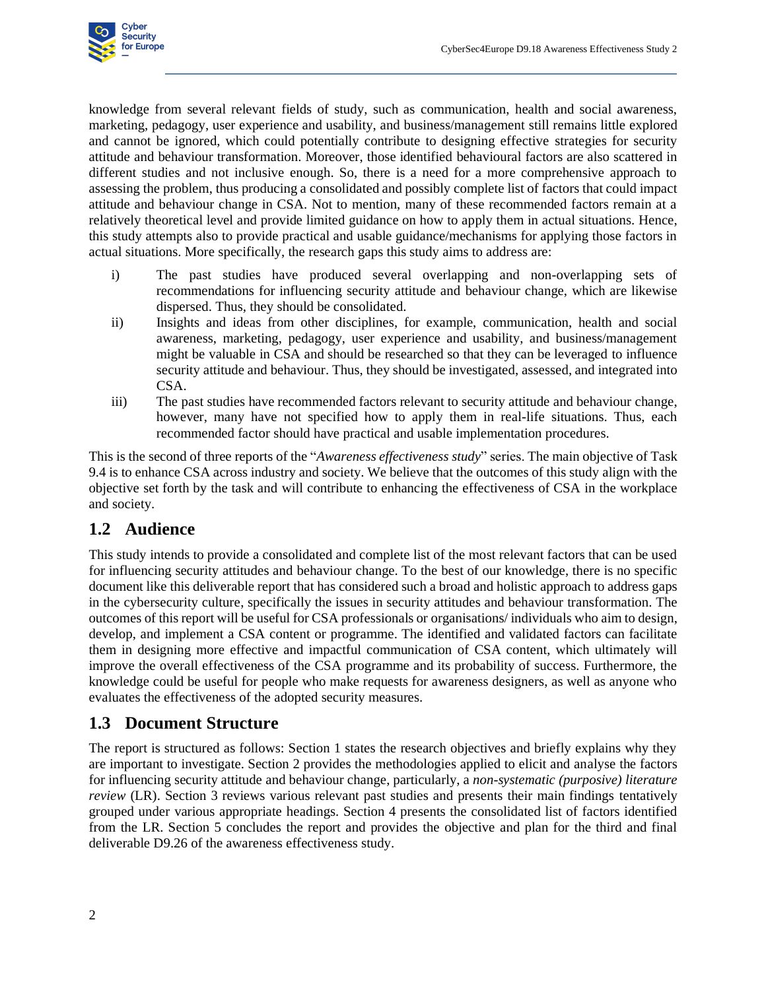

knowledge from several relevant fields of study, such as communication, health and social awareness, marketing, pedagogy, user experience and usability, and business/management still remains little explored and cannot be ignored, which could potentially contribute to designing effective strategies for security attitude and behaviour transformation. Moreover, those identified behavioural factors are also scattered in different studies and not inclusive enough. So, there is a need for a more comprehensive approach to assessing the problem, thus producing a consolidated and possibly complete list of factors that could impact attitude and behaviour change in CSA. Not to mention, many of these recommended factors remain at a relatively theoretical level and provide limited guidance on how to apply them in actual situations. Hence, this study attempts also to provide practical and usable guidance/mechanisms for applying those factors in actual situations. More specifically, the research gaps this study aims to address are:

- i) The past studies have produced several overlapping and non-overlapping sets of recommendations for influencing security attitude and behaviour change, which are likewise dispersed. Thus, they should be consolidated.
- ii) Insights and ideas from other disciplines, for example, communication, health and social awareness, marketing, pedagogy, user experience and usability, and business/management might be valuable in CSA and should be researched so that they can be leveraged to influence security attitude and behaviour. Thus, they should be investigated, assessed, and integrated into CSA.
- iii) The past studies have recommended factors relevant to security attitude and behaviour change, however, many have not specified how to apply them in real-life situations. Thus, each recommended factor should have practical and usable implementation procedures.

This is the second of three reports of the "*Awareness effectiveness study*" series. The main objective of Task 9.4 is to enhance CSA across industry and society. We believe that the outcomes of this study align with the objective set forth by the task and will contribute to enhancing the effectiveness of CSA in the workplace and society.

#### **1.2 Audience**

<span id="page-9-0"></span>This study intends to provide a consolidated and complete list of the most relevant factors that can be used for influencing security attitudes and behaviour change. To the best of our knowledge, there is no specific document like this deliverable report that has considered such a broad and holistic approach to address gaps in the cybersecurity culture, specifically the issues in security attitudes and behaviour transformation. The outcomes of this report will be useful for CSA professionals or organisations/ individuals who aim to design, develop, and implement a CSA content or programme. The identified and validated factors can facilitate them in designing more effective and impactful communication of CSA content, which ultimately will improve the overall effectiveness of the CSA programme and its probability of success. Furthermore, the knowledge could be useful for people who make requests for awareness designers, as well as anyone who evaluates the effectiveness of the adopted security measures.

#### **1.3 Document Structure**

<span id="page-9-1"></span>The report is structured as follows: Section 1 states the research objectives and briefly explains why they are important to investigate. Section 2 provides the methodologies applied to elicit and analyse the factors for influencing security attitude and behaviour change, particularly, a *non-systematic (purposive) literature review* (LR). Section 3 reviews various relevant past studies and presents their main findings tentatively grouped under various appropriate headings. Section 4 presents the consolidated list of factors identified from the LR. Section 5 concludes the report and provides the objective and plan for the third and final deliverable D9.26 of the awareness effectiveness study.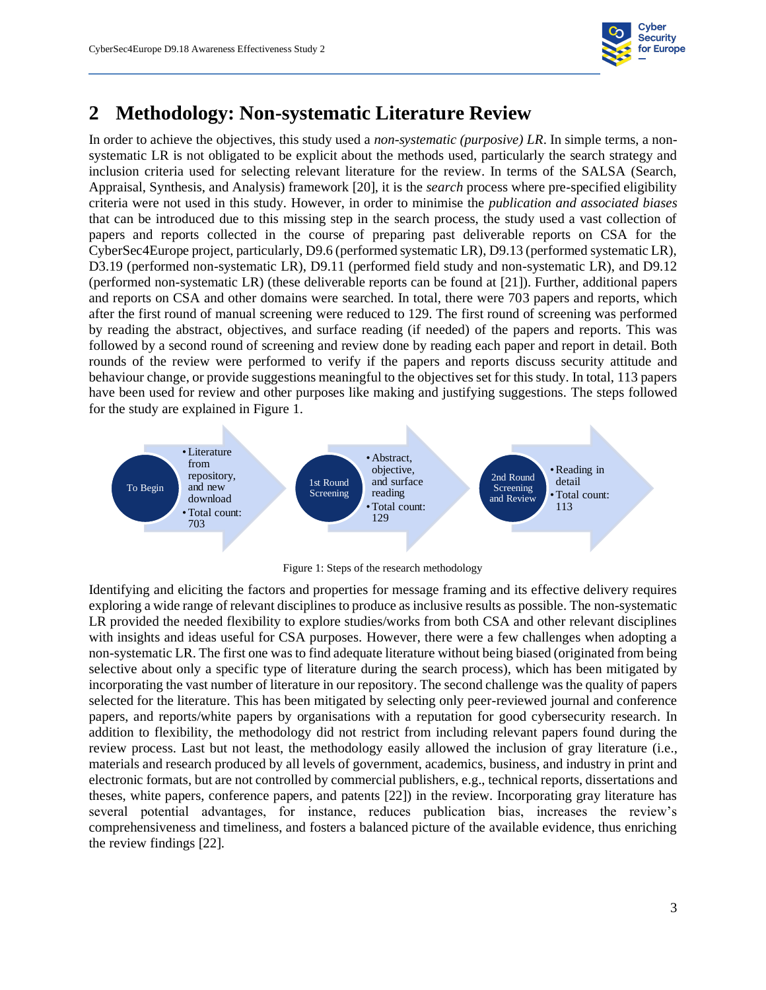

### **2 Methodology: Non-systematic Literature Review**

<span id="page-10-0"></span>In order to achieve the objectives, this study used a *non-systematic (purposive) LR*. In simple terms, a nonsystematic LR is not obligated to be explicit about the methods used, particularly the search strategy and inclusion criteria used for selecting relevant literature for the review. In terms of the SALSA (Search, Appraisal, Synthesis, and Analysis) framework [20], it is the *search* process where pre-specified eligibility criteria were not used in this study. However, in order to minimise the *publication and associated biases* that can be introduced due to this missing step in the search process, the study used a vast collection of papers and reports collected in the course of preparing past deliverable reports on CSA for the CyberSec4Europe project, particularly, D9.6 (performed systematic LR), D9.13 (performed systematic LR), D3.19 (performed non-systematic LR), D9.11 (performed field study and non-systematic LR), and D9.12 (performed non-systematic LR) (these deliverable reports can be found at [21]). Further, additional papers and reports on CSA and other domains were searched. In total, there were 703 papers and reports, which after the first round of manual screening were reduced to 129. The first round of screening was performed by reading the abstract, objectives, and surface reading (if needed) of the papers and reports. This was followed by a second round of screening and review done by reading each paper and report in detail. Both rounds of the review were performed to verify if the papers and reports discuss security attitude and behaviour change, or provide suggestions meaningful to the objectives set for this study. In total, 113 papers have been used for review and other purposes like making and justifying suggestions. The steps followed for the study are explained in [Figure 1.](#page-10-2)



Figure 1: Steps of the research methodology

<span id="page-10-2"></span><span id="page-10-1"></span>Identifying and eliciting the factors and properties for message framing and its effective delivery requires exploring a wide range of relevant disciplines to produce as inclusive results as possible. The non-systematic LR provided the needed flexibility to explore studies/works from both CSA and other relevant disciplines with insights and ideas useful for CSA purposes. However, there were a few challenges when adopting a non-systematic LR. The first one was to find adequate literature without being biased (originated from being selective about only a specific type of literature during the search process), which has been mitigated by incorporating the vast number of literature in our repository. The second challenge was the quality of papers selected for the literature. This has been mitigated by selecting only peer-reviewed journal and conference papers, and reports/white papers by organisations with a reputation for good cybersecurity research. In addition to flexibility, the methodology did not restrict from including relevant papers found during the review process. Last but not least, the methodology easily allowed the inclusion of gray literature (i.e., materials and research produced by all levels of government, academics, business, and industry in print and electronic formats, but are not controlled by commercial publishers, e.g., technical reports, dissertations and theses, white papers, conference papers, and patents [22]) in the review. Incorporating gray literature has several potential advantages, for instance, reduces publication bias, increases the review's comprehensiveness and timeliness, and fosters a balanced picture of the available evidence, thus enriching the review findings [22].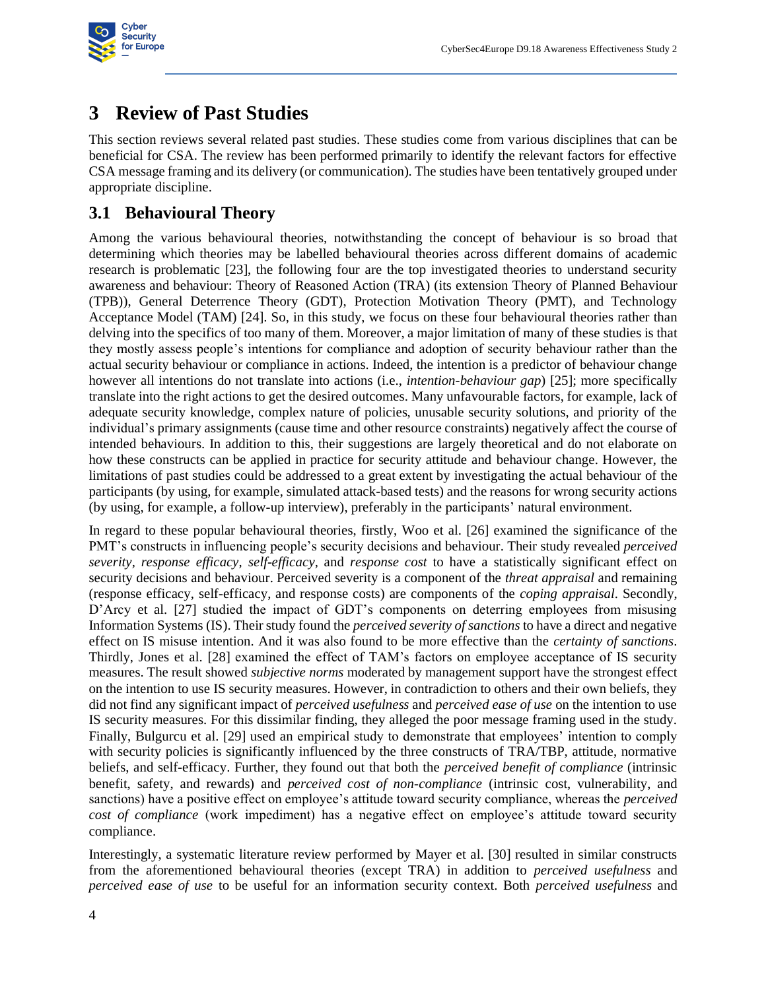

### <span id="page-11-2"></span>**3 Review of Past Studies**

<span id="page-11-0"></span>This section reviews several related past studies. These studies come from various disciplines that can be beneficial for CSA. The review has been performed primarily to identify the relevant factors for effective CSA message framing and its delivery (or communication). The studies have been tentatively grouped under appropriate discipline.

### **3.1 Behavioural Theory**

<span id="page-11-1"></span>Among the various behavioural theories, notwithstanding the concept of behaviour is so broad that determining which theories may be labelled behavioural theories across different domains of academic research is problematic [23], the following four are the top investigated theories to understand security awareness and behaviour: Theory of Reasoned Action (TRA) (its extension Theory of Planned Behaviour (TPB)), General Deterrence Theory (GDT), Protection Motivation Theory (PMT), and Technology Acceptance Model (TAM) [24]. So, in this study, we focus on these four behavioural theories rather than delving into the specifics of too many of them. Moreover, a major limitation of many of these studies is that they mostly assess people's intentions for compliance and adoption of security behaviour rather than the actual security behaviour or compliance in actions. Indeed, the intention is a predictor of behaviour change however all intentions do not translate into actions (i.e., *intention-behaviour gap*) [25]; more specifically translate into the right actions to get the desired outcomes. Many unfavourable factors, for example, lack of adequate security knowledge, complex nature of policies, unusable security solutions, and priority of the individual's primary assignments (cause time and other resource constraints) negatively affect the course of intended behaviours. In addition to this, their suggestions are largely theoretical and do not elaborate on how these constructs can be applied in practice for security attitude and behaviour change. However, the limitations of past studies could be addressed to a great extent by investigating the actual behaviour of the participants (by using, for example, simulated attack-based tests) and the reasons for wrong security actions (by using, for example, a follow-up interview), preferably in the participants' natural environment.

In regard to these popular behavioural theories, firstly, Woo et al. [26] examined the significance of the PMT's constructs in influencing people's security decisions and behaviour. Their study revealed *perceived severity, response efficacy, self-efficacy,* and *response cost* to have a statistically significant effect on security decisions and behaviour. Perceived severity is a component of the *threat appraisal* and remaining (response efficacy, self-efficacy, and response costs) are components of the *coping appraisal*. Secondly, D'Arcy et al. [27] studied the impact of GDT's components on deterring employees from misusing Information Systems (IS). Their study found the *perceived severity of sanctions* to have a direct and negative effect on IS misuse intention. And it was also found to be more effective than the *certainty of sanctions*. Thirdly, Jones et al. [28] examined the effect of TAM's factors on employee acceptance of IS security measures. The result showed *subjective norms* moderated by management support have the strongest effect on the intention to use IS security measures. However, in contradiction to others and their own beliefs, they did not find any significant impact of *perceived usefulness* and *perceived ease of use* on the intention to use IS security measures. For this dissimilar finding, they alleged the poor message framing used in the study. Finally, Bulgurcu et al. [29] used an empirical study to demonstrate that employees' intention to comply with security policies is significantly influenced by the three constructs of TRA/TBP, attitude, normative beliefs, and self-efficacy. Further, they found out that both the *perceived benefit of compliance* (intrinsic benefit, safety, and rewards) and *perceived cost of non-compliance* (intrinsic cost, vulnerability, and sanctions) have a positive effect on employee's attitude toward security compliance, whereas the *perceived cost of compliance* (work impediment) has a negative effect on employee's attitude toward security compliance.

Interestingly, a systematic literature review performed by Mayer et al. [30] resulted in similar constructs from the aforementioned behavioural theories (except TRA) in addition to *perceived usefulness* and *perceived ease of use* to be useful for an information security context. Both *perceived usefulness* and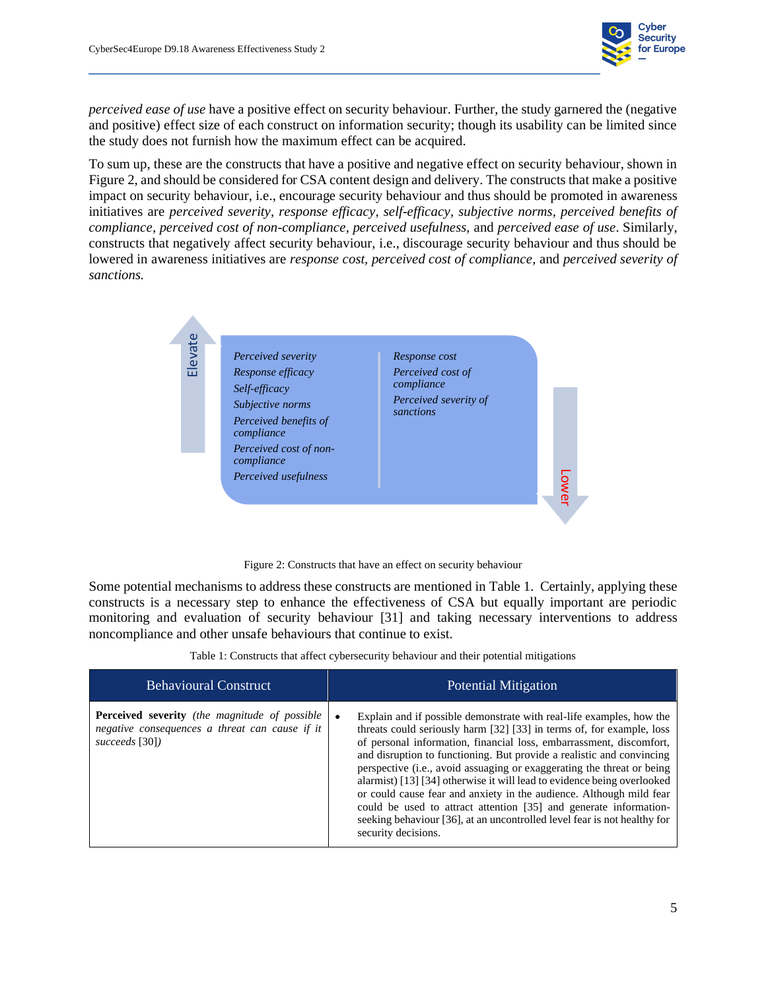

*perceived ease of use* have a positive effect on security behaviour. Further, the study garnered the (negative and positive) effect size of each construct on information security; though its usability can be limited since the study does not furnish how the maximum effect can be acquired.

To sum up, these are the constructs that have a positive and negative effect on security behaviour, shown in [Figure 2,](#page-12-2) and should be considered for CSA content design and delivery. The constructs that make a positive impact on security behaviour, i.e., encourage security behaviour and thus should be promoted in awareness initiatives are *perceived severity, response efficacy, self-efficacy, subjective norms, perceived benefits of compliance, perceived cost of non-compliance, perceived usefulness,* and *perceived ease of use*. Similarly, constructs that negatively affect security behaviour, i.e., discourage security behaviour and thus should be lowered in awareness initiatives are *response cost, perceived cost of compliance,* and *perceived severity of sanctions.* 



Figure 2: Constructs that have an effect on security behaviour

<span id="page-12-2"></span><span id="page-12-0"></span>Some potential mechanisms to address these constructs are mentioned i[n Table 1.](#page-12-3) Certainly, applying these constructs is a necessary step to enhance the effectiveness of CSA but equally important are periodic monitoring and evaluation of security behaviour [31] and taking necessary interventions to address noncompliance and other unsafe behaviours that continue to exist.

Table 1: Constructs that affect cybersecurity behaviour and their potential mitigations

<span id="page-12-3"></span><span id="page-12-1"></span>

| <b>Behavioural Construct</b>                                                                                             | <b>Potential Mitigation</b>                                                                                                                                                                                                                                                                                                                                                                                                                                                                                                                                                                                                                                                                       |
|--------------------------------------------------------------------------------------------------------------------------|---------------------------------------------------------------------------------------------------------------------------------------------------------------------------------------------------------------------------------------------------------------------------------------------------------------------------------------------------------------------------------------------------------------------------------------------------------------------------------------------------------------------------------------------------------------------------------------------------------------------------------------------------------------------------------------------------|
| <b>Perceived severity</b> (the magnitude of possible<br>negative consequences a threat can cause if it<br>succeeds [30]) | Explain and if possible demonstrate with real-life examples, how the<br>threats could seriously harm [32] [33] in terms of, for example, loss<br>of personal information, financial loss, embarrassment, discomfort,<br>and disruption to functioning. But provide a realistic and convincing<br>perspective (i.e., avoid assuaging or exaggerating the threat or being<br>alarmist) [13] [34] otherwise it will lead to evidence being overlooked<br>or could cause fear and anxiety in the audience. Although mild fear<br>could be used to attract attention [35] and generate information-<br>seeking behaviour [36], at an uncontrolled level fear is not healthy for<br>security decisions. |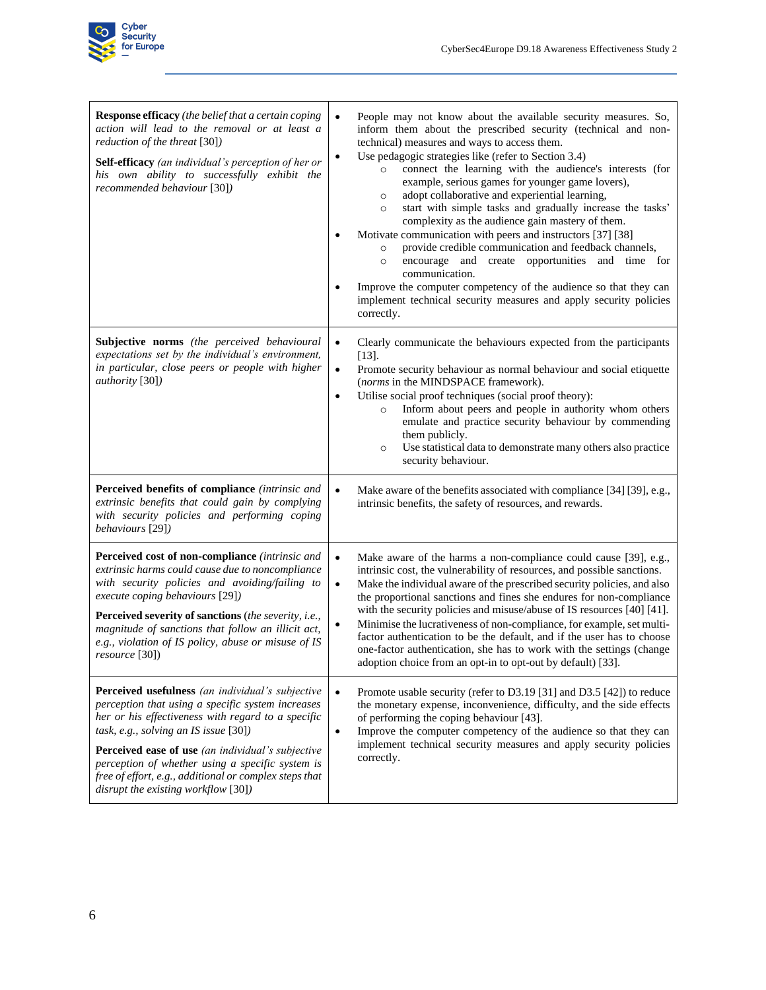

| <b>Response efficacy</b> (the belief that a certain coping<br>action will lead to the removal or at least a<br>reduction of the threat [30])<br><b>Self-efficacy</b> (an individual's perception of her or<br>his own ability to successfully exhibit the<br>recommended behaviour [30])                                                                                                                       | People may not know about the available security measures. So,<br>$\bullet$<br>inform them about the prescribed security (technical and non-<br>technical) measures and ways to access them.<br>Use pedagogic strategies like (refer to Section 3.4)<br>$\bullet$<br>connect the learning with the audience's interests (for<br>$\circ$<br>example, serious games for younger game lovers),<br>adopt collaborative and experiential learning,<br>$\circ$<br>start with simple tasks and gradually increase the tasks'<br>$\circ$<br>complexity as the audience gain mastery of them.<br>Motivate communication with peers and instructors [37] [38]<br>provide credible communication and feedback channels,<br>$\circ$<br>encourage and create opportunities and time for<br>$\circ$<br>communication.<br>Improve the computer competency of the audience so that they can<br>implement technical security measures and apply security policies<br>correctly. |
|----------------------------------------------------------------------------------------------------------------------------------------------------------------------------------------------------------------------------------------------------------------------------------------------------------------------------------------------------------------------------------------------------------------|----------------------------------------------------------------------------------------------------------------------------------------------------------------------------------------------------------------------------------------------------------------------------------------------------------------------------------------------------------------------------------------------------------------------------------------------------------------------------------------------------------------------------------------------------------------------------------------------------------------------------------------------------------------------------------------------------------------------------------------------------------------------------------------------------------------------------------------------------------------------------------------------------------------------------------------------------------------|
| <b>Subjective norms</b> (the perceived behavioural<br>expectations set by the individual's environment,<br>in particular, close peers or people with higher<br><i>authority</i> [30])                                                                                                                                                                                                                          | Clearly communicate the behaviours expected from the participants<br>$\bullet$<br>$[13]$ .<br>Promote security behaviour as normal behaviour and social etiquette<br>$\bullet$<br>(norms in the MINDSPACE framework).<br>Utilise social proof techniques (social proof theory):<br>$\bullet$<br>Inform about peers and people in authority whom others<br>$\circ$<br>emulate and practice security behaviour by commending<br>them publicly.<br>Use statistical data to demonstrate many others also practice<br>$\circ$<br>security behaviour.                                                                                                                                                                                                                                                                                                                                                                                                                |
| Perceived benefits of compliance (intrinsic and<br>extrinsic benefits that could gain by complying<br>with security policies and performing coping<br>behaviours [29])                                                                                                                                                                                                                                         | Make aware of the benefits associated with compliance [34] [39], e.g.,<br>$\bullet$<br>intrinsic benefits, the safety of resources, and rewards.                                                                                                                                                                                                                                                                                                                                                                                                                                                                                                                                                                                                                                                                                                                                                                                                               |
| Perceived cost of non-compliance (intrinsic and<br>extrinsic harms could cause due to noncompliance<br>with security policies and avoiding/failing to<br>execute coping behaviours [29])<br>Perceived severity of sanctions (the severity, i.e.,<br>magnitude of sanctions that follow an illicit act,<br>e.g., violation of IS policy, abuse or misuse of IS<br>resource [30])                                | Make aware of the harms a non-compliance could cause [39], e.g.,<br>$\bullet$<br>intrinsic cost, the vulnerability of resources, and possible sanctions.<br>$\bullet$<br>Make the individual aware of the prescribed security policies, and also<br>the proportional sanctions and fines she endures for non-compliance<br>with the security policies and misuse/abuse of IS resources [40] [41].<br>Minimise the lucrativeness of non-compliance, for example, set multi-<br>$\bullet$<br>factor authentication to be the default, and if the user has to choose<br>one-factor authentication, she has to work with the settings (change<br>adoption choice from an opt-in to opt-out by default) [33].                                                                                                                                                                                                                                                       |
| Perceived usefulness (an individual's subjective<br>perception that using a specific system increases<br>her or his effectiveness with regard to a specific<br>task, e.g., solving an IS issue [30])<br>Perceived ease of use (an individual's subjective<br>perception of whether using a specific system is<br>free of effort, e.g., additional or complex steps that<br>disrupt the existing workflow [30]) | Promote usable security (refer to D3.19 [31] and D3.5 [42]) to reduce<br>$\bullet$<br>the monetary expense, inconvenience, difficulty, and the side effects<br>of performing the coping behaviour [43].<br>Improve the computer competency of the audience so that they can<br>$\bullet$<br>implement technical security measures and apply security policies<br>correctly.                                                                                                                                                                                                                                                                                                                                                                                                                                                                                                                                                                                    |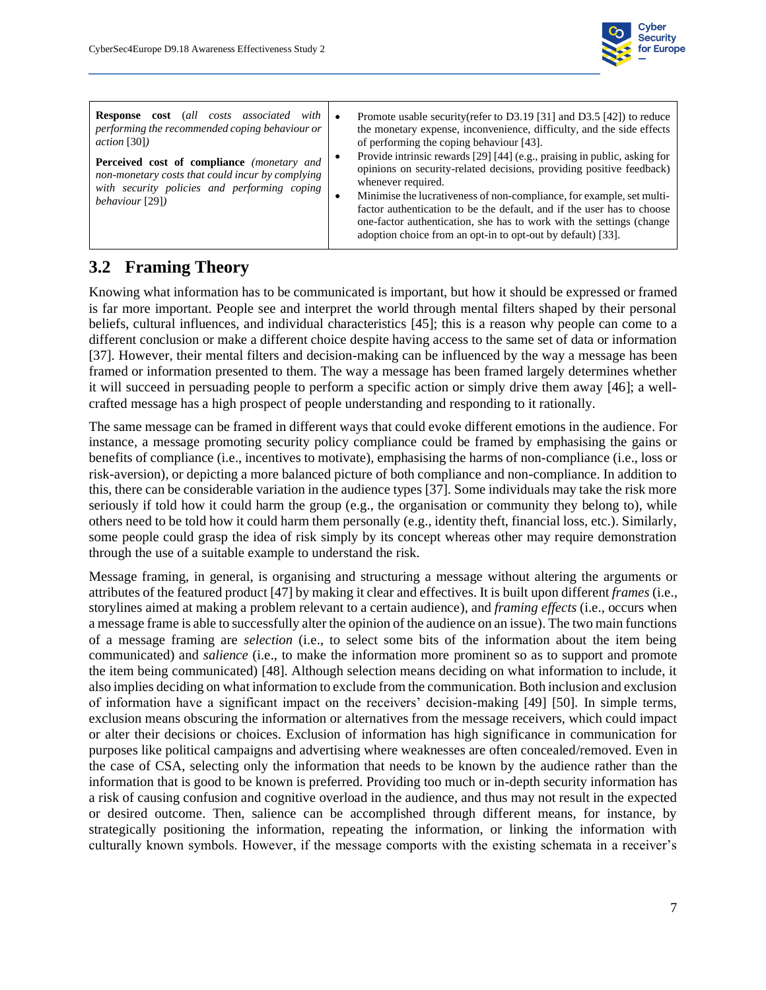

### **3.2 Framing Theory**

<span id="page-14-0"></span>Knowing what information has to be communicated is important, but how it should be expressed or framed is far more important. People see and interpret the world through mental filters shaped by their personal beliefs, cultural influences, and individual characteristics [45]; this is a reason why people can come to a different conclusion or make a different choice despite having access to the same set of data or information [37]. However, their mental filters and decision-making can be influenced by the way a message has been framed or information presented to them. The way a message has been framed largely determines whether it will succeed in persuading people to perform a specific action or simply drive them away [46]; a wellcrafted message has a high prospect of people understanding and responding to it rationally.

The same message can be framed in different ways that could evoke different emotions in the audience. For instance, a message promoting security policy compliance could be framed by emphasising the gains or benefits of compliance (i.e., incentives to motivate), emphasising the harms of non-compliance (i.e., loss or risk-aversion), or depicting a more balanced picture of both compliance and non-compliance. In addition to this, there can be considerable variation in the audience types [37]. Some individuals may take the risk more seriously if told how it could harm the group (e.g., the organisation or community they belong to), while others need to be told how it could harm them personally (e.g., identity theft, financial loss, etc.). Similarly, some people could grasp the idea of risk simply by its concept whereas other may require demonstration through the use of a suitable example to understand the risk.

Message framing, in general, is organising and structuring a message without altering the arguments or attributes of the featured product [47] by making it clear and effectives. It is built upon different *frames* (i.e., storylines aimed at making a problem relevant to a certain audience), and *framing effects* (i.e., occurs when a message frame is able to successfully alter the opinion of the audience on an issue). The two main functions of a message framing are *selection* (i.e., to select some bits of the information about the item being communicated) and *salience* (i.e., to make the information more prominent so as to support and promote the item being communicated) [48]. Although selection means deciding on what information to include, it also implies deciding on what information to exclude from the communication. Both inclusion and exclusion of information have a significant impact on the receivers' decision-making [49] [50]. In simple terms, exclusion means obscuring the information or alternatives from the message receivers, which could impact or alter their decisions or choices. Exclusion of information has high significance in communication for purposes like political campaigns and advertising where weaknesses are often concealed/removed. Even in the case of CSA, selecting only the information that needs to be known by the audience rather than the information that is good to be known is preferred. Providing too much or in-depth security information has a risk of causing confusion and cognitive overload in the audience, and thus may not result in the expected or desired outcome. Then, salience can be accomplished through different means, for instance, by strategically positioning the information, repeating the information, or linking the information with culturally known symbols. However, if the message comports with the existing schemata in a receiver's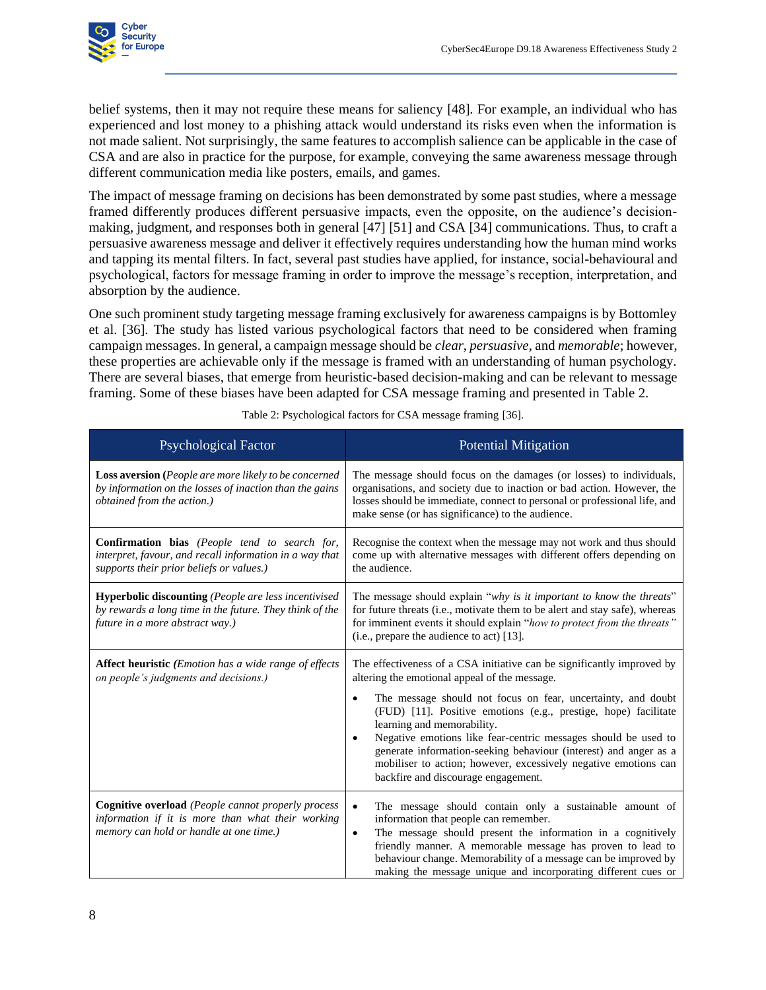

belief systems, then it may not require these means for saliency [48]. For example, an individual who has experienced and lost money to a phishing attack would understand its risks even when the information is not made salient. Not surprisingly, the same features to accomplish salience can be applicable in the case of CSA and are also in practice for the purpose, for example, conveying the same awareness message through different communication media like posters, emails, and games.

The impact of message framing on decisions has been demonstrated by some past studies, where a message framed differently produces different persuasive impacts, even the opposite, on the audience's decisionmaking, judgment, and responses both in general [47] [51] and CSA [34] communications. Thus, to craft a persuasive awareness message and deliver it effectively requires understanding how the human mind works and tapping its mental filters. In fact, several past studies have applied, for instance, social-behavioural and psychological, factors for message framing in order to improve the message's reception, interpretation, and absorption by the audience.

One such prominent study targeting message framing exclusively for awareness campaigns is by Bottomley et al. [36]. The study has listed various psychological factors that need to be considered when framing campaign messages. In general, a campaign message should be *clear*, *persuasive*, and *memorable*; however, these properties are achievable only if the message is framed with an understanding of human psychology. There are several biases, that emerge from heuristic-based decision-making and can be relevant to message framing. Some of these biases have been adapted for CSA message framing and presented in [Table 2.](#page-15-1)

<span id="page-15-1"></span><span id="page-15-0"></span>

| <b>Psychological Factor</b>                                                                                                                                 | <b>Potential Mitigation</b>                                                                                                                                                                                                                                                                                                                                                                                                                                                                                                                                        |  |
|-------------------------------------------------------------------------------------------------------------------------------------------------------------|--------------------------------------------------------------------------------------------------------------------------------------------------------------------------------------------------------------------------------------------------------------------------------------------------------------------------------------------------------------------------------------------------------------------------------------------------------------------------------------------------------------------------------------------------------------------|--|
| <b>Loss aversion</b> (People are more likely to be concerned<br>by information on the losses of inaction than the gains<br>obtained from the action.)       | The message should focus on the damages (or losses) to individuals,<br>organisations, and society due to inaction or bad action. However, the<br>losses should be immediate, connect to personal or professional life, and<br>make sense (or has significance) to the audience.                                                                                                                                                                                                                                                                                    |  |
| <b>Confirmation bias</b> (People tend to search for,<br>interpret, favour, and recall information in a way that<br>supports their prior beliefs or values.) | Recognise the context when the message may not work and thus should<br>come up with alternative messages with different offers depending on<br>the audience.                                                                                                                                                                                                                                                                                                                                                                                                       |  |
| Hyperbolic discounting (People are less incentivised<br>by rewards a long time in the future. They think of the<br>future in a more abstract way.)          | The message should explain "why is it important to know the threats"<br>for future threats (i.e., motivate them to be alert and stay safe), whereas<br>for imminent events it should explain "how to protect from the threats"<br>(i.e., prepare the audience to act) [13].                                                                                                                                                                                                                                                                                        |  |
| <b>Affect heuristic</b> ( <i>Emotion has a wide range of effects</i><br>on people's judgments and decisions.)                                               | The effectiveness of a CSA initiative can be significantly improved by<br>altering the emotional appeal of the message.<br>The message should not focus on fear, uncertainty, and doubt<br>$\bullet$<br>(FUD) [11]. Positive emotions (e.g., prestige, hope) facilitate<br>learning and memorability.<br>Negative emotions like fear-centric messages should be used to<br>$\bullet$<br>generate information-seeking behaviour (interest) and anger as a<br>mobiliser to action; however, excessively negative emotions can<br>backfire and discourage engagement. |  |
| <b>Cognitive overload</b> (People cannot properly process<br>information if it is more than what their working<br>memory can hold or handle at one time.)   | The message should contain only a sustainable amount of<br>$\bullet$<br>information that people can remember.<br>The message should present the information in a cognitively<br>$\bullet$<br>friendly manner. A memorable message has proven to lead to<br>behaviour change. Memorability of a message can be improved by<br>making the message unique and incorporating different cues or                                                                                                                                                                         |  |

Table 2: Psychological factors for CSA message framing [36].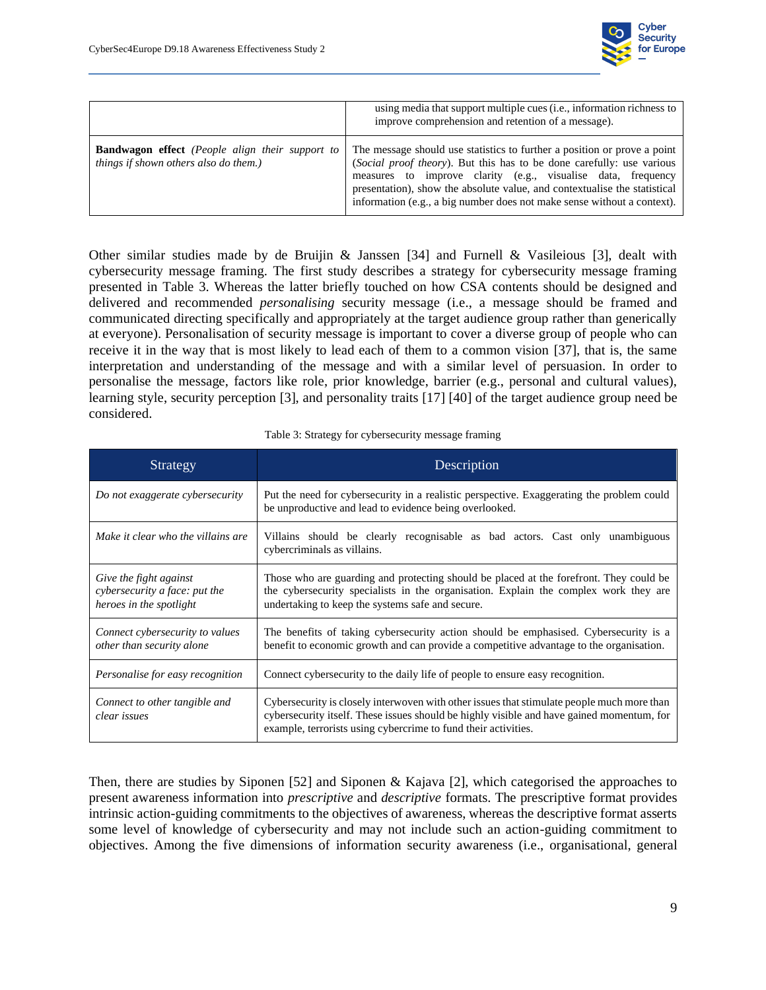

|                                                                                                 | using media that support multiple cues (i.e., information richness to<br>improve comprehension and retention of a message).                                                                                                                                                                                                                                               |
|-------------------------------------------------------------------------------------------------|---------------------------------------------------------------------------------------------------------------------------------------------------------------------------------------------------------------------------------------------------------------------------------------------------------------------------------------------------------------------------|
| <b>Bandwagon effect</b> (People align their support to<br>things if shown others also do them.) | The message should use statistics to further a position or prove a point<br>(Social proof theory). But this has to be done carefully: use various<br>measures to improve clarity (e.g., visualise data, frequency<br>presentation), show the absolute value, and contextualise the statistical<br>information (e.g., a big number does not make sense without a context). |

Other similar studies made by de Bruijin  $\&$  Janssen [34] and Furnell  $\&$  Vasileious [3], dealt with cybersecurity message framing. The first study describes a strategy for cybersecurity message framing presented in [Table 3.](#page-16-1) Whereas the latter briefly touched on how CSA contents should be designed and delivered and recommended *personalising* security message (i.e., a message should be framed and communicated directing specifically and appropriately at the target audience group rather than generically at everyone). Personalisation of security message is important to cover a diverse group of people who can receive it in the way that is most likely to lead each of them to a common vision [37], that is, the same interpretation and understanding of the message and with a similar level of persuasion. In order to personalise the message, factors like role, prior knowledge, barrier (e.g., personal and cultural values), learning style, security perception [3], and personality traits [17] [40] of the target audience group need be considered.

| Table 3: Strategy for cybersecurity message framing |  |
|-----------------------------------------------------|--|
|-----------------------------------------------------|--|

<span id="page-16-1"></span><span id="page-16-0"></span>

| Strategy                                                                           | Description                                                                                                                                                                                                                                               |
|------------------------------------------------------------------------------------|-----------------------------------------------------------------------------------------------------------------------------------------------------------------------------------------------------------------------------------------------------------|
| Do not exaggerate cybersecurity                                                    | Put the need for cybersecurity in a realistic perspective. Exaggerating the problem could<br>be unproductive and lead to evidence being overlooked.                                                                                                       |
| Make it clear who the villains are                                                 | Villains should be clearly recognisable as bad actors. Cast only unambiguous<br>cybercriminals as villains.                                                                                                                                               |
| Give the fight against<br>cybersecurity a face: put the<br>heroes in the spotlight | Those who are guarding and protecting should be placed at the forefront. They could be<br>the cybersecurity specialists in the organisation. Explain the complex work they are<br>undertaking to keep the systems safe and secure.                        |
| Connect cybersecurity to values<br>other than security alone                       | The benefits of taking cybersecurity action should be emphasised. Cybersecurity is a<br>benefit to economic growth and can provide a competitive advantage to the organisation.                                                                           |
| Personalise for easy recognition                                                   | Connect cybersecurity to the daily life of people to ensure easy recognition.                                                                                                                                                                             |
| Connect to other tangible and<br>clear issues                                      | Cybersecurity is closely interwoven with other issues that stimulate people much more than<br>cybersecurity itself. These issues should be highly visible and have gained momentum, for<br>example, terrorists using cybercrime to fund their activities. |

Then, there are studies by Siponen [52] and Siponen & Kajava [2], which categorised the approaches to present awareness information into *prescriptive* and *descriptive* formats. The prescriptive format provides intrinsic action-guiding commitments to the objectives of awareness, whereas the descriptive format asserts some level of knowledge of cybersecurity and may not include such an action-guiding commitment to objectives. Among the five dimensions of information security awareness (i.e., organisational, general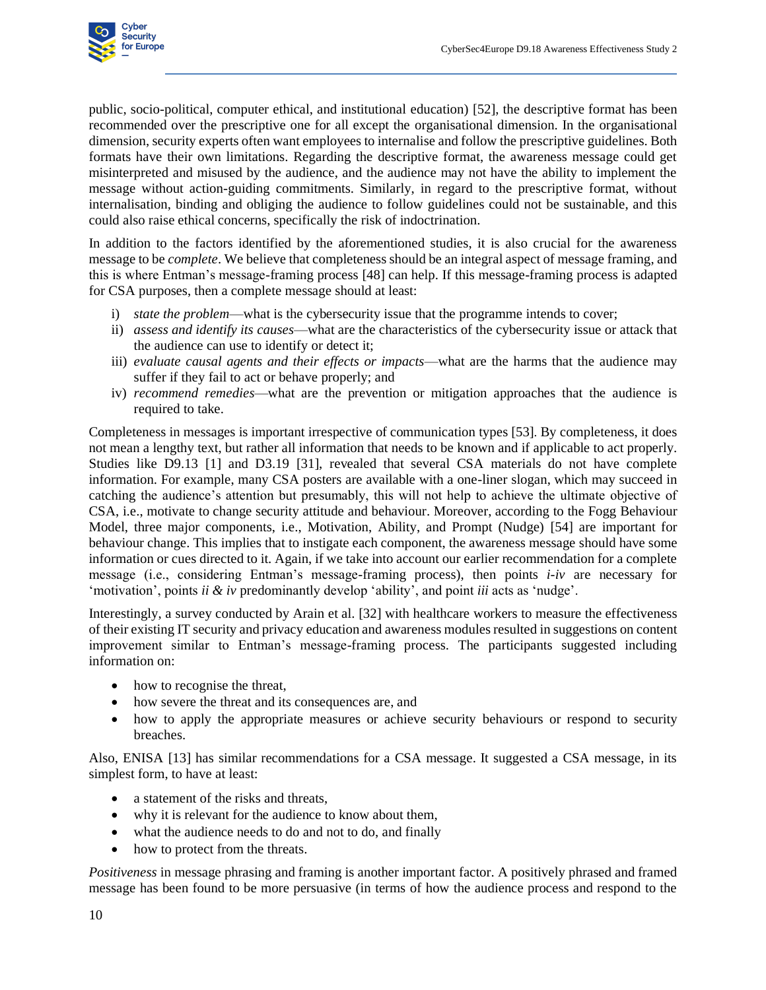

public, socio-political, computer ethical, and institutional education) [52], the descriptive format has been recommended over the prescriptive one for all except the organisational dimension. In the organisational dimension, security experts often want employees to internalise and follow the prescriptive guidelines. Both formats have their own limitations. Regarding the descriptive format, the awareness message could get misinterpreted and misused by the audience, and the audience may not have the ability to implement the message without action-guiding commitments. Similarly, in regard to the prescriptive format, without internalisation, binding and obliging the audience to follow guidelines could not be sustainable, and this could also raise ethical concerns, specifically the risk of indoctrination.

In addition to the factors identified by the aforementioned studies, it is also crucial for the awareness message to be *complete*. We believe that completeness should be an integral aspect of message framing, and this is where Entman's message-framing process [48] can help. If this message-framing process is adapted for CSA purposes, then a complete message should at least:

- i) *state the problem*—what is the cybersecurity issue that the programme intends to cover;
- ii) *assess and identify its causes*—what are the characteristics of the cybersecurity issue or attack that the audience can use to identify or detect it;
- iii) *evaluate causal agents and their effects or impacts*—what are the harms that the audience may suffer if they fail to act or behave properly; and
- iv) *recommend remedies*—what are the prevention or mitigation approaches that the audience is required to take.

Completeness in messages is important irrespective of communication types [53]. By completeness, it does not mean a lengthy text, but rather all information that needs to be known and if applicable to act properly. Studies like D9.13 [1] and D3.19 [31], revealed that several CSA materials do not have complete information. For example, many CSA posters are available with a one-liner slogan, which may succeed in catching the audience's attention but presumably, this will not help to achieve the ultimate objective of CSA, i.e., motivate to change security attitude and behaviour. Moreover, according to the Fogg Behaviour Model, three major components, i.e., Motivation, Ability, and Prompt (Nudge) [54] are important for behaviour change. This implies that to instigate each component, the awareness message should have some information or cues directed to it. Again, if we take into account our earlier recommendation for a complete message (i.e., considering Entman's message-framing process), then points *i-iv* are necessary for 'motivation', points *ii & iv* predominantly develop 'ability', and point *iii* acts as 'nudge'.

Interestingly, a survey conducted by Arain et al. [32] with healthcare workers to measure the effectiveness of their existing IT security and privacy education and awareness modules resulted in suggestions on content improvement similar to Entman's message-framing process. The participants suggested including information on:

- how to recognise the threat,
- how severe the threat and its consequences are, and
- how to apply the appropriate measures or achieve security behaviours or respond to security breaches.

Also, ENISA [13] has similar recommendations for a CSA message. It suggested a CSA message, in its simplest form, to have at least:

- a statement of the risks and threats,
- why it is relevant for the audience to know about them,
- what the audience needs to do and not to do, and finally
- how to protect from the threats.

*Positiveness* in message phrasing and framing is another important factor. A positively phrased and framed message has been found to be more persuasive (in terms of how the audience process and respond to the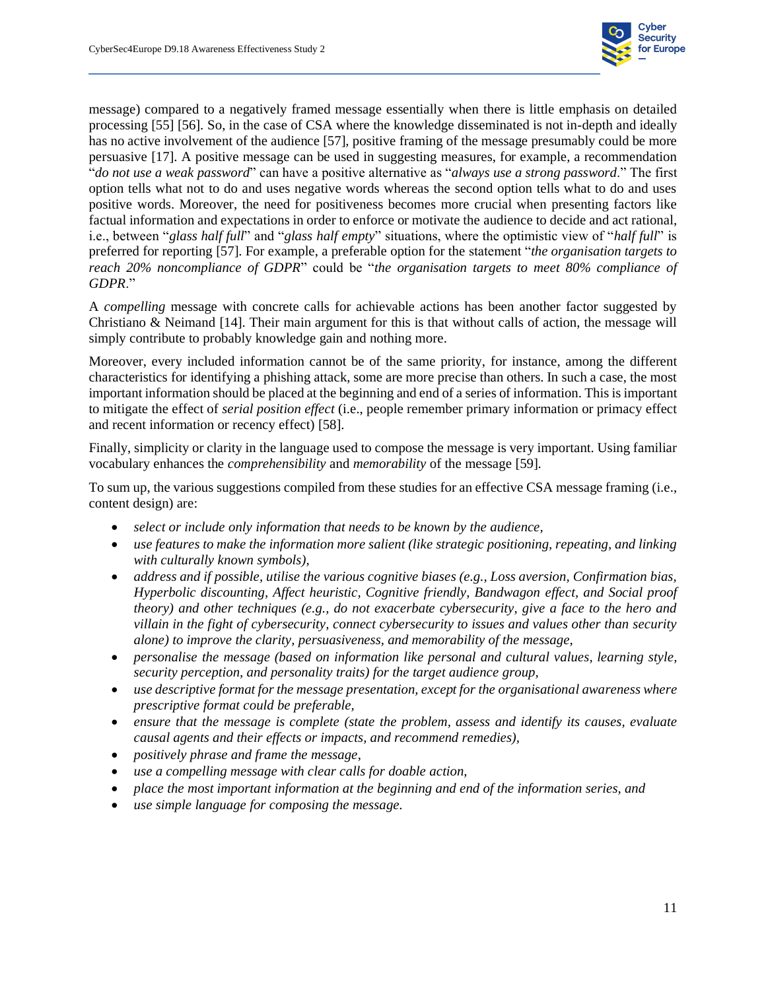

message) compared to a negatively framed message essentially when there is little emphasis on detailed processing [55] [56]. So, in the case of CSA where the knowledge disseminated is not in-depth and ideally has no active involvement of the audience [57], positive framing of the message presumably could be more persuasive [17]. A positive message can be used in suggesting measures, for example, a recommendation "*do not use a weak password*" can have a positive alternative as "*always use a strong password*." The first option tells what not to do and uses negative words whereas the second option tells what to do and uses positive words. Moreover, the need for positiveness becomes more crucial when presenting factors like factual information and expectations in order to enforce or motivate the audience to decide and act rational, i.e., between "*glass half full*" and "*glass half empty*" situations, where the optimistic view of "*half full*" is preferred for reporting [57]. For example, a preferable option for the statement "*the organisation targets to reach 20% noncompliance of GDPR*" could be "*the organisation targets to meet 80% compliance of GDPR*."

A *compelling* message with concrete calls for achievable actions has been another factor suggested by Christiano & Neimand [14]. Their main argument for this is that without calls of action, the message will simply contribute to probably knowledge gain and nothing more.

Moreover, every included information cannot be of the same priority, for instance, among the different characteristics for identifying a phishing attack, some are more precise than others. In such a case, the most important information should be placed at the beginning and end of a series of information. This is important to mitigate the effect of *serial position effect* (i.e., people remember primary information or primacy effect and recent information or recency effect) [58].

Finally, simplicity or clarity in the language used to compose the message is very important. Using familiar vocabulary enhances the *comprehensibility* and *memorability* of the message [59].

To sum up, the various suggestions compiled from these studies for an effective CSA message framing (i.e., content design) are:

- *select or include only information that needs to be known by the audience,*
- *use features to make the information more salient (like strategic positioning, repeating, and linking with culturally known symbols),*
- *address and if possible, utilise the various cognitive biases (e.g., Loss aversion, Confirmation bias, Hyperbolic discounting, Affect heuristic, Cognitive friendly, Bandwagon effect, and Social proof theory) and other techniques (e.g., do not exacerbate cybersecurity, give a face to the hero and villain in the fight of cybersecurity, connect cybersecurity to issues and values other than security alone) to improve the clarity, persuasiveness, and memorability of the message,*
- *personalise the message (based on information like personal and cultural values, learning style, security perception, and personality traits) for the target audience group,*
- *use descriptive format for the message presentation, except for the organisational awareness where prescriptive format could be preferable,*
- *ensure that the message is complete (state the problem, assess and identify its causes, evaluate causal agents and their effects or impacts, and recommend remedies),*
- *positively phrase and frame the message*,
- *use a compelling message with clear calls for doable action,*
- *place the most important information at the beginning and end of the information series, and*
- *use simple language for composing the message.*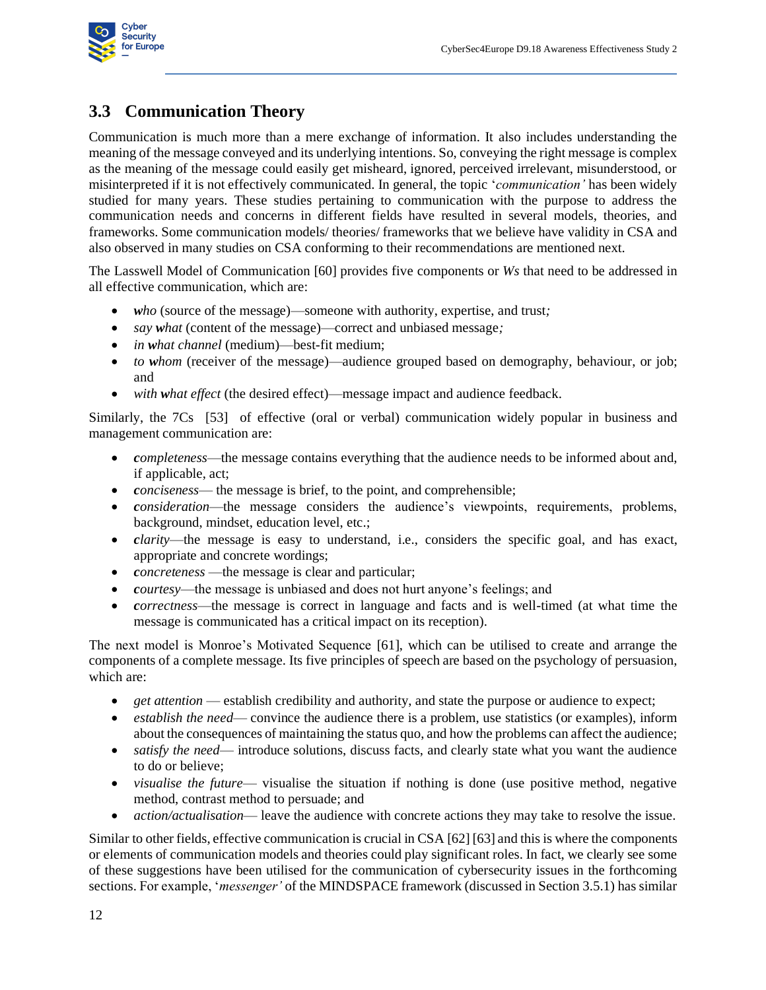

### **3.3 Communication Theory**

<span id="page-19-0"></span>Communication is much more than a mere exchange of information. It also includes understanding the meaning of the message conveyed and its underlying intentions. So, conveying the right message is complex as the meaning of the message could easily get misheard, ignored, perceived irrelevant, misunderstood, or misinterpreted if it is not effectively communicated. In general, the topic '*communication'* has been widely studied for many years. These studies pertaining to communication with the purpose to address the communication needs and concerns in different fields have resulted in several models, theories, and frameworks. Some communication models/ theories/ frameworks that we believe have validity in CSA and also observed in many studies on CSA conforming to their recommendations are mentioned next.

The Lasswell Model of Communication [60] provides five components or *Ws* that need to be addressed in all effective communication, which are:

- *who* (source of the message)—someone with authority, expertise, and trust*;*
- *say what* (content of the message)—correct and unbiased message;
- *in what channel* (medium)—best-fit medium;
- *to whom* (receiver of the message)—audience grouped based on demography, behaviour, or job; and
- with what effect (the desired effect)—message impact and audience feedback.

Similarly, the 7Cs [53] of effective (oral or verbal) communication widely popular in business and management communication are:

- *completeness*—the message contains everything that the audience needs to be informed about and, if applicable, act;
- *conciseness* the message is brief, to the point, and comprehensible;
- *consideration*—the message considers the audience's viewpoints, requirements, problems, background, mindset, education level, etc.;
- *clarity*—the message is easy to understand, i.e., considers the specific goal, and has exact, appropriate and concrete wordings;
- *concreteness* —the message is clear and particular;
- *courtesy*—the message is unbiased and does not hurt anyone's feelings; and
- *correctness*—the message is correct in language and facts and is well-timed (at what time the message is communicated has a critical impact on its reception).

The next model is Monroe's Motivated Sequence [61], which can be utilised to create and arrange the components of a complete message. Its five principles of speech are based on the psychology of persuasion, which are:

- *get attention* establish credibility and authority, and state the purpose or audience to expect;
- *establish the need* convince the audience there is a problem, use statistics (or examples), inform about the consequences of maintaining the status quo, and how the problems can affect the audience;
- *satisfy the need* introduce solutions, discuss facts, and clearly state what you want the audience to do or believe;
- *visualise the future* visualise the situation if nothing is done (use positive method, negative method, contrast method to persuade; and
- *action/actualisation* leave the audience with concrete actions they may take to resolve the issue.

Similar to other fields, effective communication is crucial in CSA [62] [63] and this is where the components or elements of communication models and theories could play significant roles. In fact, we clearly see some of these suggestions have been utilised for the communication of cybersecurity issues in the forthcoming sections. For example, '*messenger'* of the MINDSPACE framework (discussed in Sectio[n 3.5.1\)](#page-26-1) has similar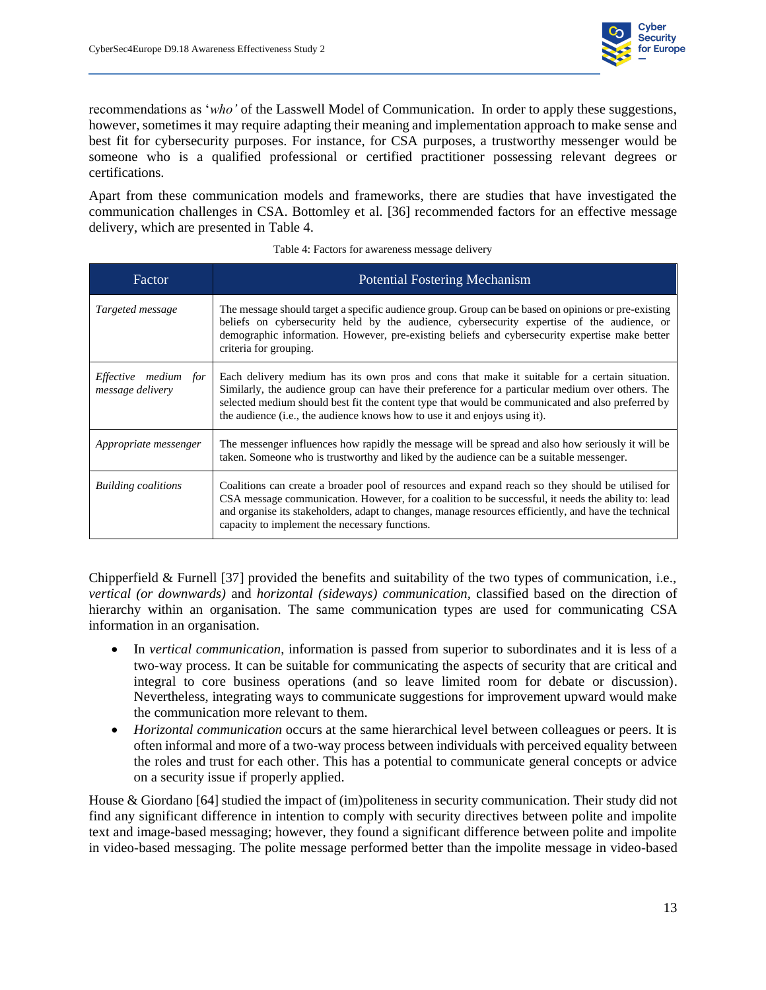

recommendations as '*who'* of the Lasswell Model of Communication. In order to apply these suggestions, however, sometimes it may require adapting their meaning and implementation approach to make sense and best fit for cybersecurity purposes. For instance, for CSA purposes, a trustworthy messenger would be someone who is a qualified professional or certified practitioner possessing relevant degrees or certifications.

Apart from these communication models and frameworks, there are studies that have investigated the communication challenges in CSA. Bottomley et al. [36] recommended factors for an effective message delivery, which are presented in [Table 4.](#page-20-1)

<span id="page-20-1"></span><span id="page-20-0"></span>

| Factor                                   | <b>Potential Fostering Mechanism</b>                                                                                                                                                                                                                                                                                                                                                 |
|------------------------------------------|--------------------------------------------------------------------------------------------------------------------------------------------------------------------------------------------------------------------------------------------------------------------------------------------------------------------------------------------------------------------------------------|
| Targeted message                         | The message should target a specific audience group. Group can be based on opinions or pre-existing<br>beliefs on cybersecurity held by the audience, cybersecurity expertise of the audience, or<br>demographic information. However, pre-existing beliefs and cybersecurity expertise make better<br>criteria for grouping.                                                        |
| Effective medium for<br>message delivery | Each delivery medium has its own pros and cons that make it suitable for a certain situation.<br>Similarly, the audience group can have their preference for a particular medium over others. The<br>selected medium should best fit the content type that would be communicated and also preferred by<br>the audience (i.e., the audience knows how to use it and enjoys using it). |
| Appropriate messenger                    | The messenger influences how rapidly the message will be spread and also how seriously it will be<br>taken. Someone who is trustworthy and liked by the audience can be a suitable messenger.                                                                                                                                                                                        |
| <b>Building coalitions</b>               | Coalitions can create a broader pool of resources and expand reach so they should be utilised for<br>CSA message communication. However, for a coalition to be successful, it needs the ability to: lead<br>and organise its stakeholders, adapt to changes, manage resources efficiently, and have the technical<br>capacity to implement the necessary functions.                  |

|  |  |  | Table 4: Factors for awareness message delivery |  |  |
|--|--|--|-------------------------------------------------|--|--|
|--|--|--|-------------------------------------------------|--|--|

Chipperfield & Furnell [37] provided the benefits and suitability of the two types of communication, i.e., *vertical (or downwards)* and *horizontal (sideways) communication,* classified based on the direction of hierarchy within an organisation. The same communication types are used for communicating CSA information in an organisation.

- In *vertical communication*, information is passed from superior to subordinates and it is less of a two-way process. It can be suitable for communicating the aspects of security that are critical and integral to core business operations (and so leave limited room for debate or discussion). Nevertheless, integrating ways to communicate suggestions for improvement upward would make the communication more relevant to them.
- *Horizontal communication* occurs at the same hierarchical level between colleagues or peers. It is often informal and more of a two-way process between individuals with perceived equality between the roles and trust for each other. This has a potential to communicate general concepts or advice on a security issue if properly applied.

House & Giordano [64] studied the impact of (im)politeness in security communication. Their study did not find any significant difference in intention to comply with security directives between polite and impolite text and image-based messaging; however, they found a significant difference between polite and impolite in video-based messaging. The polite message performed better than the impolite message in video-based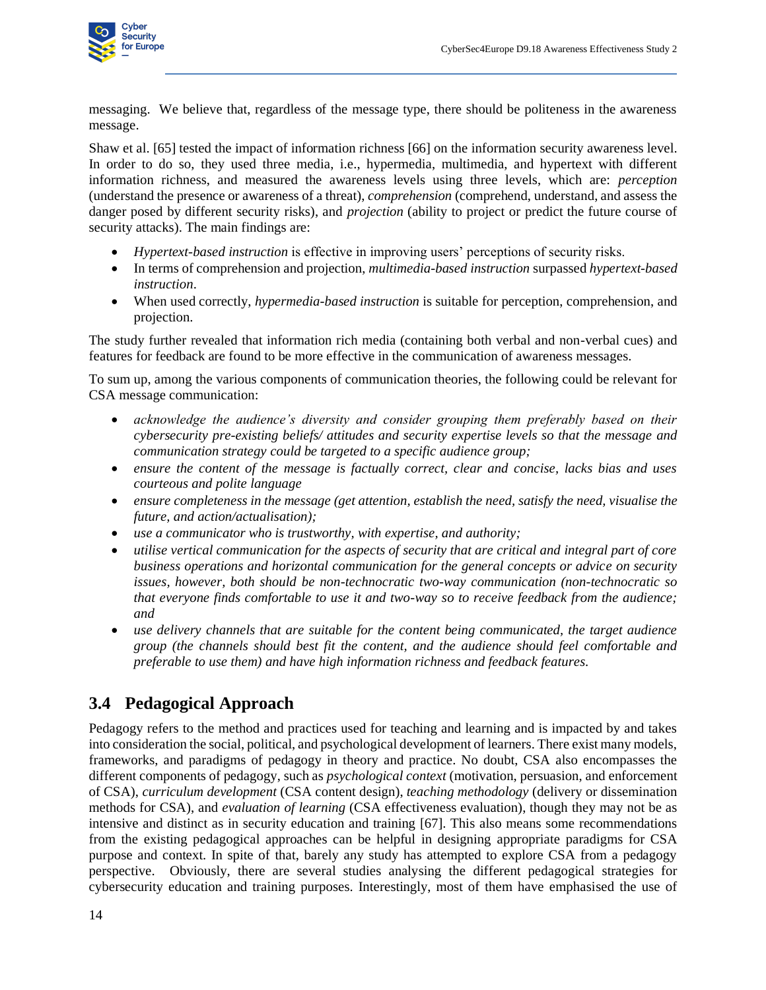

messaging. We believe that, regardless of the message type, there should be politeness in the awareness message.

Shaw et al. [65] tested the impact of information richness [66] on the information security awareness level. In order to do so, they used three media, i.e., hypermedia, multimedia, and hypertext with different information richness, and measured the awareness levels using three levels, which are: *perception* (understand the presence or awareness of a threat), *comprehension* (comprehend, understand, and assess the danger posed by different security risks), and *projection* (ability to project or predict the future course of security attacks). The main findings are:

- *Hypertext-based instruction* is effective in improving users' perceptions of security risks.
- In terms of comprehension and projection, *multimedia-based instruction* surpassed *hypertext-based instruction*.
- When used correctly, *hypermedia-based instruction* is suitable for perception, comprehension, and projection.

The study further revealed that information rich media (containing both verbal and non-verbal cues) and features for feedback are found to be more effective in the communication of awareness messages.

To sum up, among the various components of communication theories, the following could be relevant for CSA message communication:

- *acknowledge the audience's diversity and consider grouping them preferably based on their cybersecurity pre-existing beliefs/ attitudes and security expertise levels so that the message and communication strategy could be targeted to a specific audience group;*
- *ensure the content of the message is factually correct, clear and concise, lacks bias and uses courteous and polite language*
- *ensure completeness in the message (get attention, establish the need, satisfy the need, visualise the future, and action/actualisation);*
- *use a communicator who is trustworthy, with expertise, and authority;*
- *utilise vertical communication for the aspects of security that are critical and integral part of core business operations and horizontal communication for the general concepts or advice on security issues, however, both should be non-technocratic two-way communication (non-technocratic so that everyone finds comfortable to use it and two-way so to receive feedback from the audience; and*
- *use delivery channels that are suitable for the content being communicated, the target audience group (the channels should best fit the content, and the audience should feel comfortable and preferable to use them) and have high information richness and feedback features.*

### <span id="page-21-1"></span>**3.4 Pedagogical Approach**

<span id="page-21-0"></span>Pedagogy refers to the method and practices used for teaching and learning and is impacted by and takes into consideration the social, political, and psychological development of learners. There exist many models, frameworks, and paradigms of pedagogy in theory and practice. No doubt, CSA also encompasses the different components of pedagogy, such as *psychological context* (motivation, persuasion, and enforcement of CSA), *curriculum development* (CSA content design), *teaching methodology* (delivery or dissemination methods for CSA), and *evaluation of learning* (CSA effectiveness evaluation), though they may not be as intensive and distinct as in security education and training [67]. This also means some recommendations from the existing pedagogical approaches can be helpful in designing appropriate paradigms for CSA purpose and context. In spite of that, barely any study has attempted to explore CSA from a pedagogy perspective. Obviously, there are several studies analysing the different pedagogical strategies for cybersecurity education and training purposes. Interestingly, most of them have emphasised the use of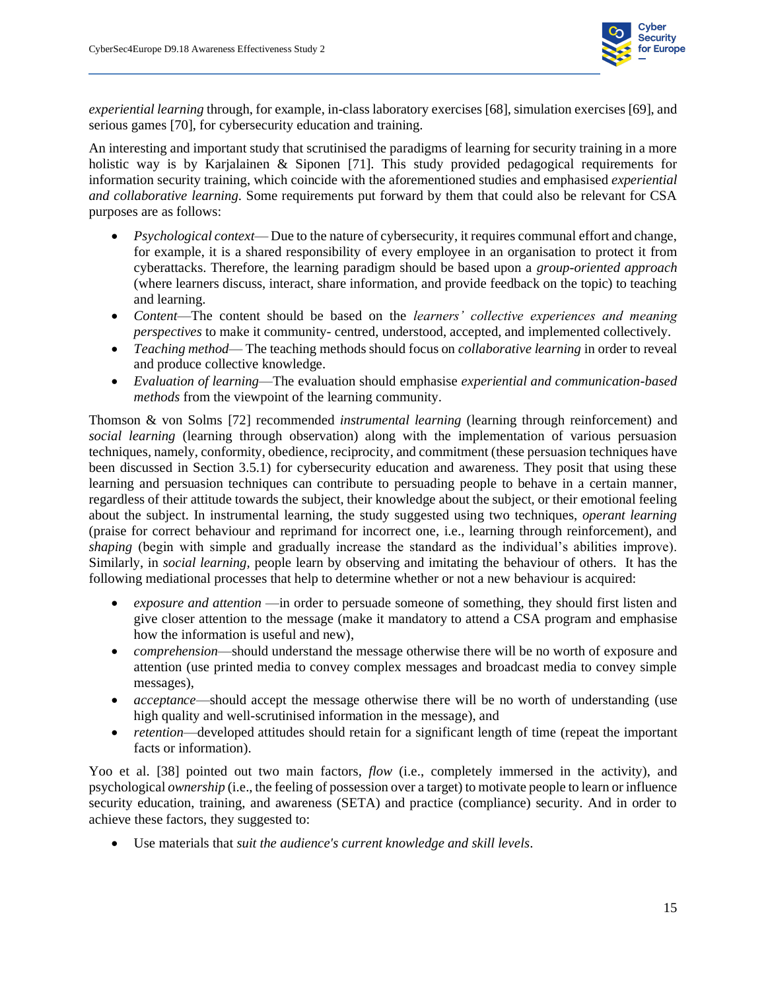

*experiential learning* through, for example, in-class laboratory exercises [68], simulation exercises [69], and serious games [70], for cybersecurity education and training.

An interesting and important study that scrutinised the paradigms of learning for security training in a more holistic way is by Karjalainen & Siponen [71]. This study provided pedagogical requirements for information security training, which coincide with the aforementioned studies and emphasised *experiential and collaborative learning*. Some requirements put forward by them that could also be relevant for CSA purposes are as follows:

- *Psychological context* Due to the nature of cybersecurity, it requires communal effort and change, for example, it is a shared responsibility of every employee in an organisation to protect it from cyberattacks. Therefore, the learning paradigm should be based upon a *group-oriented approach*  (where learners discuss, interact, share information, and provide feedback on the topic) to teaching and learning.
- *Content*—The content should be based on the *learners' collective experiences and meaning perspectives* to make it community- centred, understood, accepted, and implemented collectively.
- *Teaching method* The teaching methods should focus on *collaborative learning* in order to reveal and produce collective knowledge.
- *Evaluation of learning*—The evaluation should emphasise *experiential and communication-based methods* from the viewpoint of the learning community.

Thomson & von Solms [72] recommended *instrumental learning* (learning through reinforcement) and *social learning* (learning through observation) along with the implementation of various persuasion techniques, namely, conformity, obedience, reciprocity, and commitment (these persuasion techniques have been discussed in Section [3.5.1\)](#page-26-1) for cybersecurity education and awareness. They posit that using these learning and persuasion techniques can contribute to persuading people to behave in a certain manner, regardless of their attitude towards the subject, their knowledge about the subject, or their emotional feeling about the subject. In instrumental learning, the study suggested using two techniques, *operant learning* (praise for correct behaviour and reprimand for incorrect one, i.e., learning through reinforcement), and *shaping* (begin with simple and gradually increase the standard as the individual's abilities improve). Similarly, in *social learning,* people learn by observing and imitating the behaviour of others. It has the following mediational processes that help to determine whether or not a new behaviour is acquired:

- *exposure and attention* —in order to persuade someone of something, they should first listen and give closer attention to the message (make it mandatory to attend a CSA program and emphasise how the information is useful and new),
- *comprehension*—should understand the message otherwise there will be no worth of exposure and attention (use printed media to convey complex messages and broadcast media to convey simple messages),
- *acceptance*—should accept the message otherwise there will be no worth of understanding (use high quality and well-scrutinised information in the message), and
- *retention*—developed attitudes should retain for a significant length of time (repeat the important facts or information).

Yoo et al. [38] pointed out two main factors, *flow* (i.e., completely immersed in the activity), and psychological *ownership* (i.e., the feeling of possession over a target) to motivate people to learn or influence security education, training, and awareness (SETA) and practice (compliance) security. And in order to achieve these factors, they suggested to:

• Use materials that *suit the audience's current knowledge and skill levels*.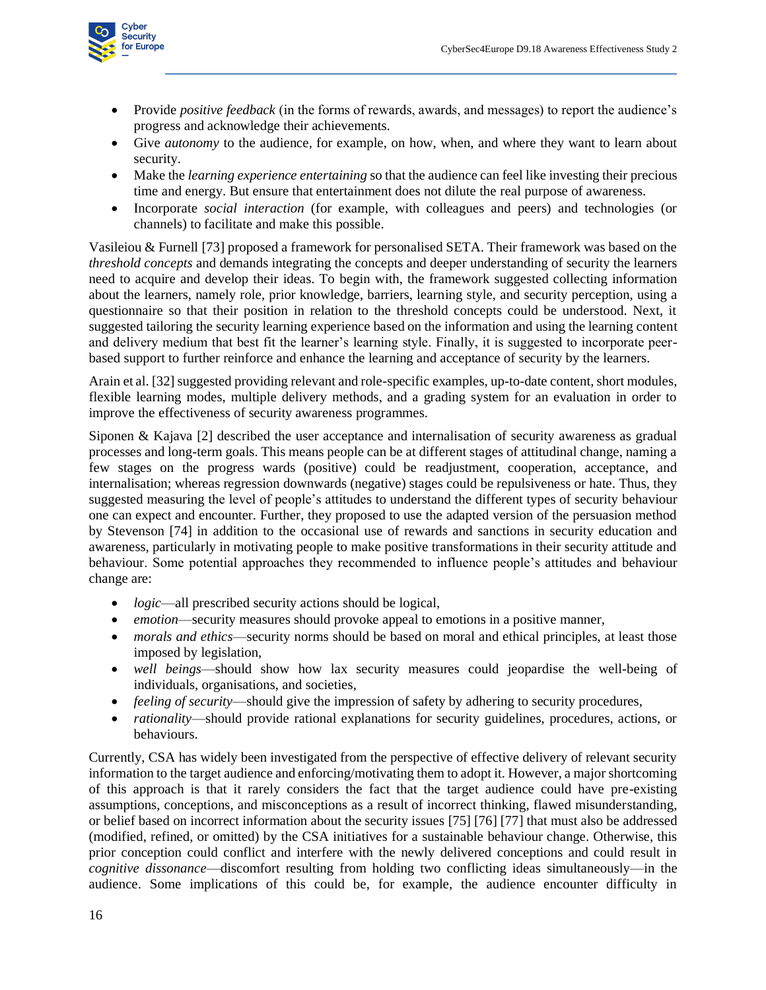

- Provide *positive feedback* (in the forms of rewards, awards, and messages) to report the audience's progress and acknowledge their achievements.
- Give *autonomy* to the audience, for example, on how, when, and where they want to learn about security.
- Make the *learning experience entertaining* so that the audience can feel like investing their precious time and energy. But ensure that entertainment does not dilute the real purpose of awareness.
- Incorporate *social interaction* (for example, with colleagues and peers) and technologies (or channels) to facilitate and make this possible.

Vasileiou & Furnell [73] proposed a framework for personalised SETA. Their framework was based on the *threshold concepts* and demands integrating the concepts and deeper understanding of security the learners need to acquire and develop their ideas. To begin with, the framework suggested collecting information about the learners, namely role, prior knowledge, barriers, learning style, and security perception, using a questionnaire so that their position in relation to the threshold concepts could be understood. Next, it suggested tailoring the security learning experience based on the information and using the learning content and delivery medium that best fit the learner's learning style. Finally, it is suggested to incorporate peerbased support to further reinforce and enhance the learning and acceptance of security by the learners.

Arain et al. [32] suggested providing relevant and role-specific examples, up-to-date content, short modules, flexible learning modes, multiple delivery methods, and a grading system for an evaluation in order to improve the effectiveness of security awareness programmes.

Siponen & Kajava [2] described the user acceptance and internalisation of security awareness as gradual processes and long-term goals. This means people can be at different stages of attitudinal change, naming a few stages on the progress wards (positive) could be readjustment, cooperation, acceptance, and internalisation; whereas regression downwards (negative) stages could be repulsiveness or hate. Thus, they suggested measuring the level of people's attitudes to understand the different types of security behaviour one can expect and encounter. Further, they proposed to use the adapted version of the persuasion method by Stevenson [74] in addition to the occasional use of rewards and sanctions in security education and awareness, particularly in motivating people to make positive transformations in their security attitude and behaviour. Some potential approaches they recommended to influence people's attitudes and behaviour change are:

- *logic*—all prescribed security actions should be logical,
- *emotion*—security measures should provoke appeal to emotions in a positive manner,
- *morals and ethics*—security norms should be based on moral and ethical principles, at least those imposed by legislation,
- *well beings*—should show how lax security measures could jeopardise the well-being of individuals, organisations, and societies,
- *feeling of security*—should give the impression of safety by adhering to security procedures,
- *rationality*—should provide rational explanations for security guidelines, procedures, actions, or behaviours.

Currently, CSA has widely been investigated from the perspective of effective delivery of relevant security information to the target audience and enforcing/motivating them to adopt it. However, a major shortcoming of this approach is that it rarely considers the fact that the target audience could have pre-existing assumptions, conceptions, and misconceptions as a result of incorrect thinking, flawed misunderstanding, or belief based on incorrect information about the security issues [75] [76] [77] that must also be addressed (modified, refined, or omitted) by the CSA initiatives for a sustainable behaviour change. Otherwise, this prior conception could conflict and interfere with the newly delivered conceptions and could result in *cognitive dissonance*—discomfort resulting from holding two conflicting ideas simultaneously—in the audience. Some implications of this could be, for example, the audience encounter difficulty in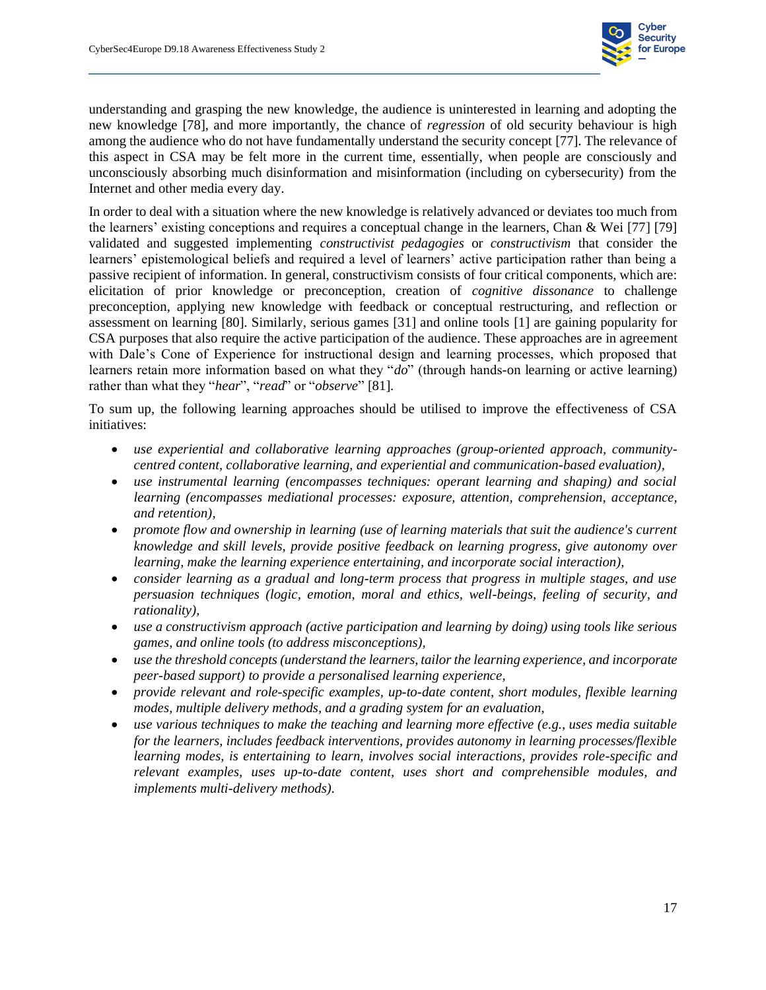

understanding and grasping the new knowledge, the audience is uninterested in learning and adopting the new knowledge [78], and more importantly, the chance of *regression* of old security behaviour is high among the audience who do not have fundamentally understand the security concept [77]. The relevance of this aspect in CSA may be felt more in the current time, essentially, when people are consciously and unconsciously absorbing much disinformation and misinformation (including on cybersecurity) from the Internet and other media every day.

In order to deal with a situation where the new knowledge is relatively advanced or deviates too much from the learners' existing conceptions and requires a conceptual change in the learners, Chan & Wei [77] [79] validated and suggested implementing *constructivist pedagogies* or *constructivism* that consider the learners' epistemological beliefs and required a level of learners' active participation rather than being a passive recipient of information. In general, constructivism consists of four critical components, which are: elicitation of prior knowledge or preconception, creation of *cognitive dissonance* to challenge preconception, applying new knowledge with feedback or conceptual restructuring, and reflection or assessment on learning [80]. Similarly, serious games [31] and online tools [1] are gaining popularity for CSA purposes that also require the active participation of the audience. These approaches are in agreement with Dale's Cone of Experience for instructional design and learning processes, which proposed that learners retain more information based on what they "*do*" (through hands-on learning or active learning) rather than what they "*hear*", "*read*" or "*observe*" [81].

To sum up, the following learning approaches should be utilised to improve the effectiveness of CSA initiatives:

- *use experiential and collaborative learning approaches (group-oriented approach, communitycentred content, collaborative learning, and experiential and communication-based evaluation),*
- *use instrumental learning (encompasses techniques: operant learning and shaping) and social learning (encompasses mediational processes: exposure, attention, comprehension, acceptance, and retention),*
- *promote flow and ownership in learning (use of learning materials that suit the audience's current knowledge and skill levels, provide positive feedback on learning progress, give autonomy over learning, make the learning experience entertaining, and incorporate social interaction),*
- *consider learning as a gradual and long-term process that progress in multiple stages, and use persuasion techniques (logic, emotion, moral and ethics, well-beings, feeling of security, and rationality),*
- *use a constructivism approach (active participation and learning by doing) using tools like serious games, and online tools (to address misconceptions),*
- *use the threshold concepts (understand the learners, tailor the learning experience, and incorporate peer-based support) to provide a personalised learning experience,*
- *provide relevant and role-specific examples, up-to-date content, short modules, flexible learning modes, multiple delivery methods, and a grading system for an evaluation,*
- *use various techniques to make the teaching and learning more effective (e.g., uses media suitable for the learners, includes feedback interventions, provides autonomy in learning processes/flexible learning modes, is entertaining to learn, involves social interactions, provides role-specific and relevant examples, uses up-to-date content, uses short and comprehensible modules, and implements multi-delivery methods).*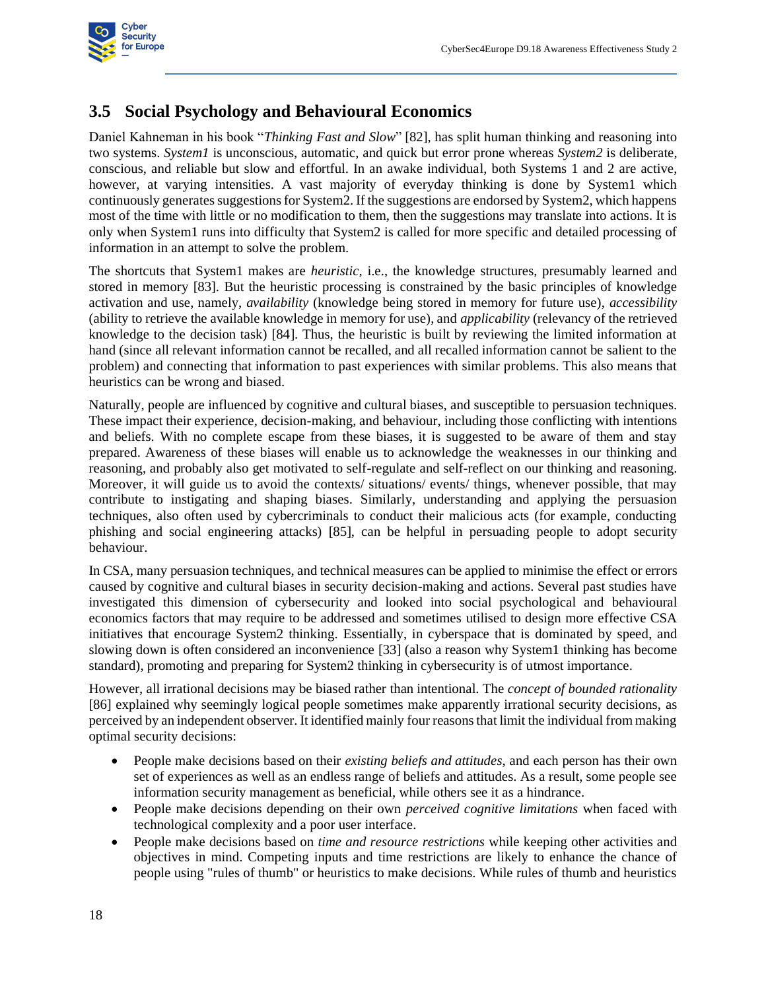

#### **3.5 Social Psychology and Behavioural Economics**

<span id="page-25-0"></span>Daniel Kahneman in his book "*Thinking Fast and Slow*" [82], has split human thinking and reasoning into two systems. *System1* is unconscious, automatic, and quick but error prone whereas *System2* is deliberate, conscious, and reliable but slow and effortful. In an awake individual, both Systems 1 and 2 are active, however, at varying intensities. A vast majority of everyday thinking is done by System1 which continuously generates suggestions for System2. If the suggestions are endorsed by System2, which happens most of the time with little or no modification to them, then the suggestions may translate into actions. It is only when System1 runs into difficulty that System2 is called for more specific and detailed processing of information in an attempt to solve the problem.

The shortcuts that System1 makes are *heuristic,* i.e., the knowledge structures, presumably learned and stored in memory [83]. But the heuristic processing is constrained by the basic principles of knowledge activation and use, namely, *availability* (knowledge being stored in memory for future use), *accessibility* (ability to retrieve the available knowledge in memory for use), and *applicability* (relevancy of the retrieved knowledge to the decision task) [84]. Thus, the heuristic is built by reviewing the limited information at hand (since all relevant information cannot be recalled, and all recalled information cannot be salient to the problem) and connecting that information to past experiences with similar problems. This also means that heuristics can be wrong and biased.

Naturally, people are influenced by cognitive and cultural biases, and susceptible to persuasion techniques. These impact their experience, decision-making, and behaviour, including those conflicting with intentions and beliefs. With no complete escape from these biases, it is suggested to be aware of them and stay prepared. Awareness of these biases will enable us to acknowledge the weaknesses in our thinking and reasoning, and probably also get motivated to self-regulate and self-reflect on our thinking and reasoning. Moreover, it will guide us to avoid the contexts/ situations/ events/ things, whenever possible, that may contribute to instigating and shaping biases. Similarly, understanding and applying the persuasion techniques, also often used by cybercriminals to conduct their malicious acts (for example, conducting phishing and social engineering attacks) [85], can be helpful in persuading people to adopt security behaviour.

In CSA, many persuasion techniques, and technical measures can be applied to minimise the effect or errors caused by cognitive and cultural biases in security decision-making and actions. Several past studies have investigated this dimension of cybersecurity and looked into social psychological and behavioural economics factors that may require to be addressed and sometimes utilised to design more effective CSA initiatives that encourage System2 thinking. Essentially, in cyberspace that is dominated by speed, and slowing down is often considered an inconvenience [33] (also a reason why System1 thinking has become standard), promoting and preparing for System2 thinking in cybersecurity is of utmost importance.

However, all irrational decisions may be biased rather than intentional. The *concept of bounded rationality* [86] explained why seemingly logical people sometimes make apparently irrational security decisions, as perceived by an independent observer. It identified mainly four reasons that limit the individual from making optimal security decisions:

- People make decisions based on their *existing beliefs and attitudes*, and each person has their own set of experiences as well as an endless range of beliefs and attitudes. As a result, some people see information security management as beneficial, while others see it as a hindrance.
- People make decisions depending on their own *perceived cognitive limitations* when faced with technological complexity and a poor user interface.
- People make decisions based on *time and resource restrictions* while keeping other activities and objectives in mind. Competing inputs and time restrictions are likely to enhance the chance of people using "rules of thumb" or heuristics to make decisions. While rules of thumb and heuristics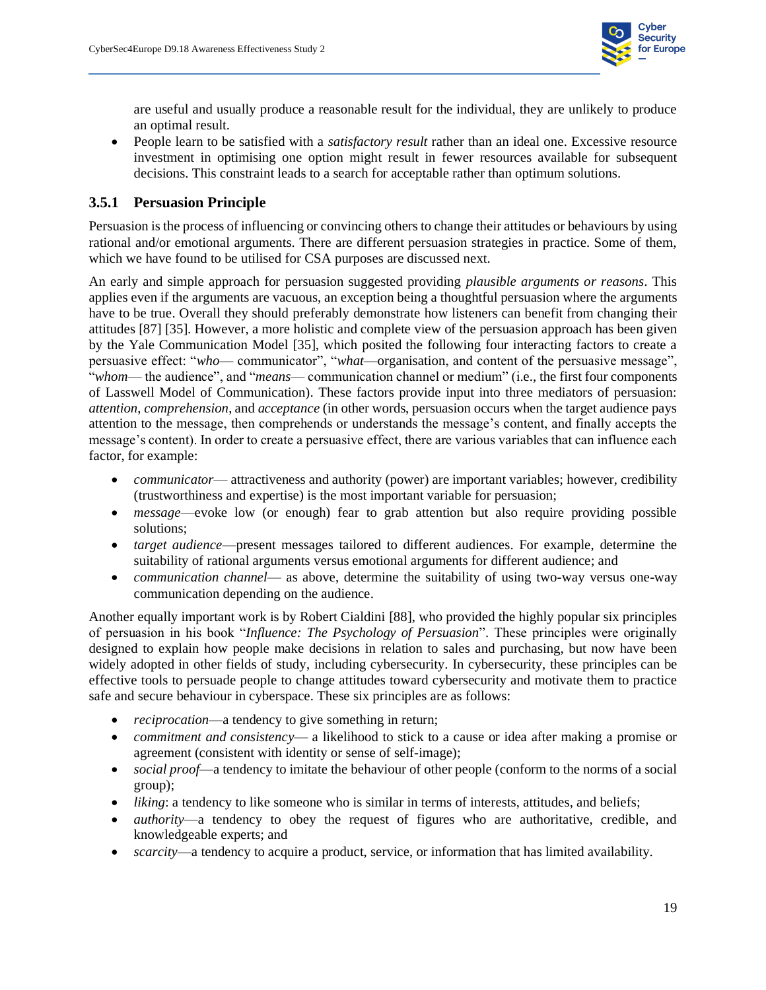

are useful and usually produce a reasonable result for the individual, they are unlikely to produce an optimal result.

• People learn to be satisfied with a *satisfactory result* rather than an ideal one. Excessive resource investment in optimising one option might result in fewer resources available for subsequent decisions. This constraint leads to a search for acceptable rather than optimum solutions.

#### <span id="page-26-1"></span>**3.5.1 Persuasion Principle**

Persuasion is the process of influencing or convincing others to change their attitudes or behaviours by using rational and/or emotional arguments. There are different persuasion strategies in practice. Some of them, which we have found to be utilised for CSA purposes are discussed next.

<span id="page-26-0"></span>An early and simple approach for persuasion suggested providing *plausible arguments or reasons*. This applies even if the arguments are vacuous, an exception being a thoughtful persuasion where the arguments have to be true. Overall they should preferably demonstrate how listeners can benefit from changing their attitudes [87] [35]. However, a more holistic and complete view of the persuasion approach has been given by the Yale Communication Model [35], which posited the following four interacting factors to create a persuasive effect: "*who*— communicator", "*what*—organisation, and content of the persuasive message", "*whom*— the audience", and "*means*— communication channel or medium" (i.e., the first four components of Lasswell Model of Communication). These factors provide input into three mediators of persuasion: *attention*, *comprehension*, and *acceptance* (in other words, persuasion occurs when the target audience pays attention to the message, then comprehends or understands the message's content, and finally accepts the message's content). In order to create a persuasive effect, there are various variables that can influence each factor, for example:

- *communicator* attractiveness and authority (power) are important variables; however, credibility (trustworthiness and expertise) is the most important variable for persuasion;
- *message*—evoke low (or enough) fear to grab attention but also require providing possible solutions;
- *target audience*—present messages tailored to different audiences. For example, determine the suitability of rational arguments versus emotional arguments for different audience; and
- *communication channel* as above, determine the suitability of using two-way versus one-way communication depending on the audience.

Another equally important work is by Robert Cialdini [88], who provided the highly popular six principles of persuasion in his book "*Influence: The Psychology of Persuasion*". These principles were originally designed to explain how people make decisions in relation to sales and purchasing, but now have been widely adopted in other fields of study, including cybersecurity. In cybersecurity, these principles can be effective tools to persuade people to change attitudes toward cybersecurity and motivate them to practice safe and secure behaviour in cyberspace. These six principles are as follows:

- *reciprocation*—a tendency to give something in return;
- *commitment and consistency* a likelihood to stick to a cause or idea after making a promise or agreement (consistent with identity or sense of self-image);
- *social proof*—a tendency to imitate the behaviour of other people (conform to the norms of a social group);
- *liking*: a tendency to like someone who is similar in terms of interests, attitudes, and beliefs;
- *authority*—a tendency to obey the request of figures who are authoritative, credible, and knowledgeable experts; and
- *scarcity*—a tendency to acquire a product, service, or information that has limited availability.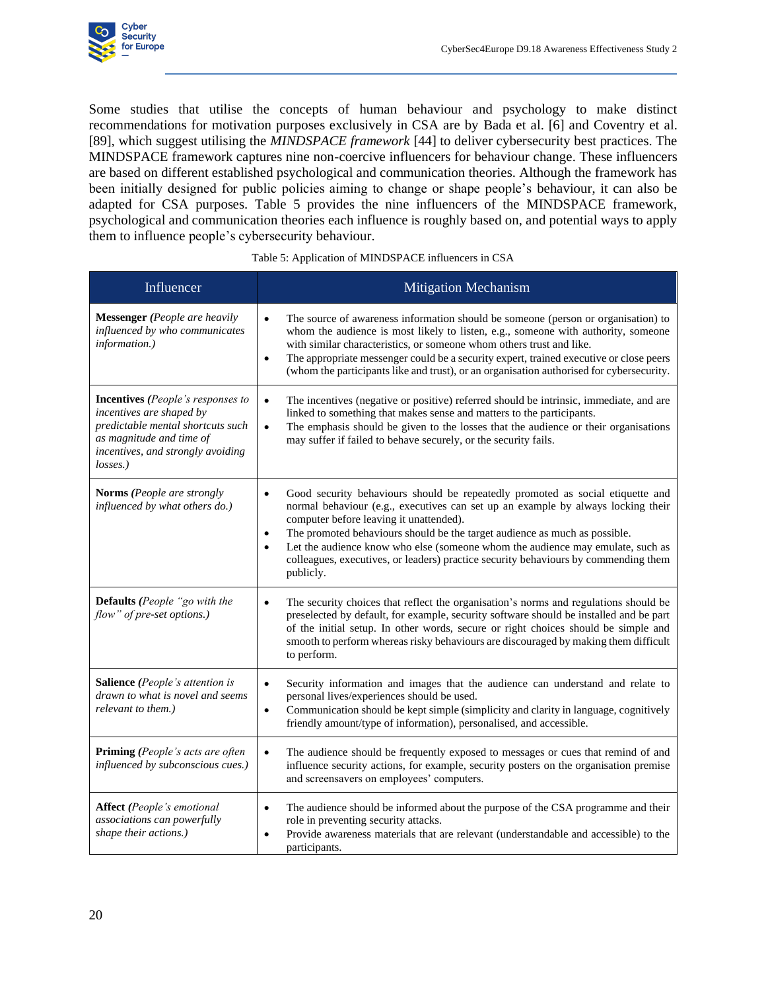

Some studies that utilise the concepts of human behaviour and psychology to make distinct recommendations for motivation purposes exclusively in CSA are by Bada et al. [6] and Coventry et al. [89], which suggest utilising the *MINDSPACE framework* [44] to deliver cybersecurity best practices. The MINDSPACE framework captures nine non-coercive influencers for behaviour change. These influencers are based on different established psychological and communication theories. Although the framework has been initially designed for public policies aiming to change or shape people's behaviour, it can also be adapted for CSA purposes. [Table 5](#page-27-1) provides the nine influencers of the MINDSPACE framework, psychological and communication theories each influence is roughly based on, and potential ways to apply them to influence people's cybersecurity behaviour.

<span id="page-27-1"></span><span id="page-27-0"></span>

| Influencer                                                                                                                                                                             | <b>Mitigation Mechanism</b>                                                                                                                                                                                                                                                                                                                                                                                                                                                                                 |
|----------------------------------------------------------------------------------------------------------------------------------------------------------------------------------------|-------------------------------------------------------------------------------------------------------------------------------------------------------------------------------------------------------------------------------------------------------------------------------------------------------------------------------------------------------------------------------------------------------------------------------------------------------------------------------------------------------------|
| <b>Messenger</b> (People are heavily<br>influenced by who communicates<br>information.)                                                                                                | The source of awareness information should be someone (person or organisation) to<br>$\bullet$<br>whom the audience is most likely to listen, e.g., someone with authority, someone<br>with similar characteristics, or someone whom others trust and like.<br>The appropriate messenger could be a security expert, trained executive or close peers<br>$\bullet$<br>(whom the participants like and trust), or an organisation authorised for cybersecurity.                                              |
| <b>Incentives</b> (People's responses to<br>incentives are shaped by<br>predictable mental shortcuts such<br>as magnitude and time of<br>incentives, and strongly avoiding<br>losses.) | The incentives (negative or positive) referred should be intrinsic, immediate, and are<br>$\bullet$<br>linked to something that makes sense and matters to the participants.<br>The emphasis should be given to the losses that the audience or their organisations<br>$\bullet$<br>may suffer if failed to behave securely, or the security fails.                                                                                                                                                         |
| <b>Norms</b> (People are strongly<br>influenced by what others do.)                                                                                                                    | Good security behaviours should be repeatedly promoted as social etiquette and<br>$\bullet$<br>normal behaviour (e.g., executives can set up an example by always locking their<br>computer before leaving it unattended).<br>The promoted behaviours should be the target audience as much as possible.<br>$\bullet$<br>Let the audience know who else (someone whom the audience may emulate, such as<br>colleagues, executives, or leaders) practice security behaviours by commending them<br>publicly. |
| <b>Defaults</b> (People "go with the<br>flow" of pre-set options.)                                                                                                                     | The security choices that reflect the organisation's norms and regulations should be<br>$\bullet$<br>preselected by default, for example, security software should be installed and be part<br>of the initial setup. In other words, secure or right choices should be simple and<br>smooth to perform whereas risky behaviours are discouraged by making them difficult<br>to perform.                                                                                                                     |
| <b>Salience</b> (People's attention is<br>drawn to what is novel and seems<br>relevant to them.)                                                                                       | Security information and images that the audience can understand and relate to<br>$\bullet$<br>personal lives/experiences should be used.<br>Communication should be kept simple (simplicity and clarity in language, cognitively<br>$\bullet$<br>friendly amount/type of information), personalised, and accessible.                                                                                                                                                                                       |
| <b>Priming</b> (People's acts are often<br>influenced by subconscious cues.)                                                                                                           | The audience should be frequently exposed to messages or cues that remind of and<br>$\bullet$<br>influence security actions, for example, security posters on the organisation premise<br>and screensavers on employees' computers.                                                                                                                                                                                                                                                                         |
| <b>Affect</b> (People's emotional<br>associations can powerfully<br>shape their actions.)                                                                                              | The audience should be informed about the purpose of the CSA programme and their<br>$\bullet$<br>role in preventing security attacks.<br>Provide awareness materials that are relevant (understandable and accessible) to the<br>$\bullet$<br>participants.                                                                                                                                                                                                                                                 |

#### Table 5: Application of MINDSPACE influencers in CSA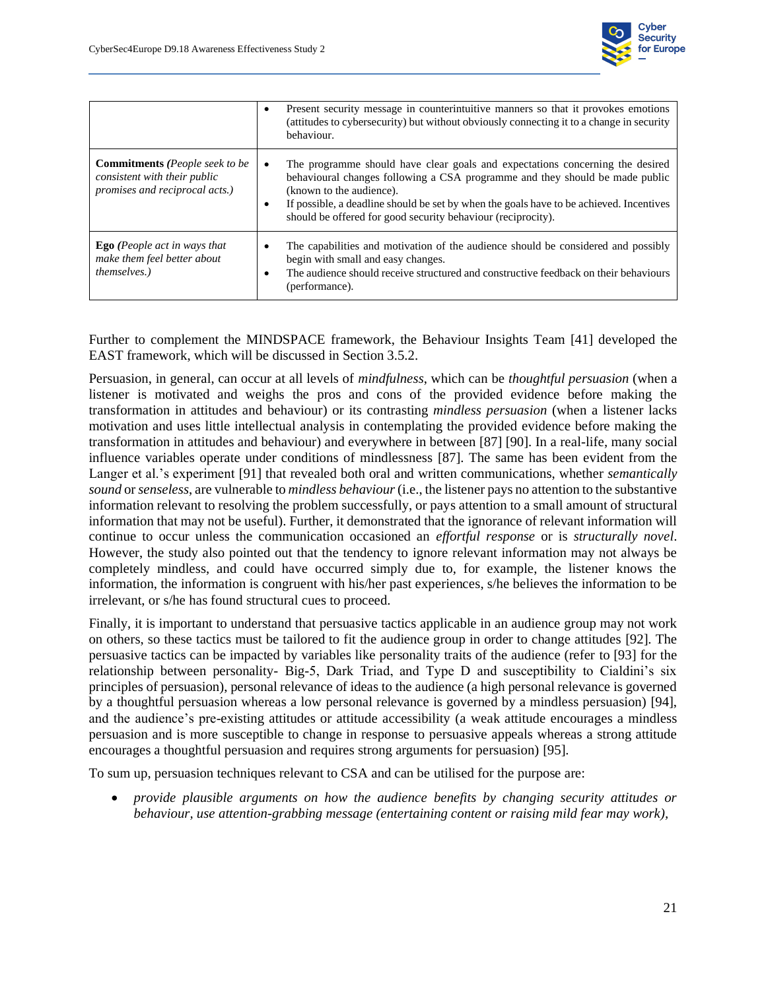

|                                                                                                                        | $\bullet$      | Present security message in counterintuitive manners so that it provokes emotions<br>(attitudes to cybersecurity) but without obviously connecting it to a change in security<br>behaviour.                                                                                                                                                          |
|------------------------------------------------------------------------------------------------------------------------|----------------|------------------------------------------------------------------------------------------------------------------------------------------------------------------------------------------------------------------------------------------------------------------------------------------------------------------------------------------------------|
| <b>Commitments</b> ( <i>People seek to be</i><br>consistent with their public<br><i>promises and reciprocal acts.)</i> | $\bullet$      | The programme should have clear goals and expectations concerning the desired<br>behavioural changes following a CSA programme and they should be made public<br>(known to the audience).<br>If possible, a deadline should be set by when the goals have to be achieved. Incentives<br>should be offered for good security behaviour (reciprocity). |
| <b>Ego</b> (People act in ways that<br>make them feel better about<br><i>themselves.</i> )                             | $\bullet$<br>٠ | The capabilities and motivation of the audience should be considered and possibly<br>begin with small and easy changes.<br>The audience should receive structured and constructive feedback on their behaviours<br>(performance).                                                                                                                    |

Further to complement the MINDSPACE framework, the Behaviour Insights Team [41] developed the EAST framework, which will be discussed in Sectio[n 3.5.2.](#page-29-1)

Persuasion, in general, can occur at all levels of *mindfulness*, which can be *thoughtful persuasion* (when a listener is motivated and weighs the pros and cons of the provided evidence before making the transformation in attitudes and behaviour) or its contrasting *mindless persuasion* (when a listener lacks motivation and uses little intellectual analysis in contemplating the provided evidence before making the transformation in attitudes and behaviour) and everywhere in between [87] [90]. In a real-life, many social influence variables operate under conditions of mindlessness [87]. The same has been evident from the Langer et al.'s experiment [91] that revealed both oral and written communications, whether *semantically sound* or *senseless*, are vulnerable to *mindless behaviour*(i.e., the listener pays no attention to the substantive information relevant to resolving the problem successfully, or pays attention to a small amount of structural information that may not be useful). Further, it demonstrated that the ignorance of relevant information will continue to occur unless the communication occasioned an *effortful response* or is *structurally novel*. However, the study also pointed out that the tendency to ignore relevant information may not always be completely mindless, and could have occurred simply due to, for example, the listener knows the information, the information is congruent with his/her past experiences, s/he believes the information to be irrelevant, or s/he has found structural cues to proceed.

Finally, it is important to understand that persuasive tactics applicable in an audience group may not work on others, so these tactics must be tailored to fit the audience group in order to change attitudes [92]. The persuasive tactics can be impacted by variables like personality traits of the audience (refer to [93] for the relationship between personality- Big-5, Dark Triad, and Type D and susceptibility to Cialdini's six principles of persuasion), personal relevance of ideas to the audience (a high personal relevance is governed by a thoughtful persuasion whereas a low personal relevance is governed by a mindless persuasion) [94], and the audience's pre-existing attitudes or attitude accessibility (a weak attitude encourages a mindless persuasion and is more susceptible to change in response to persuasive appeals whereas a strong attitude encourages a thoughtful persuasion and requires strong arguments for persuasion) [95].

To sum up, persuasion techniques relevant to CSA and can be utilised for the purpose are:

• *provide plausible arguments on how the audience benefits by changing security attitudes or behaviour, use attention-grabbing message (entertaining content or raising mild fear may work),*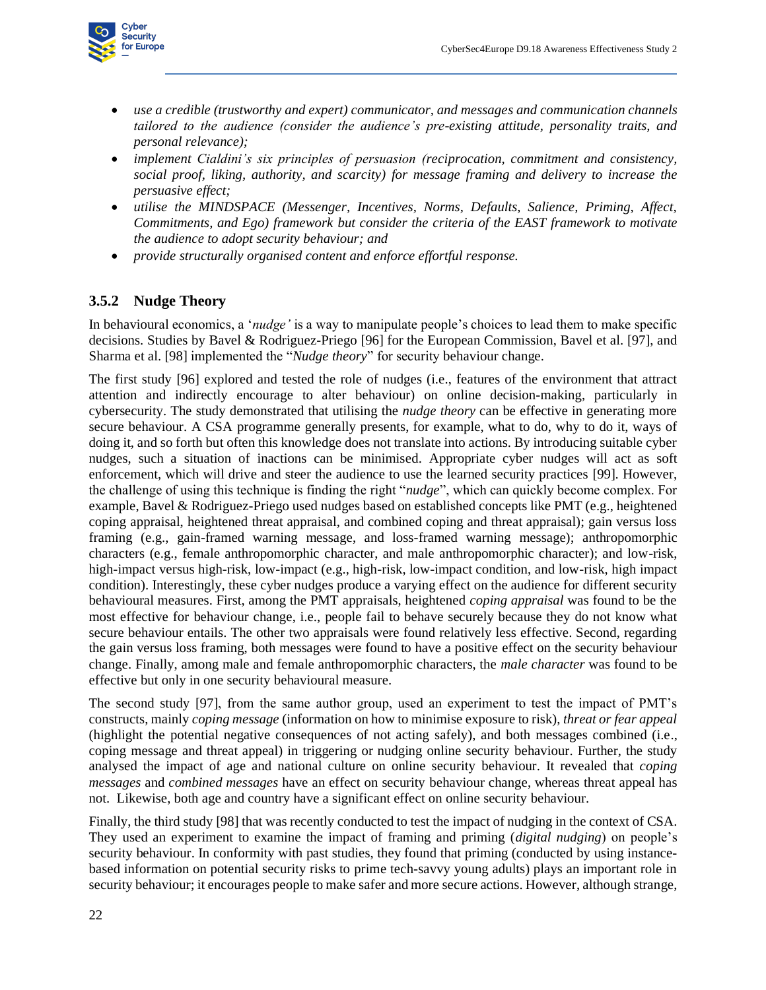

- *use a credible (trustworthy and expert) communicator, and messages and communication channels tailored to the audience (consider the audience's pre-existing attitude, personality traits, and personal relevance);*
- *implement Cialdini's six principles of persuasion (reciprocation, commitment and consistency, social proof, liking, authority, and scarcity) for message framing and delivery to increase the persuasive effect;*
- *utilise the MINDSPACE (Messenger, Incentives, Norms, Defaults, Salience, Priming, Affect, Commitments, and Ego) framework but consider the criteria of the EAST framework to motivate the audience to adopt security behaviour; and*
- *provide structurally organised content and enforce effortful response.*

#### <span id="page-29-1"></span>**3.5.2 Nudge Theory**

In behavioural economics, a '*nudge'* is a way to manipulate people's choices to lead them to make specific decisions. Studies by Bavel & Rodriguez-Priego [96] for the European Commission, Bavel et al. [97], and Sharma et al. [98] implemented the "*Nudge theory*" for security behaviour change.

<span id="page-29-0"></span>The first study [96] explored and tested the role of nudges (i.e., features of the environment that attract attention and indirectly encourage to alter behaviour) on online decision-making, particularly in cybersecurity. The study demonstrated that utilising the *nudge theory* can be effective in generating more secure behaviour. A CSA programme generally presents, for example, what to do, why to do it, ways of doing it, and so forth but often this knowledge does not translate into actions. By introducing suitable cyber nudges, such a situation of inactions can be minimised. Appropriate cyber nudges will act as soft enforcement, which will drive and steer the audience to use the learned security practices [99]. However, the challenge of using this technique is finding the right "*nudge*", which can quickly become complex. For example, Bavel & Rodriguez-Priego used nudges based on established concepts like PMT (e.g., heightened coping appraisal, heightened threat appraisal, and combined coping and threat appraisal); gain versus loss framing (e.g., gain-framed warning message, and loss-framed warning message); anthropomorphic characters (e.g., female anthropomorphic character, and male anthropomorphic character); and low-risk, high-impact versus high-risk, low-impact (e.g., high-risk, low-impact condition, and low-risk, high impact condition). Interestingly, these cyber nudges produce a varying effect on the audience for different security behavioural measures. First, among the PMT appraisals, heightened *coping appraisal* was found to be the most effective for behaviour change, i.e., people fail to behave securely because they do not know what secure behaviour entails. The other two appraisals were found relatively less effective. Second, regarding the gain versus loss framing, both messages were found to have a positive effect on the security behaviour change. Finally, among male and female anthropomorphic characters, the *male character* was found to be effective but only in one security behavioural measure.

The second study [97], from the same author group, used an experiment to test the impact of PMT's constructs, mainly *coping message* (information on how to minimise exposure to risk), *threat or fear appeal* (highlight the potential negative consequences of not acting safely), and both messages combined (i.e., coping message and threat appeal) in triggering or nudging online security behaviour. Further, the study analysed the impact of age and national culture on online security behaviour. It revealed that *coping messages* and *combined messages* have an effect on security behaviour change, whereas threat appeal has not. Likewise, both age and country have a significant effect on online security behaviour.

Finally, the third study [98] that was recently conducted to test the impact of nudging in the context of CSA. They used an experiment to examine the impact of framing and priming (*digital nudging*) on people's security behaviour. In conformity with past studies, they found that priming (conducted by using instancebased information on potential security risks to prime tech-savvy young adults) plays an important role in security behaviour; it encourages people to make safer and more secure actions. However, although strange,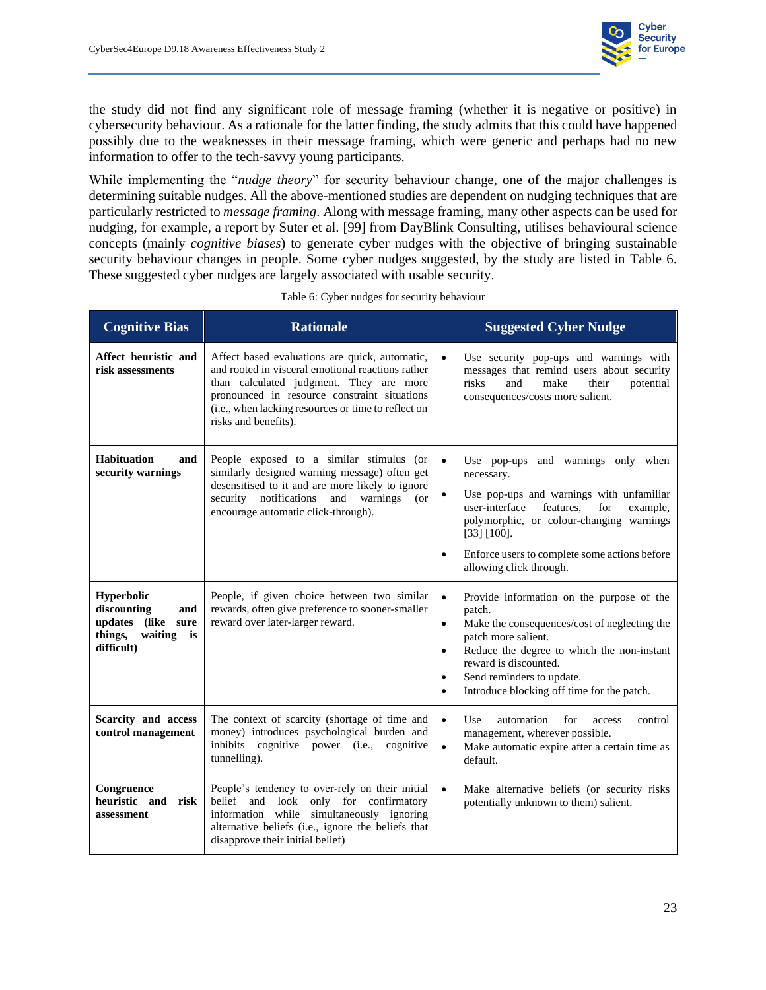

the study did not find any significant role of message framing (whether it is negative or positive) in cybersecurity behaviour. As a rationale for the latter finding, the study admits that this could have happened possibly due to the weaknesses in their message framing, which were generic and perhaps had no new information to offer to the tech-savvy young participants.

While implementing the "*nudge theory*" for security behaviour change, one of the major challenges is determining suitable nudges. All the above-mentioned studies are dependent on nudging techniques that are particularly restricted to *message framing*. Along with message framing, many other aspects can be used for nudging, for example, a report by Suter et al. [99] from DayBlink Consulting, utilises behavioural science concepts (mainly *cognitive biases*) to generate cyber nudges with the objective of bringing sustainable security behaviour changes in people. Some cyber nudges suggested, by the study are listed in [Table 6.](#page-30-1) These suggested cyber nudges are largely associated with usable security.

<span id="page-30-1"></span><span id="page-30-0"></span>

| <b>Cognitive Bias</b>                                                                                   | <b>Rationale</b>                                                                                                                                                                                                                                                              | <b>Suggested Cyber Nudge</b>                                                                                                                                                                                                                                                                                                                  |
|---------------------------------------------------------------------------------------------------------|-------------------------------------------------------------------------------------------------------------------------------------------------------------------------------------------------------------------------------------------------------------------------------|-----------------------------------------------------------------------------------------------------------------------------------------------------------------------------------------------------------------------------------------------------------------------------------------------------------------------------------------------|
| Affect heuristic and<br>risk assessments                                                                | Affect based evaluations are quick, automatic,<br>and rooted in visceral emotional reactions rather<br>than calculated judgment. They are more<br>pronounced in resource constraint situations<br>(i.e., when lacking resources or time to reflect on<br>risks and benefits). | Use security pop-ups and warnings with<br>$\bullet$<br>messages that remind users about security<br>risks<br>potential<br>and<br>make<br>their<br>consequences/costs more salient.                                                                                                                                                            |
| <b>Habituation</b><br>and<br>security warnings                                                          | People exposed to a similar stimulus (or<br>similarly designed warning message) often get<br>desensitised to it and are more likely to ignore<br>security notifications<br>and<br>warnings<br>$($ or<br>encourage automatic click-through).                                   | Use pop-ups and warnings only when<br>$\bullet$<br>necessary.<br>Use pop-ups and warnings with unfamiliar<br>$\bullet$<br>user-interface<br>features,<br>example,<br>for<br>polymorphic, or colour-changing warnings<br>$[33] [100]$ .<br>Enforce users to complete some actions before<br>allowing click through.                            |
| <b>Hyperbolic</b><br>discounting<br>and<br>updates (like sure<br>things,<br>waiting<br>is<br>difficult) | People, if given choice between two similar<br>rewards, often give preference to sooner-smaller<br>reward over later-larger reward.                                                                                                                                           | Provide information on the purpose of the<br>$\bullet$<br>patch.<br>Make the consequences/cost of neglecting the<br>$\bullet$<br>patch more salient.<br>Reduce the degree to which the non-instant<br>$\bullet$<br>reward is discounted.<br>Send reminders to update.<br>$\bullet$<br>Introduce blocking off time for the patch.<br>$\bullet$ |
| Scarcity and access<br>control management                                                               | The context of scarcity (shortage of time and<br>money) introduces psychological burden and<br>inhibits cognitive power (i.e., cognitive<br>tunnelling).                                                                                                                      | automation<br>$\bullet$<br>Use<br>for<br>access<br>control<br>management, wherever possible.<br>Make automatic expire after a certain time as<br>$\bullet$<br>default.                                                                                                                                                                        |
| Congruence<br>heuristic and<br>risk<br>assessment                                                       | People's tendency to over-rely on their initial<br>belief and look<br>only for confirmatory<br>information while simultaneously ignoring<br>alternative beliefs (i.e., ignore the beliefs that<br>disapprove their initial belief)                                            | Make alternative beliefs (or security risks<br>$\bullet$<br>potentially unknown to them) salient.                                                                                                                                                                                                                                             |

Table 6: Cyber nudges for security behaviour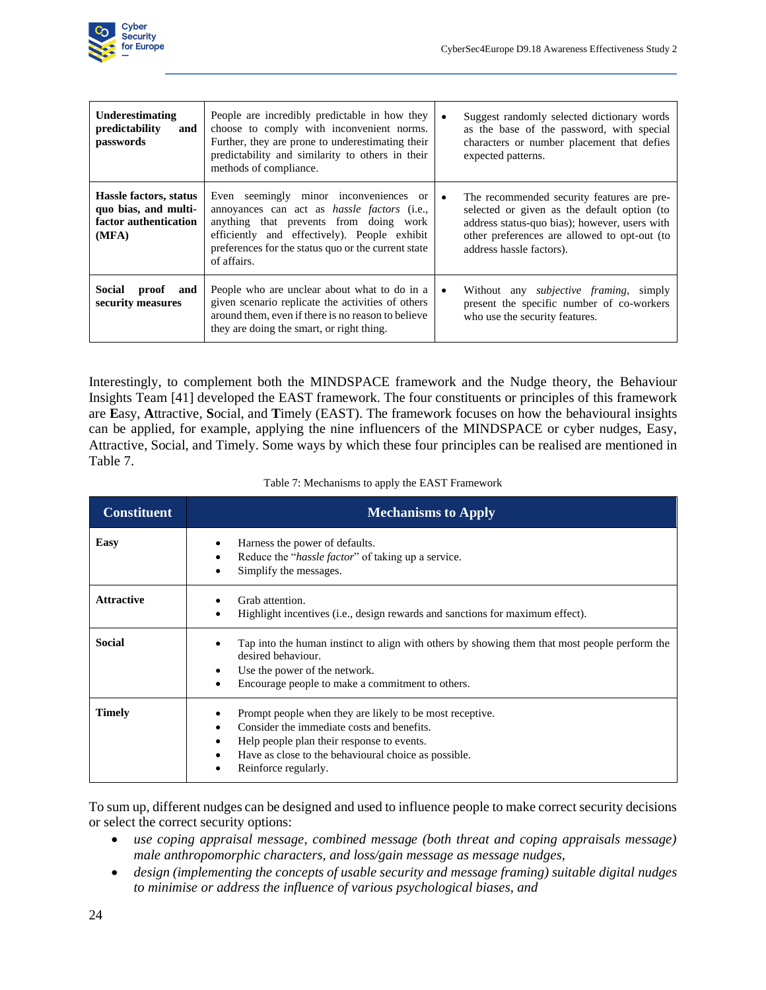

| Underestimating<br>predictability<br>and<br>passwords                            | People are incredibly predictable in how they<br>choose to comply with inconvenient norms.<br>Further, they are prone to underestimating their<br>predictability and similarity to others in their<br>methods of compliance.                                 | Suggest randomly selected dictionary words<br>as the base of the password, with special<br>characters or number placement that defies<br>expected patterns.                                                            |
|----------------------------------------------------------------------------------|--------------------------------------------------------------------------------------------------------------------------------------------------------------------------------------------------------------------------------------------------------------|------------------------------------------------------------------------------------------------------------------------------------------------------------------------------------------------------------------------|
| Hassle factors, status<br>quo bias, and multi-<br>factor authentication<br>(MFA) | Even seemingly minor inconveniences or<br>annoyances can act as <i>hassle factors</i> (i.e.,<br>anything that prevents from doing work<br>efficiently and effectively). People exhibit<br>preferences for the status quo or the current state<br>of affairs. | The recommended security features are pre-<br>selected or given as the default option (to<br>address status-quo bias); however, users with<br>other preferences are allowed to opt-out (to<br>address hassle factors). |
| Social<br>proof<br>and<br>security measures                                      | People who are unclear about what to do in a<br>given scenario replicate the activities of others<br>around them, even if there is no reason to believe<br>they are doing the smart, or right thing.                                                         | Without any <i>subjective framing</i> , simply<br>present the specific number of co-workers<br>who use the security features.                                                                                          |

Interestingly, to complement both the MINDSPACE framework and the Nudge theory, the Behaviour Insights Team [41] developed the EAST framework. The four constituents or principles of this framework are **E**asy, **A**ttractive, **S**ocial, and **T**imely (EAST). The framework focuses on how the behavioural insights can be applied, for example, applying the nine influencers of the MINDSPACE or cyber nudges, Easy, Attractive, Social, and Timely. Some ways by which these four principles can be realised are mentioned in [Table 7.](#page-31-1)

<span id="page-31-1"></span><span id="page-31-0"></span>

| <b>Constituent</b> | <b>Mechanisms to Apply</b>                                                                                                                                                                                                                                            |
|--------------------|-----------------------------------------------------------------------------------------------------------------------------------------------------------------------------------------------------------------------------------------------------------------------|
| Easy               | Harness the power of defaults.<br>٠<br>Reduce the " <i>hassle factor</i> " of taking up a service.<br>٠<br>Simplify the messages.<br>٠                                                                                                                                |
| <b>Attractive</b>  | Grab attention.<br>Highlight incentives (i.e., design rewards and sanctions for maximum effect).<br>٠                                                                                                                                                                 |
| <b>Social</b>      | Tap into the human instinct to align with others by showing them that most people perform the<br>desired behaviour.<br>Use the power of the network.<br>٠<br>Encourage people to make a commitment to others.<br>$\bullet$                                            |
| <b>Timely</b>      | Prompt people when they are likely to be most receptive.<br>٠<br>Consider the immediate costs and benefits.<br>$\bullet$<br>Help people plan their response to events.<br>٠<br>Have as close to the behavioural choice as possible.<br>٠<br>Reinforce regularly.<br>٠ |

Table 7: Mechanisms to apply the EAST Framework

To sum up, different nudges can be designed and used to influence people to make correct security decisions or select the correct security options:

- *use coping appraisal message, combined message (both threat and coping appraisals message) male anthropomorphic characters, and loss/gain message as message nudges,*
- *design (implementing the concepts of usable security and message framing) suitable digital nudges to minimise or address the influence of various psychological biases, and*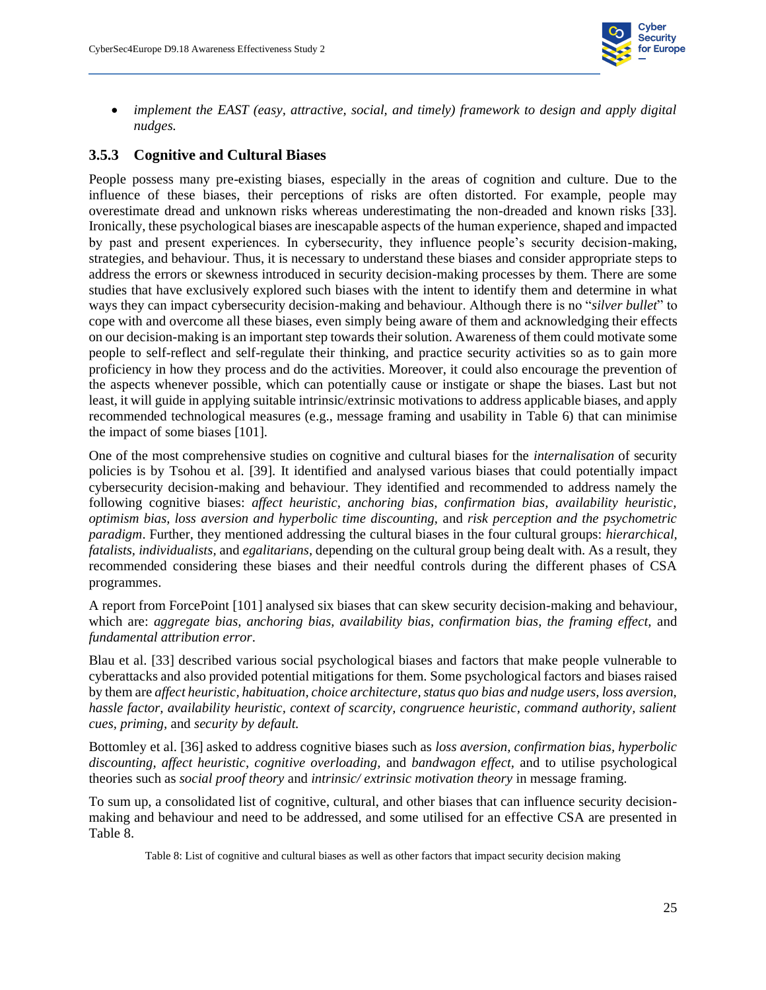

• *implement the EAST (easy, attractive, social, and timely) framework to design and apply digital nudges.*

#### **3.5.3 Cognitive and Cultural Biases**

<span id="page-32-0"></span>People possess many pre-existing biases, especially in the areas of cognition and culture. Due to the influence of these biases, their perceptions of risks are often distorted. For example, people may overestimate dread and unknown risks whereas underestimating the non-dreaded and known risks [33]. Ironically, these psychological biases are inescapable aspects of the human experience, shaped and impacted by past and present experiences. In cybersecurity, they influence people's security decision-making, strategies, and behaviour. Thus, it is necessary to understand these biases and consider appropriate steps to address the errors or skewness introduced in security decision-making processes by them. There are some studies that have exclusively explored such biases with the intent to identify them and determine in what ways they can impact cybersecurity decision-making and behaviour. Although there is no "*silver bullet*" to cope with and overcome all these biases, even simply being aware of them and acknowledging their effects on our decision-making is an important step towards their solution. Awareness of them could motivate some people to self-reflect and self-regulate their thinking, and practice security activities so as to gain more proficiency in how they process and do the activities. Moreover, it could also encourage the prevention of the aspects whenever possible, which can potentially cause or instigate or shape the biases. Last but not least, it will guide in applying suitable intrinsic/extrinsic motivations to address applicable biases, and apply recommended technological measures (e.g., message framing and usability in [Table 6\)](#page-30-1) that can minimise the impact of some biases [101].

One of the most comprehensive studies on cognitive and cultural biases for the *internalisation* of security policies is by Tsohou et al. [39]. It identified and analysed various biases that could potentially impact cybersecurity decision-making and behaviour. They identified and recommended to address namely the following cognitive biases: *affect heuristic, anchoring bias, confirmation bias, availability heuristic, optimism bias, loss aversion and hyperbolic time discounting,* and *risk perception and the psychometric paradigm*. Further, they mentioned addressing the cultural biases in the four cultural groups: *hierarchical, fatalists, individualists,* and *egalitarians,* depending on the cultural group being dealt with. As a result, they recommended considering these biases and their needful controls during the different phases of CSA programmes.

A report from ForcePoint [101] analysed six biases that can skew security decision-making and behaviour, which are: *aggregate bias, anchoring bias, availability bias, confirmation bias, the framing effect, and fundamental attribution error*.

Blau et al. [33] described various social psychological biases and factors that make people vulnerable to cyberattacks and also provided potential mitigations for them. Some psychological factors and biases raised by them are *affect heuristic, habituation, choice architecture, status quo bias and nudge users, loss aversion, hassle factor, availability heuristic, context of scarcity, congruence heuristic, command authority, salient cues, priming,* and *security by default.*

Bottomley et al. [36] asked to address cognitive biases such as *loss aversion, confirmation bias, hyperbolic discounting, affect heuristic, cognitive overloading,* and *bandwagon effect,* and to utilise psychological theories such as *social proof theory* and *intrinsic/ extrinsic motivation theory* in message framing.

<span id="page-32-2"></span>To sum up, a consolidated list of cognitive, cultural, and other biases that can influence security decisionmaking and behaviour and need to be addressed, and some utilised for an effective CSA are presented in [Table 8.](#page-32-2)

<span id="page-32-1"></span>Table 8: List of cognitive and cultural biases as well as other factors that impact security decision making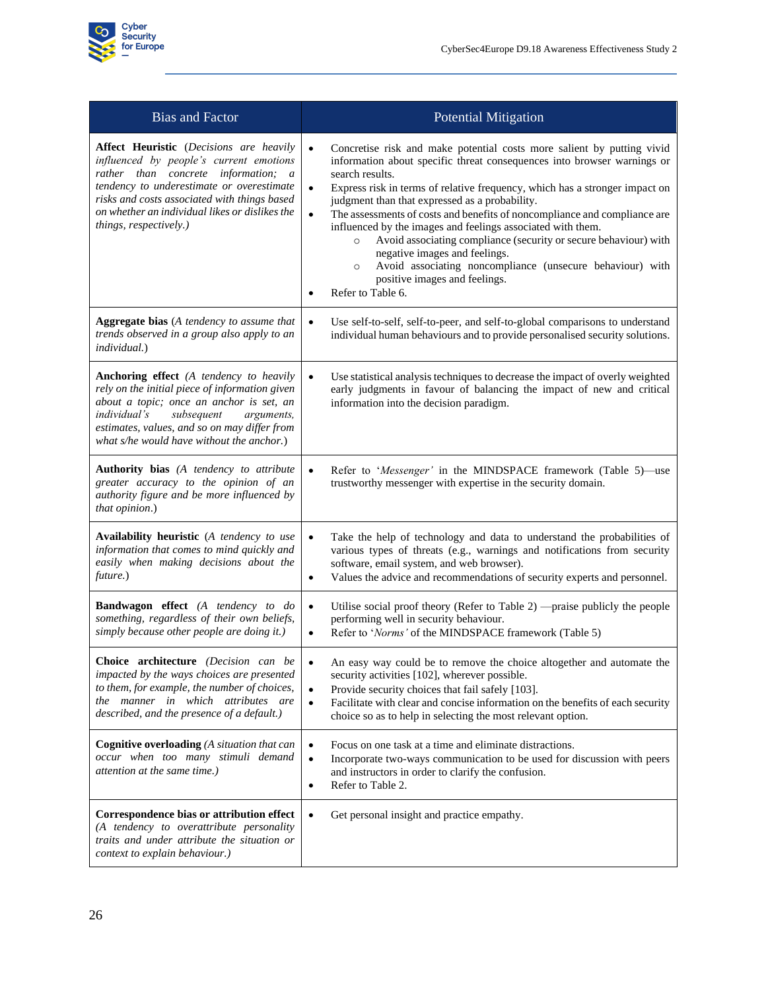

| <b>Bias and Factor</b>                                                                                                                                                                                                                                                                                    | <b>Potential Mitigation</b>                                                                                                                                                                                                                                                                                                                                                                                                                                                                                                                                                                                                                                                                                                            |
|-----------------------------------------------------------------------------------------------------------------------------------------------------------------------------------------------------------------------------------------------------------------------------------------------------------|----------------------------------------------------------------------------------------------------------------------------------------------------------------------------------------------------------------------------------------------------------------------------------------------------------------------------------------------------------------------------------------------------------------------------------------------------------------------------------------------------------------------------------------------------------------------------------------------------------------------------------------------------------------------------------------------------------------------------------------|
| <b>Affect Heuristic</b> (Decisions are heavily<br>influenced by people's current emotions<br>rather than concrete information; a<br>tendency to underestimate or overestimate<br>risks and costs associated with things based<br>on whether an individual likes or dislikes the<br>things, respectively.) | Concretise risk and make potential costs more salient by putting vivid<br>$\bullet$<br>information about specific threat consequences into browser warnings or<br>search results.<br>$\bullet$<br>Express risk in terms of relative frequency, which has a stronger impact on<br>judgment than that expressed as a probability.<br>The assessments of costs and benefits of noncompliance and compliance are<br>$\bullet$<br>influenced by the images and feelings associated with them.<br>Avoid associating compliance (security or secure behaviour) with<br>$\circ$<br>negative images and feelings.<br>Avoid associating noncompliance (unsecure behaviour) with<br>$\circ$<br>positive images and feelings.<br>Refer to Table 6. |
| <b>Aggregate bias</b> (A tendency to assume that<br>trends observed in a group also apply to an<br>individual.)                                                                                                                                                                                           | Use self-to-self, self-to-peer, and self-to-global comparisons to understand<br>$\bullet$<br>individual human behaviours and to provide personalised security solutions.                                                                                                                                                                                                                                                                                                                                                                                                                                                                                                                                                               |
| <b>Anchoring effect</b> (A tendency to heavily<br>rely on the initial piece of information given<br>about a topic; once an anchor is set, an<br>individual's<br>subsequent<br>arguments,<br>estimates, values, and so on may differ from<br>what s/he would have without the anchor.)                     | $\bullet$<br>Use statistical analysis techniques to decrease the impact of overly weighted<br>early judgments in favour of balancing the impact of new and critical<br>information into the decision paradigm.                                                                                                                                                                                                                                                                                                                                                                                                                                                                                                                         |
| Authority bias (A tendency to attribute<br>greater accuracy to the opinion of an<br>authority figure and be more influenced by<br>that opinion.)                                                                                                                                                          | Refer to 'Messenger' in the MINDSPACE framework (Table 5)—use<br>$\bullet$<br>trustworthy messenger with expertise in the security domain.                                                                                                                                                                                                                                                                                                                                                                                                                                                                                                                                                                                             |
| Availability heuristic (A tendency to use<br>information that comes to mind quickly and<br>easily when making decisions about the<br>future.)                                                                                                                                                             | Take the help of technology and data to understand the probabilities of<br>$\bullet$<br>various types of threats (e.g., warnings and notifications from security<br>software, email system, and web browser).<br>Values the advice and recommendations of security experts and personnel.<br>$\bullet$                                                                                                                                                                                                                                                                                                                                                                                                                                 |
| <b>Bandwagon effect</b> (A tendency to do<br>something, regardless of their own beliefs,<br>simply because other people are doing it.)                                                                                                                                                                    | Utilise social proof theory (Refer to Table 2) —praise publicly the people<br>$\bullet$<br>performing well in security behaviour.<br>Refer to 'Norms' of the MINDSPACE framework (Table 5)<br>$\bullet$                                                                                                                                                                                                                                                                                                                                                                                                                                                                                                                                |
| Choice architecture (Decision can be<br>impacted by the ways choices are presented<br>to them, for example, the number of choices,<br>the manner in which attributes are<br>described, and the presence of a default.)                                                                                    | An easy way could be to remove the choice altogether and automate the<br>$\bullet$<br>security activities [102], wherever possible.<br>Provide security choices that fail safely [103].<br>$\bullet$<br>Facilitate with clear and concise information on the benefits of each security<br>$\bullet$<br>choice so as to help in selecting the most relevant option.                                                                                                                                                                                                                                                                                                                                                                     |
| <b>Cognitive overloading</b> (A situation that can<br>occur when too many stimuli demand<br>attention at the same time.)                                                                                                                                                                                  | Focus on one task at a time and eliminate distractions.<br>$\bullet$<br>Incorporate two-ways communication to be used for discussion with peers<br>$\bullet$<br>and instructors in order to clarify the confusion.<br>Refer to Table 2.<br>$\bullet$                                                                                                                                                                                                                                                                                                                                                                                                                                                                                   |
| Correspondence bias or attribution effect<br>(A tendency to overattribute personality<br>traits and under attribute the situation or<br>context to explain behaviour.)                                                                                                                                    | Get personal insight and practice empathy.<br>$\bullet$                                                                                                                                                                                                                                                                                                                                                                                                                                                                                                                                                                                                                                                                                |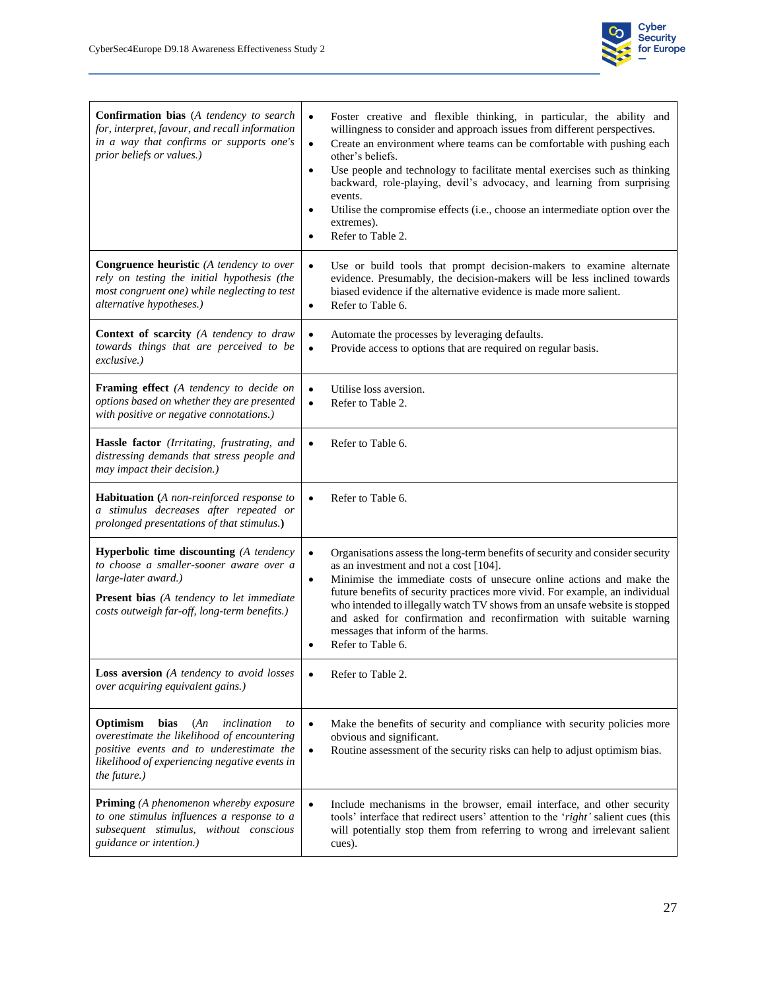

| <b>Confirmation bias</b> (A tendency to search<br>for, interpret, favour, and recall information<br>in a way that confirms or supports one's<br>prior beliefs or values.)                                            | Foster creative and flexible thinking, in particular, the ability and<br>$\bullet$<br>willingness to consider and approach issues from different perspectives.<br>Create an environment where teams can be comfortable with pushing each<br>$\bullet$<br>other's beliefs.<br>Use people and technology to facilitate mental exercises such as thinking<br>$\bullet$<br>backward, role-playing, devil's advocacy, and learning from surprising<br>events.<br>Utilise the compromise effects (i.e., choose an intermediate option over the<br>$\bullet$<br>extremes).<br>Refer to Table 2.<br>$\bullet$ |
|----------------------------------------------------------------------------------------------------------------------------------------------------------------------------------------------------------------------|-------------------------------------------------------------------------------------------------------------------------------------------------------------------------------------------------------------------------------------------------------------------------------------------------------------------------------------------------------------------------------------------------------------------------------------------------------------------------------------------------------------------------------------------------------------------------------------------------------|
| <b>Congruence heuristic</b> (A tendency to over<br>rely on testing the initial hypothesis (the<br>most congruent one) while neglecting to test<br>alternative hypotheses.)                                           | Use or build tools that prompt decision-makers to examine alternate<br>$\bullet$<br>evidence. Presumably, the decision-makers will be less inclined towards<br>biased evidence if the alternative evidence is made more salient.<br>Refer to Table 6.<br>$\bullet$                                                                                                                                                                                                                                                                                                                                    |
| <b>Context of scarcity</b> (A tendency to draw<br>towards things that are perceived to be<br>exclusive.)                                                                                                             | Automate the processes by leveraging defaults.<br>$\bullet$<br>Provide access to options that are required on regular basis.<br>$\bullet$                                                                                                                                                                                                                                                                                                                                                                                                                                                             |
| Framing effect (A tendency to decide on<br>options based on whether they are presented<br>with positive or negative connotations.)                                                                                   | Utilise loss aversion.<br>$\bullet$<br>Refer to Table 2.<br>$\bullet$                                                                                                                                                                                                                                                                                                                                                                                                                                                                                                                                 |
| Hassle factor (Irritating, frustrating, and<br>distressing demands that stress people and<br>may impact their decision.)                                                                                             | Refer to Table 6.<br>$\bullet$                                                                                                                                                                                                                                                                                                                                                                                                                                                                                                                                                                        |
| <b>Habituation</b> (A non-reinforced response to<br>a stimulus decreases after repeated or<br>prolonged presentations of that stimulus.)                                                                             | Refer to Table 6.<br>$\bullet$                                                                                                                                                                                                                                                                                                                                                                                                                                                                                                                                                                        |
| <b>Hyperbolic time discounting</b> (A tendency<br>to choose a smaller-sooner aware over a<br>large-later award.)<br><b>Present bias</b> (A tendency to let immediate<br>costs outweigh far-off, long-term benefits.) | Organisations assess the long-term benefits of security and consider security<br>$\bullet$<br>as an investment and not a cost [104].<br>Minimise the immediate costs of unsecure online actions and make the<br>$\bullet$<br>future benefits of security practices more vivid. For example, an individual<br>who intended to illegally watch TV shows from an unsafe website is stopped<br>and asked for confirmation and reconfirmation with suitable warning<br>messages that inform of the harms.<br>Refer to Table 6.<br>$\bullet$                                                                |
| Loss aversion (A tendency to avoid losses<br>over acquiring equivalent gains.)                                                                                                                                       | Refer to Table 2.<br>$\bullet$                                                                                                                                                                                                                                                                                                                                                                                                                                                                                                                                                                        |
| Optimism<br>bias<br>(An)<br>inclination<br>to<br>overestimate the likelihood of encountering<br>positive events and to underestimate the<br>likelihood of experiencing negative events in<br>the future.)            | Make the benefits of security and compliance with security policies more<br>$\bullet$<br>obvious and significant.<br>Routine assessment of the security risks can help to adjust optimism bias.<br>$\bullet$                                                                                                                                                                                                                                                                                                                                                                                          |
| <b>Priming</b> (A phenomenon whereby exposure<br>to one stimulus influences a response to a<br>subsequent stimulus, without conscious<br>guidance or intention.)                                                     | Include mechanisms in the browser, email interface, and other security<br>$\bullet$<br>tools' interface that redirect users' attention to the 'right' salient cues (this<br>will potentially stop them from referring to wrong and irrelevant salient<br>cues).                                                                                                                                                                                                                                                                                                                                       |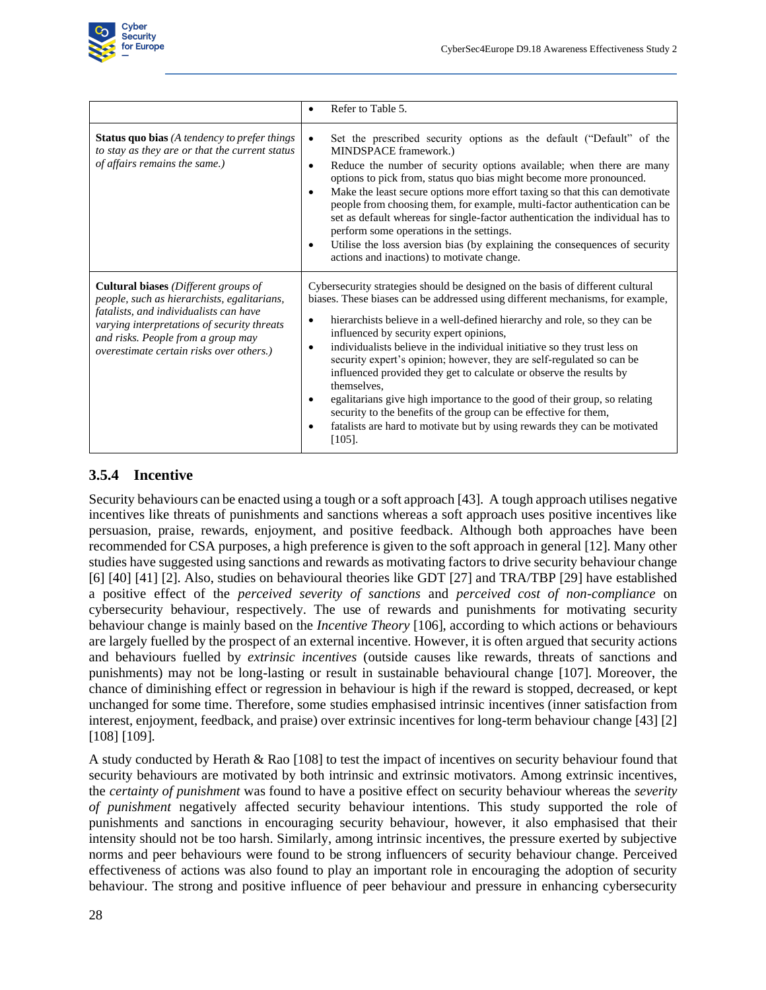

|                                                                                                                                                                                                                                                                       | Refer to Table 5.<br>$\bullet$                                                                                                                                                                                                                                                                                                                                                                                                                                                                                                                                                                                                                                                                                                                                                                                                      |
|-----------------------------------------------------------------------------------------------------------------------------------------------------------------------------------------------------------------------------------------------------------------------|-------------------------------------------------------------------------------------------------------------------------------------------------------------------------------------------------------------------------------------------------------------------------------------------------------------------------------------------------------------------------------------------------------------------------------------------------------------------------------------------------------------------------------------------------------------------------------------------------------------------------------------------------------------------------------------------------------------------------------------------------------------------------------------------------------------------------------------|
| <b>Status quo bias</b> (A tendency to prefer things<br>to stay as they are or that the current status<br>of affairs remains the same.)                                                                                                                                | Set the prescribed security options as the default ("Default" of the<br>$\bullet$<br>MINDSPACE framework.)<br>Reduce the number of security options available; when there are many<br>$\bullet$<br>options to pick from, status quo bias might become more pronounced.<br>Make the least secure options more effort taxing so that this can demotivate<br>$\bullet$<br>people from choosing them, for example, multi-factor authentication can be<br>set as default whereas for single-factor authentication the individual has to<br>perform some operations in the settings.<br>Utilise the loss aversion bias (by explaining the consequences of security<br>$\bullet$<br>actions and inactions) to motivate change.                                                                                                             |
| <b>Cultural biases</b> (Different groups of<br>people, such as hierarchists, egalitarians,<br>fatalists, and individualists can have<br>varying interpretations of security threats<br>and risks. People from a group may<br>overestimate certain risks over others.) | Cybersecurity strategies should be designed on the basis of different cultural<br>biases. These biases can be addressed using different mechanisms, for example,<br>hierarchists believe in a well-defined hierarchy and role, so they can be<br>$\bullet$<br>influenced by security expert opinions,<br>individualists believe in the individual initiative so they trust less on<br>$\bullet$<br>security expert's opinion; however, they are self-regulated so can be<br>influenced provided they get to calculate or observe the results by<br>themselves,<br>egalitarians give high importance to the good of their group, so relating<br>$\bullet$<br>security to the benefits of the group can be effective for them,<br>fatalists are hard to motivate but by using rewards they can be motivated<br>$\bullet$<br>$[105]$ . |

#### **3.5.4 Incentive**

<span id="page-35-0"></span>Security behaviours can be enacted using a tough or a soft approach [43]. A tough approach utilises negative incentives like threats of punishments and sanctions whereas a soft approach uses positive incentives like persuasion, praise, rewards, enjoyment, and positive feedback. Although both approaches have been recommended for CSA purposes, a high preference is given to the soft approach in general [12]. Many other studies have suggested using sanctions and rewards as motivating factors to drive security behaviour change [6] [40] [41] [2]. Also, studies on behavioural theories like GDT [27] and TRA/TBP [29] have established a positive effect of the *perceived severity of sanctions* and *perceived cost of non-compliance* on cybersecurity behaviour, respectively. The use of rewards and punishments for motivating security behaviour change is mainly based on the *Incentive Theory* [106], according to which actions or behaviours are largely fuelled by the prospect of an external incentive. However, it is often argued that security actions and behaviours fuelled by *extrinsic incentives* (outside causes like rewards, threats of sanctions and punishments) may not be long-lasting or result in sustainable behavioural change [107]. Moreover, the chance of diminishing effect or regression in behaviour is high if the reward is stopped, decreased, or kept unchanged for some time. Therefore, some studies emphasised intrinsic incentives (inner satisfaction from interest, enjoyment, feedback, and praise) over extrinsic incentives for long-term behaviour change [43] [2] [108] [109].

A study conducted by Herath & Rao [108] to test the impact of incentives on security behaviour found that security behaviours are motivated by both intrinsic and extrinsic motivators. Among extrinsic incentives, the *certainty of punishment* was found to have a positive effect on security behaviour whereas the *severity of punishment* negatively affected security behaviour intentions. This study supported the role of punishments and sanctions in encouraging security behaviour, however, it also emphasised that their intensity should not be too harsh. Similarly, among intrinsic incentives, the pressure exerted by subjective norms and peer behaviours were found to be strong influencers of security behaviour change. Perceived effectiveness of actions was also found to play an important role in encouraging the adoption of security behaviour. The strong and positive influence of peer behaviour and pressure in enhancing cybersecurity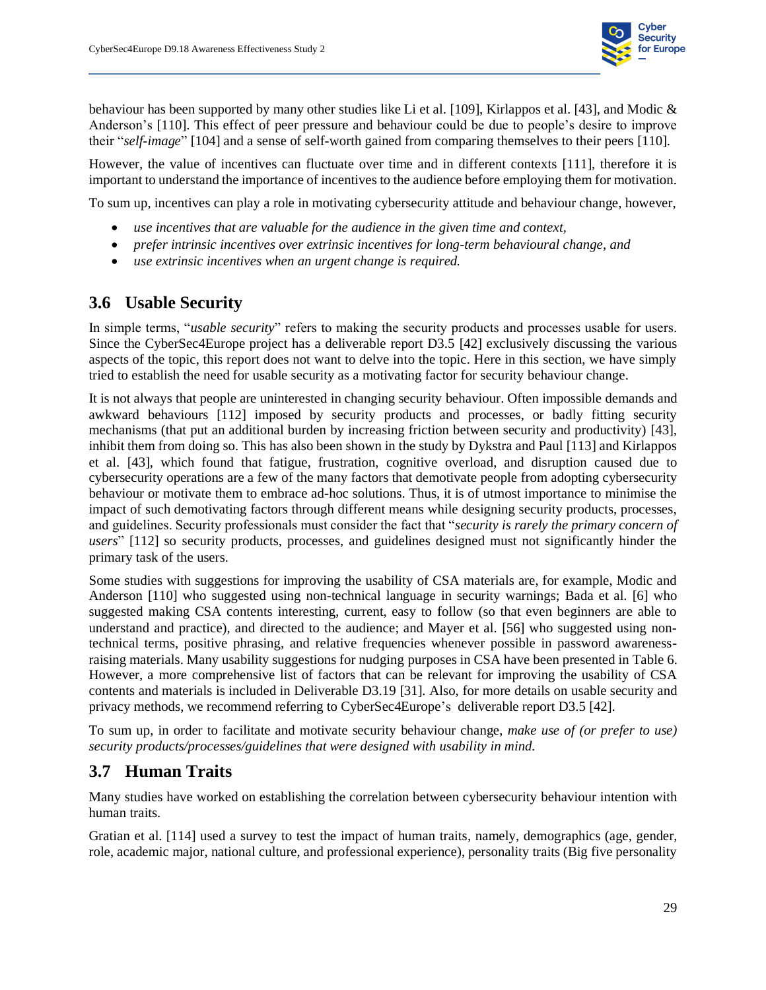

behaviour has been supported by many other studies like Li et al. [109], Kirlappos et al. [43], and Modic & Anderson's [110]. This effect of peer pressure and behaviour could be due to people's desire to improve their "*self-image*" [104] and a sense of self-worth gained from comparing themselves to their peers [110].

However, the value of incentives can fluctuate over time and in different contexts [111], therefore it is important to understand the importance of incentives to the audience before employing them for motivation.

To sum up, incentives can play a role in motivating cybersecurity attitude and behaviour change, however,

- *use incentives that are valuable for the audience in the given time and context,*
- *prefer intrinsic incentives over extrinsic incentives for long-term behavioural change, and*
- *use extrinsic incentives when an urgent change is required.*

#### **3.6 Usable Security**

<span id="page-36-0"></span>In simple terms, "*usable security*" refers to making the security products and processes usable for users. Since the CyberSec4Europe project has a deliverable report D3.5 [42] exclusively discussing the various aspects of the topic, this report does not want to delve into the topic. Here in this section, we have simply tried to establish the need for usable security as a motivating factor for security behaviour change.

It is not always that people are uninterested in changing security behaviour. Often impossible demands and awkward behaviours [112] imposed by security products and processes, or badly fitting security mechanisms (that put an additional burden by increasing friction between security and productivity) [43], inhibit them from doing so. This has also been shown in the study by Dykstra and Paul [113] and Kirlappos et al. [43], which found that fatigue, frustration, cognitive overload, and disruption caused due to cybersecurity operations are a few of the many factors that demotivate people from adopting cybersecurity behaviour or motivate them to embrace ad-hoc solutions. Thus, it is of utmost importance to minimise the impact of such demotivating factors through different means while designing security products, processes, and guidelines. Security professionals must consider the fact that "*security is rarely the primary concern of users*" [112] so security products, processes, and guidelines designed must not significantly hinder the primary task of the users.

Some studies with suggestions for improving the usability of CSA materials are, for example, Modic and Anderson [110] who suggested using non-technical language in security warnings; Bada et al. [6] who suggested making CSA contents interesting, current, easy to follow (so that even beginners are able to understand and practice), and directed to the audience; and Mayer et al. [56] who suggested using nontechnical terms, positive phrasing, and relative frequencies whenever possible in password awarenessraising materials. Many usability suggestions for nudging purposes in CSA have been presented i[n Table 6.](#page-30-1) However, a more comprehensive list of factors that can be relevant for improving the usability of CSA contents and materials is included in Deliverable D3.19 [31]. Also, for more details on usable security and privacy methods, we recommend referring to CyberSec4Europe's deliverable report D3.5 [42].

To sum up, in order to facilitate and motivate security behaviour change, *make use of (or prefer to use) security products/processes/guidelines that were designed with usability in mind.*

#### **3.7 Human Traits**

Many studies have worked on establishing the correlation between cybersecurity behaviour intention with human traits.

<span id="page-36-1"></span>Gratian et al. [114] used a survey to test the impact of human traits, namely, demographics (age, gender, role, academic major, national culture, and professional experience), personality traits (Big five personality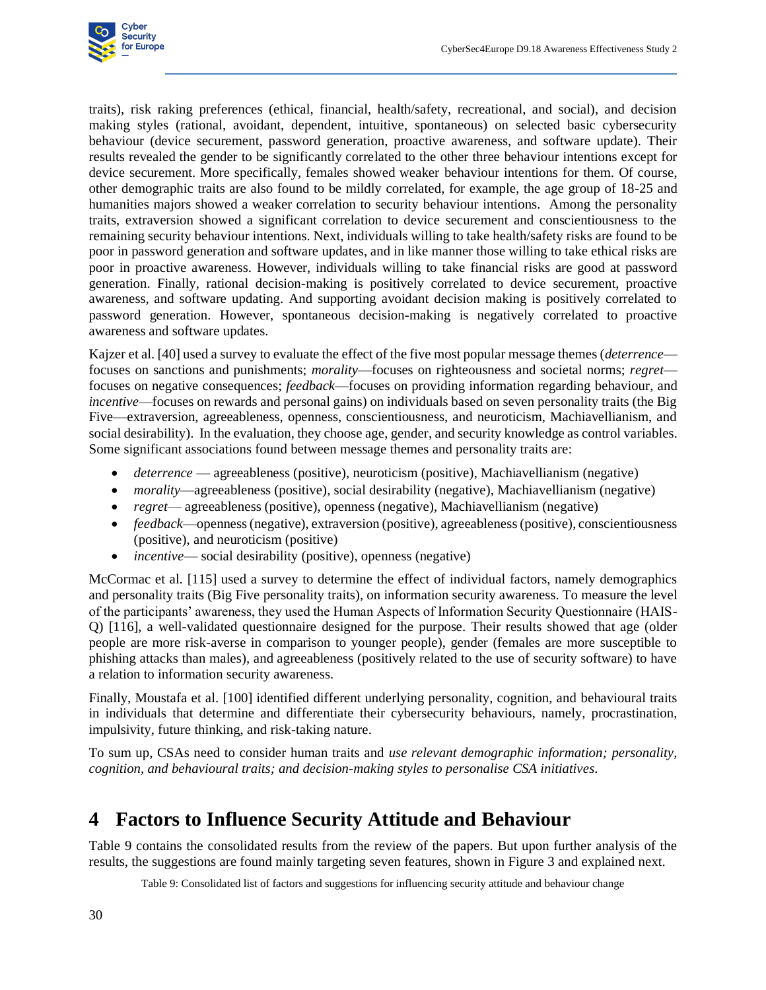

traits), risk raking preferences (ethical, financial, health/safety, recreational, and social), and decision making styles (rational, avoidant, dependent, intuitive, spontaneous) on selected basic cybersecurity behaviour (device securement, password generation, proactive awareness, and software update). Their results revealed the gender to be significantly correlated to the other three behaviour intentions except for device securement. More specifically, females showed weaker behaviour intentions for them. Of course, other demographic traits are also found to be mildly correlated, for example, the age group of 18-25 and humanities majors showed a weaker correlation to security behaviour intentions. Among the personality traits, extraversion showed a significant correlation to device securement and conscientiousness to the remaining security behaviour intentions. Next, individuals willing to take health/safety risks are found to be poor in password generation and software updates, and in like manner those willing to take ethical risks are poor in proactive awareness. However, individuals willing to take financial risks are good at password generation. Finally, rational decision-making is positively correlated to device securement, proactive awareness, and software updating. And supporting avoidant decision making is positively correlated to password generation. However, spontaneous decision-making is negatively correlated to proactive awareness and software updates.

Kajzer et al. [40] used a survey to evaluate the effect of the five most popular message themes (*deterrence* focuses on sanctions and punishments; *morality*—focuses on righteousness and societal norms; *regret* focuses on negative consequences; *feedback*—focuses on providing information regarding behaviour, and *incentive*—focuses on rewards and personal gains) on individuals based on seven personality traits (the Big Five—extraversion, agreeableness, openness, conscientiousness, and neuroticism, Machiavellianism, and social desirability). In the evaluation, they choose age, gender, and security knowledge as control variables. Some significant associations found between message themes and personality traits are:

- *deterrence* agreeableness (positive), neuroticism (positive), Machiavellianism (negative)
- *morality—agreeableness (positive), social desirability (negative), Machiavellianism (negative)*
- *regret* agreeableness (positive), openness (negative), Machiavellianism (negative)
- *feedback*—openness (negative), extraversion (positive), agreeableness (positive), conscientiousness (positive), and neuroticism (positive)
- *incentive* social desirability (positive), openness (negative)

McCormac et al. [115] used a survey to determine the effect of individual factors, namely demographics and personality traits (Big Five personality traits), on information security awareness. To measure the level of the participants' awareness, they used the Human Aspects of Information Security Questionnaire (HAIS-Q) [116], a well-validated questionnaire designed for the purpose. Their results showed that age (older people are more risk-averse in comparison to younger people), gender (females are more susceptible to phishing attacks than males), and agreeableness (positively related to the use of security software) to have a relation to information security awareness.

Finally, Moustafa et al. [100] identified different underlying personality, cognition, and behavioural traits in individuals that determine and differentiate their cybersecurity behaviours, namely, procrastination, impulsivity, future thinking, and risk-taking nature.

To sum up, CSAs need to consider human traits and *use relevant demographic information; personality, cognition, and behavioural traits; and decision-making styles to personalise CSA initiatives*.

## **4 Factors to Influence Security Attitude and Behaviour**

<span id="page-37-2"></span><span id="page-37-0"></span>[Table 9](#page-37-2) contains the consolidated results from the review of the papers. But upon further analysis of the results, the suggestions are found mainly targeting seven features, shown in [Figure 3](#page-40-4) and explained next.

<span id="page-37-1"></span>Table 9: Consolidated list of factors and suggestions for influencing security attitude and behaviour change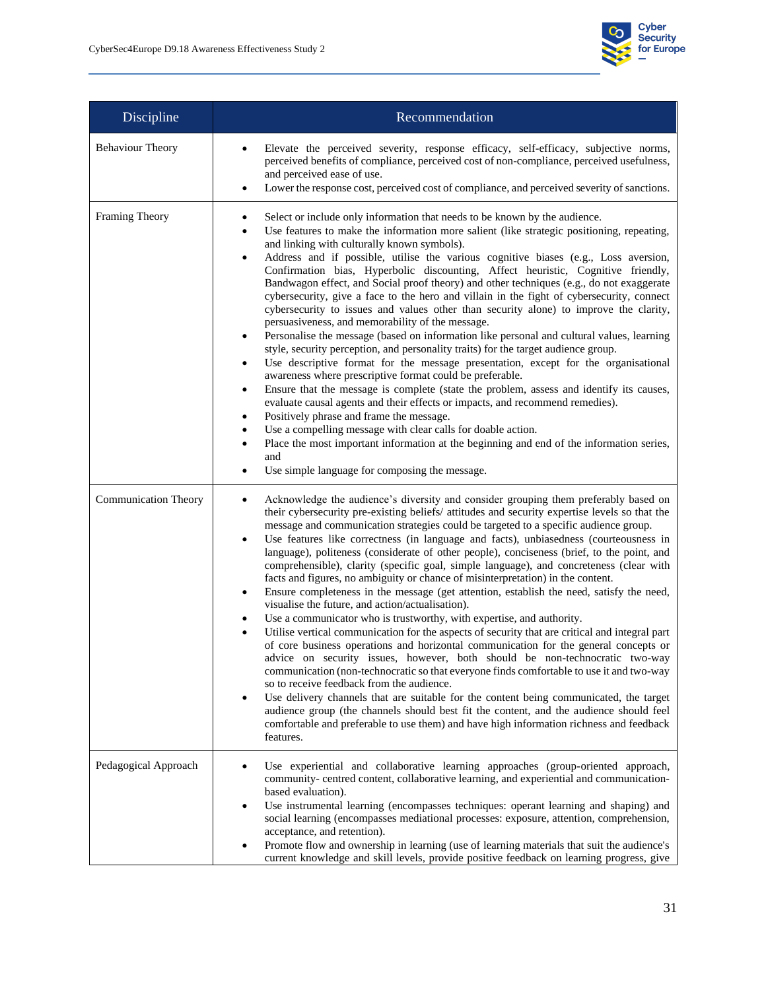

| Discipline                  | Recommendation                                                                                                                                                                                                                                                                                                                                                                                                                                                                                                                                                                                                                                                                                                                                                                                                                                                                                                                                                                                                                                                                                                                                                                                                                                                                                                                                                                                                                                                                                                                                                                                                                           |
|-----------------------------|------------------------------------------------------------------------------------------------------------------------------------------------------------------------------------------------------------------------------------------------------------------------------------------------------------------------------------------------------------------------------------------------------------------------------------------------------------------------------------------------------------------------------------------------------------------------------------------------------------------------------------------------------------------------------------------------------------------------------------------------------------------------------------------------------------------------------------------------------------------------------------------------------------------------------------------------------------------------------------------------------------------------------------------------------------------------------------------------------------------------------------------------------------------------------------------------------------------------------------------------------------------------------------------------------------------------------------------------------------------------------------------------------------------------------------------------------------------------------------------------------------------------------------------------------------------------------------------------------------------------------------------|
| <b>Behaviour Theory</b>     | Elevate the perceived severity, response efficacy, self-efficacy, subjective norms,<br>perceived benefits of compliance, perceived cost of non-compliance, perceived usefulness,<br>and perceived ease of use.<br>Lower the response cost, perceived cost of compliance, and perceived severity of sanctions.                                                                                                                                                                                                                                                                                                                                                                                                                                                                                                                                                                                                                                                                                                                                                                                                                                                                                                                                                                                                                                                                                                                                                                                                                                                                                                                            |
| Framing Theory              | Select or include only information that needs to be known by the audience.<br>Use features to make the information more salient (like strategic positioning, repeating,<br>٠<br>and linking with culturally known symbols).<br>Address and if possible, utilise the various cognitive biases (e.g., Loss aversion,<br>$\bullet$<br>Confirmation bias, Hyperbolic discounting, Affect heuristic, Cognitive friendly,<br>Bandwagon effect, and Social proof theory) and other techniques (e.g., do not exaggerate<br>cybersecurity, give a face to the hero and villain in the fight of cybersecurity, connect<br>cybersecurity to issues and values other than security alone) to improve the clarity,<br>persuasiveness, and memorability of the message.<br>Personalise the message (based on information like personal and cultural values, learning<br>$\bullet$<br>style, security perception, and personality traits) for the target audience group.<br>Use descriptive format for the message presentation, except for the organisational<br>awareness where prescriptive format could be preferable.<br>Ensure that the message is complete (state the problem, assess and identify its causes,<br>$\bullet$<br>evaluate causal agents and their effects or impacts, and recommend remedies).<br>Positively phrase and frame the message.<br>٠<br>Use a compelling message with clear calls for doable action.<br>٠<br>Place the most important information at the beginning and end of the information series,<br>$\bullet$<br>and<br>Use simple language for composing the message.                                             |
| <b>Communication Theory</b> | Acknowledge the audience's diversity and consider grouping them preferably based on<br>٠<br>their cybersecurity pre-existing beliefs/attitudes and security expertise levels so that the<br>message and communication strategies could be targeted to a specific audience group.<br>Use features like correctness (in language and facts), unbiasedness (courteousness in<br>$\bullet$<br>language), politeness (considerate of other people), conciseness (brief, to the point, and<br>comprehensible), clarity (specific goal, simple language), and concreteness (clear with<br>facts and figures, no ambiguity or chance of misinterpretation) in the content.<br>Ensure completeness in the message (get attention, establish the need, satisfy the need,<br>$\bullet$<br>visualise the future, and action/actualisation).<br>Use a communicator who is trustworthy, with expertise, and authority.<br>٠<br>Utilise vertical communication for the aspects of security that are critical and integral part<br>of core business operations and horizontal communication for the general concepts or<br>advice on security issues, however, both should be non-technocratic two-way<br>communication (non-technocratic so that everyone finds comfortable to use it and two-way<br>so to receive feedback from the audience.<br>Use delivery channels that are suitable for the content being communicated, the target<br>$\bullet$<br>audience group (the channels should best fit the content, and the audience should feel<br>comfortable and preferable to use them) and have high information richness and feedback<br>features. |
| Pedagogical Approach        | Use experiential and collaborative learning approaches (group-oriented approach,<br>community- centred content, collaborative learning, and experiential and communication-<br>based evaluation).<br>Use instrumental learning (encompasses techniques: operant learning and shaping) and<br>social learning (encompasses mediational processes: exposure, attention, comprehension,<br>acceptance, and retention).<br>Promote flow and ownership in learning (use of learning materials that suit the audience's<br>current knowledge and skill levels, provide positive feedback on learning progress, give                                                                                                                                                                                                                                                                                                                                                                                                                                                                                                                                                                                                                                                                                                                                                                                                                                                                                                                                                                                                                            |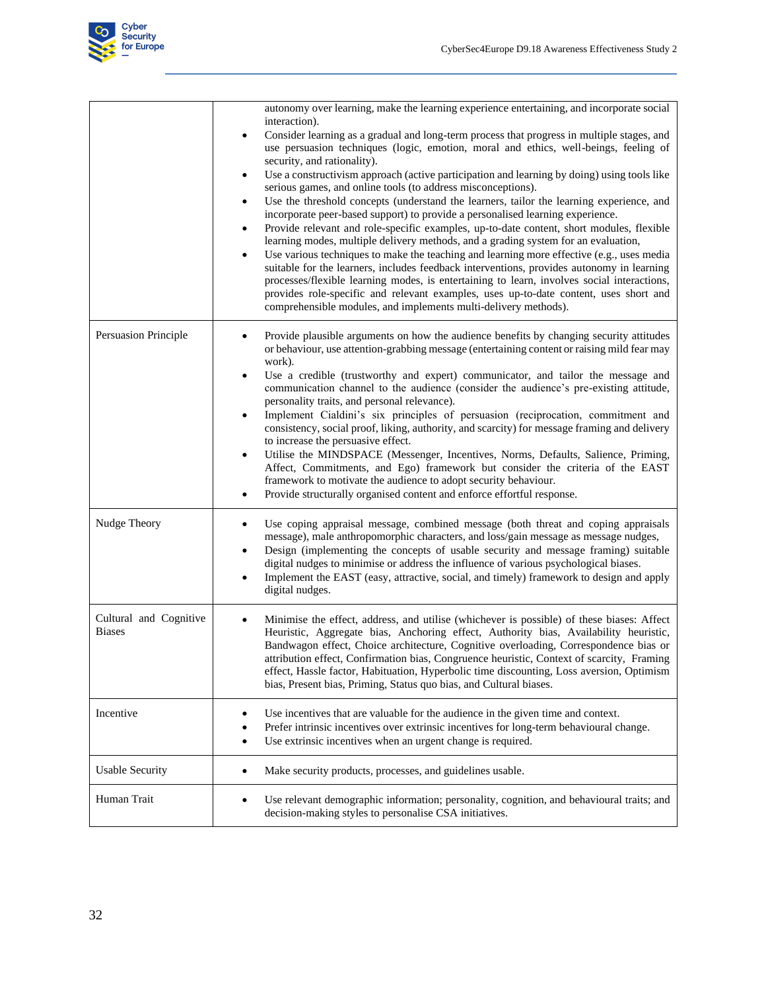

|                                         | autonomy over learning, make the learning experience entertaining, and incorporate social<br>interaction).<br>Consider learning as a gradual and long-term process that progress in multiple stages, and<br>$\bullet$<br>use persuasion techniques (logic, emotion, moral and ethics, well-beings, feeling of<br>security, and rationality).<br>Use a constructivism approach (active participation and learning by doing) using tools like<br>serious games, and online tools (to address misconceptions).<br>Use the threshold concepts (understand the learners, tailor the learning experience, and<br>$\bullet$<br>incorporate peer-based support) to provide a personalised learning experience.<br>Provide relevant and role-specific examples, up-to-date content, short modules, flexible<br>learning modes, multiple delivery methods, and a grading system for an evaluation,<br>Use various techniques to make the teaching and learning more effective (e.g., uses media<br>$\bullet$<br>suitable for the learners, includes feedback interventions, provides autonomy in learning<br>processes/flexible learning modes, is entertaining to learn, involves social interactions,<br>provides role-specific and relevant examples, uses up-to-date content, uses short and<br>comprehensible modules, and implements multi-delivery methods). |
|-----------------------------------------|-----------------------------------------------------------------------------------------------------------------------------------------------------------------------------------------------------------------------------------------------------------------------------------------------------------------------------------------------------------------------------------------------------------------------------------------------------------------------------------------------------------------------------------------------------------------------------------------------------------------------------------------------------------------------------------------------------------------------------------------------------------------------------------------------------------------------------------------------------------------------------------------------------------------------------------------------------------------------------------------------------------------------------------------------------------------------------------------------------------------------------------------------------------------------------------------------------------------------------------------------------------------------------------------------------------------------------------------------------------|
| Persuasion Principle                    | Provide plausible arguments on how the audience benefits by changing security attitudes<br>or behaviour, use attention-grabbing message (entertaining content or raising mild fear may<br>work).<br>Use a credible (trustworthy and expert) communicator, and tailor the message and<br>$\bullet$<br>communication channel to the audience (consider the audience's pre-existing attitude,<br>personality traits, and personal relevance).<br>Implement Cialdini's six principles of persuasion (reciprocation, commitment and<br>consistency, social proof, liking, authority, and scarcity) for message framing and delivery<br>to increase the persuasive effect.<br>Utilise the MINDSPACE (Messenger, Incentives, Norms, Defaults, Salience, Priming,<br>$\bullet$<br>Affect, Commitments, and Ego) framework but consider the criteria of the EAST<br>framework to motivate the audience to adopt security behaviour.<br>Provide structurally organised content and enforce effortful response.<br>$\bullet$                                                                                                                                                                                                                                                                                                                                         |
| Nudge Theory                            | Use coping appraisal message, combined message (both threat and coping appraisals<br>$\bullet$<br>message), male anthropomorphic characters, and loss/gain message as message nudges,<br>Design (implementing the concepts of usable security and message framing) suitable<br>digital nudges to minimise or address the influence of various psychological biases.<br>Implement the EAST (easy, attractive, social, and timely) framework to design and apply<br>digital nudges.                                                                                                                                                                                                                                                                                                                                                                                                                                                                                                                                                                                                                                                                                                                                                                                                                                                                         |
| Cultural and Cognitive<br><b>Biases</b> | Minimise the effect, address, and utilise (whichever is possible) of these biases: Affect<br>$\bullet$<br>Heuristic, Aggregate bias, Anchoring effect, Authority bias, Availability heuristic,<br>Bandwagon effect, Choice architecture, Cognitive overloading, Correspondence bias or<br>attribution effect, Confirmation bias, Congruence heuristic, Context of scarcity, Framing<br>effect, Hassle factor, Habituation, Hyperbolic time discounting, Loss aversion, Optimism<br>bias, Present bias, Priming, Status quo bias, and Cultural biases.                                                                                                                                                                                                                                                                                                                                                                                                                                                                                                                                                                                                                                                                                                                                                                                                     |
| Incentive                               | Use incentives that are valuable for the audience in the given time and context.<br>٠<br>Prefer intrinsic incentives over extrinsic incentives for long-term behavioural change.<br>$\bullet$<br>Use extrinsic incentives when an urgent change is required.<br>$\bullet$                                                                                                                                                                                                                                                                                                                                                                                                                                                                                                                                                                                                                                                                                                                                                                                                                                                                                                                                                                                                                                                                                 |
| <b>Usable Security</b>                  | Make security products, processes, and guidelines usable.<br>$\bullet$                                                                                                                                                                                                                                                                                                                                                                                                                                                                                                                                                                                                                                                                                                                                                                                                                                                                                                                                                                                                                                                                                                                                                                                                                                                                                    |
| Human Trait                             | Use relevant demographic information; personality, cognition, and behavioural traits; and<br>$\bullet$<br>decision-making styles to personalise CSA initiatives.                                                                                                                                                                                                                                                                                                                                                                                                                                                                                                                                                                                                                                                                                                                                                                                                                                                                                                                                                                                                                                                                                                                                                                                          |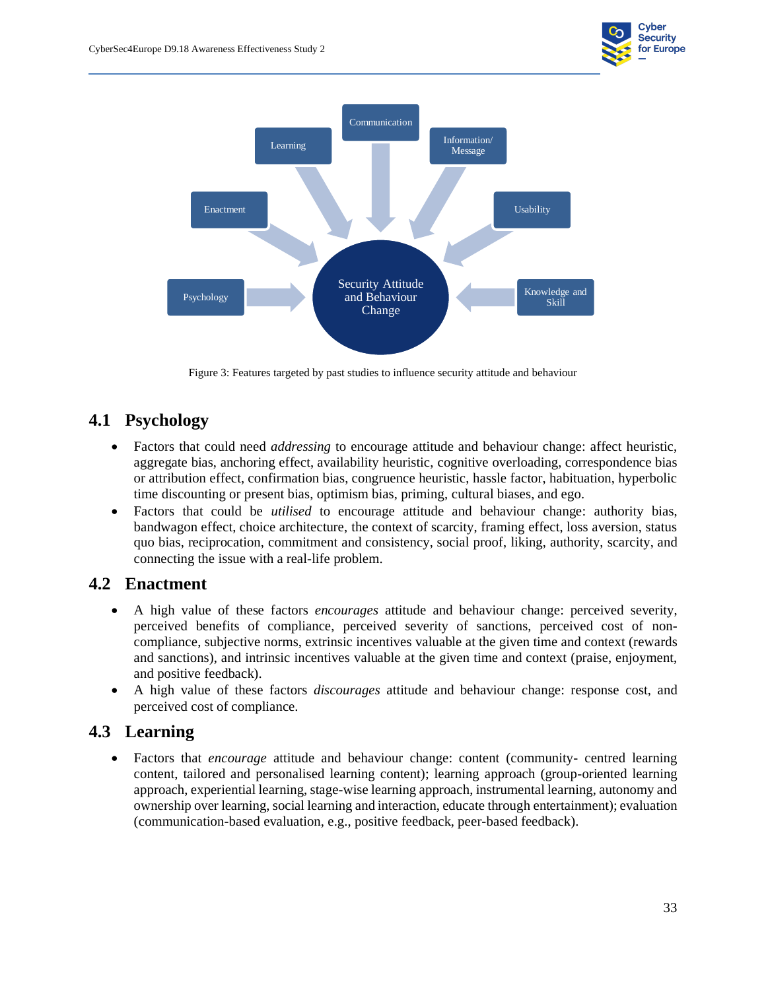



Figure 3: Features targeted by past studies to influence security attitude and behaviour

#### <span id="page-40-4"></span><span id="page-40-3"></span>**4.1 Psychology**

- <span id="page-40-0"></span>• Factors that could need *addressing* to encourage attitude and behaviour change: affect heuristic, aggregate bias, anchoring effect, availability heuristic, cognitive overloading, correspondence bias or attribution effect, confirmation bias, congruence heuristic, hassle factor, habituation, hyperbolic time discounting or present bias, optimism bias, priming, cultural biases, and ego.
- Factors that could be *utilised* to encourage attitude and behaviour change: authority bias, bandwagon effect, choice architecture, the context of scarcity, framing effect, loss aversion, status quo bias, reciprocation, commitment and consistency, social proof, liking, authority, scarcity, and connecting the issue with a real-life problem.

#### **4.2 Enactment**

- <span id="page-40-1"></span>• A high value of these factors *encourages* attitude and behaviour change: perceived severity, perceived benefits of compliance, perceived severity of sanctions, perceived cost of noncompliance, subjective norms, extrinsic incentives valuable at the given time and context (rewards and sanctions), and intrinsic incentives valuable at the given time and context (praise, enjoyment, and positive feedback).
- A high value of these factors *discourages* attitude and behaviour change: response cost, and perceived cost of compliance.

#### **4.3 Learning**

<span id="page-40-2"></span>• Factors that *encourage* attitude and behaviour change: content (community- centred learning content, tailored and personalised learning content); learning approach (group-oriented learning approach, experiential learning, stage-wise learning approach, instrumental learning, autonomy and ownership over learning, social learning and interaction, educate through entertainment); evaluation (communication-based evaluation, e.g., positive feedback, peer-based feedback).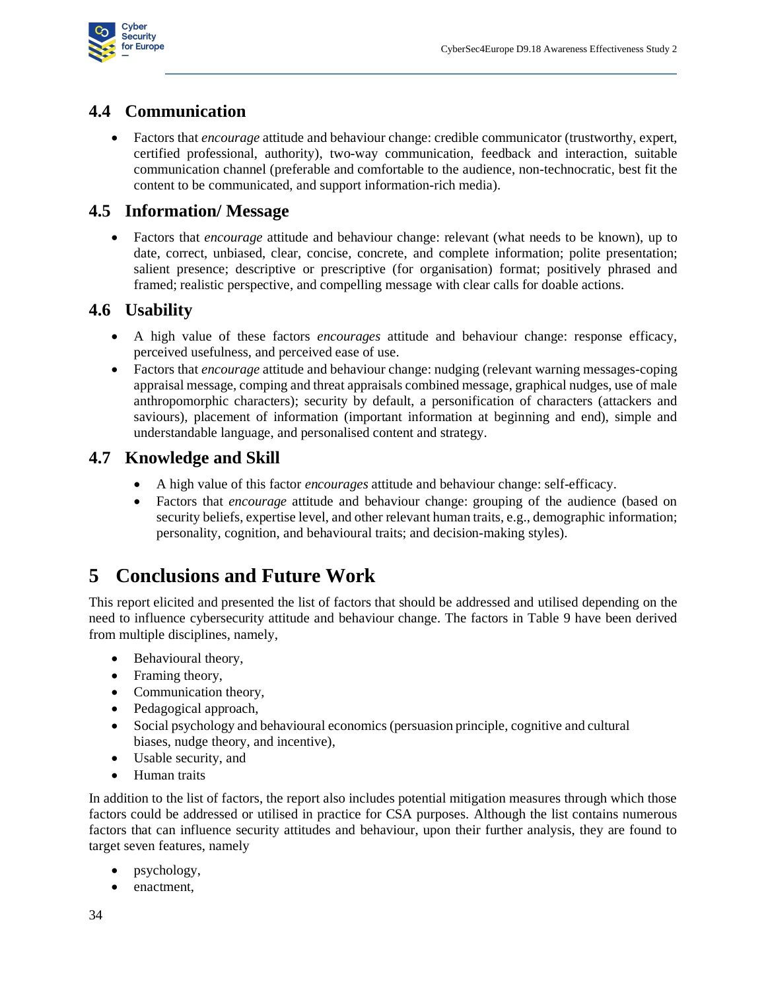

#### **4.4 Communication**

• Factors that *encourage* attitude and behaviour change: credible communicator (trustworthy, expert, certified professional, authority), two-way communication, feedback and interaction, suitable communication channel (preferable and comfortable to the audience, non-technocratic, best fit the content to be communicated, and support information-rich media).

#### <span id="page-41-0"></span>**4.5 Information/ Message**

• Factors that *encourage* attitude and behaviour change: relevant (what needs to be known), up to date, correct, unbiased, clear, concise, concrete, and complete information; polite presentation; salient presence; descriptive or prescriptive (for organisation) format; positively phrased and framed; realistic perspective, and compelling message with clear calls for doable actions.

#### <span id="page-41-1"></span>**4.6 Usability**

- A high value of these factors *encourages* attitude and behaviour change: response efficacy, perceived usefulness, and perceived ease of use.
- <span id="page-41-2"></span>• Factors that *encourage* attitude and behaviour change: nudging (relevant warning messages-coping appraisal message, comping and threat appraisals combined message, graphical nudges, use of male anthropomorphic characters); security by default, a personification of characters (attackers and saviours), placement of information (important information at beginning and end), simple and understandable language, and personalised content and strategy.

#### **4.7 Knowledge and Skill**

- A high value of this factor *encourages* attitude and behaviour change: self-efficacy.
- <span id="page-41-3"></span>• Factors that *encourage* attitude and behaviour change: grouping of the audience (based on security beliefs, expertise level, and other relevant human traits, e.g., demographic information; personality, cognition, and behavioural traits; and decision-making styles).

# **5 Conclusions and Future Work**

<span id="page-41-4"></span>This report elicited and presented the list of factors that should be addressed and utilised depending on the need to influence cybersecurity attitude and behaviour change. The factors in [Table 9](#page-37-2) have been derived from multiple disciplines, namely,

- Behavioural theory,
- Framing theory,
- Communication theory,
- Pedagogical approach,
- Social psychology and behavioural economics (persuasion principle, cognitive and cultural biases, nudge theory, and incentive),
- Usable security, and
- Human traits

In addition to the list of factors, the report also includes potential mitigation measures through which those factors could be addressed or utilised in practice for CSA purposes. Although the list contains numerous factors that can influence security attitudes and behaviour, upon their further analysis, they are found to target seven features, namely

- psychology,
- enactment,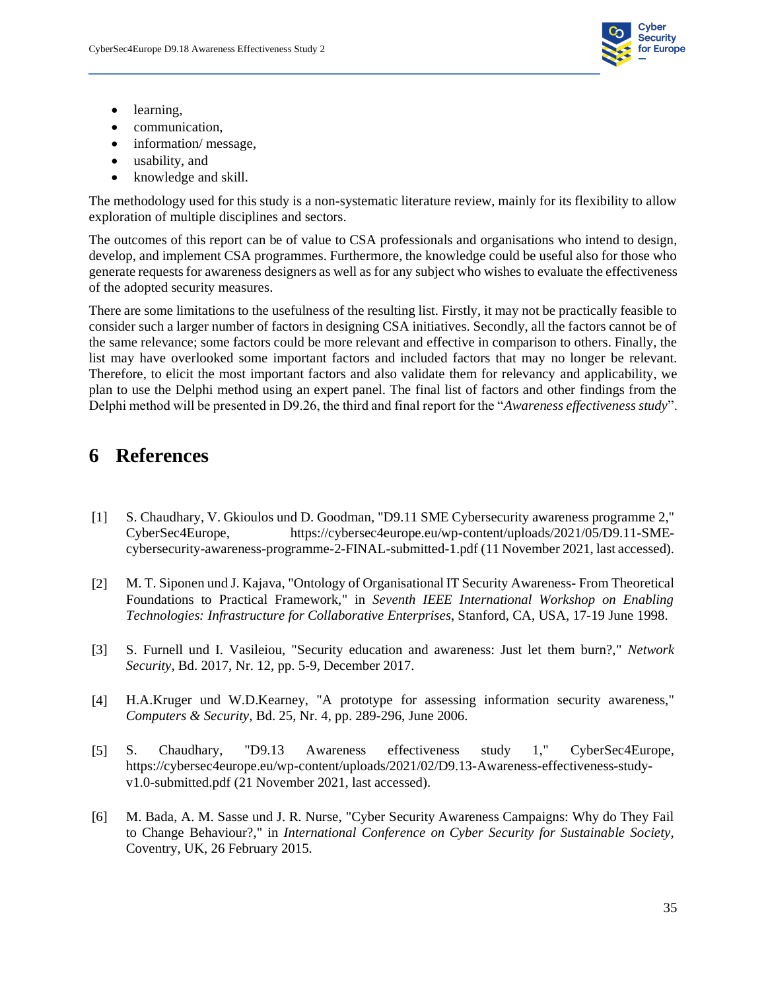

- learning,
- communication,
- information/message,
- usability, and
- knowledge and skill.

The methodology used for this study is a non-systematic literature review, mainly for its flexibility to allow exploration of multiple disciplines and sectors.

The outcomes of this report can be of value to CSA professionals and organisations who intend to design, develop, and implement CSA programmes. Furthermore, the knowledge could be useful also for those who generate requests for awareness designers as well as for any subject who wishes to evaluate the effectiveness of the adopted security measures.

There are some limitations to the usefulness of the resulting list. Firstly, it may not be practically feasible to consider such a larger number of factors in designing CSA initiatives. Secondly, all the factors cannot be of the same relevance; some factors could be more relevant and effective in comparison to others. Finally, the list may have overlooked some important factors and included factors that may no longer be relevant. Therefore, to elicit the most important factors and also validate them for relevancy and applicability, we plan to use the Delphi method using an expert panel. The final list of factors and other findings from the Delphi method will be presented in D9.26, the third and final report for the "*Awareness effectiveness study*".

### **6 References**

- <span id="page-42-0"></span>[1] S. Chaudhary, V. Gkioulos und D. Goodman, "D9.11 SME Cybersecurity awareness programme 2," CyberSec4Europe, https://cybersec4europe.eu/wp-content/uploads/2021/05/D9.11-SMEcybersecurity-awareness-programme-2-FINAL-submitted-1.pdf (11 November 2021, last accessed).
- [2] M. T. Siponen und J. Kajava, "Ontology of Organisational IT Security Awareness- From Theoretical Foundations to Practical Framework," in *Seventh IEEE International Workshop on Enabling Technologies: Infrastructure for Collaborative Enterprises*, Stanford, CA, USA, 17-19 June 1998.
- [3] S. Furnell und I. Vasileiou, "Security education and awareness: Just let them burn?," *Network Security,* Bd. 2017, Nr. 12, pp. 5-9, December 2017.
- [4] H.A.Kruger und W.D.Kearney, "A prototype for assessing information security awareness," *Computers & Security,* Bd. 25, Nr. 4, pp. 289-296, June 2006.
- [5] S. Chaudhary, "D9.13 Awareness effectiveness study 1," CyberSec4Europe, https://cybersec4europe.eu/wp-content/uploads/2021/02/D9.13-Awareness-effectiveness-studyv1.0-submitted.pdf (21 November 2021, last accessed).
- [6] M. Bada, A. M. Sasse und J. R. Nurse, "Cyber Security Awareness Campaigns: Why do They Fail to Change Behaviour?," in *International Conference on Cyber Security for Sustainable Society*, Coventry, UK, 26 February 2015.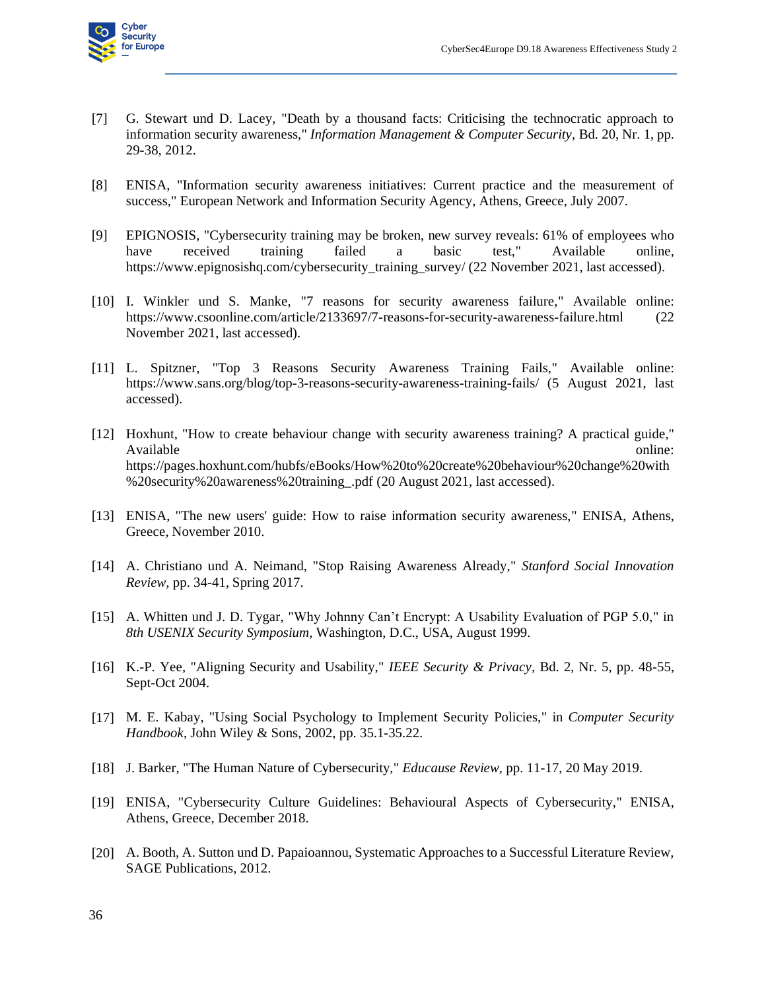

- [7] G. Stewart und D. Lacey, "Death by a thousand facts: Criticising the technocratic approach to information security awareness," *Information Management & Computer Security,* Bd. 20, Nr. 1, pp. 29-38, 2012.
- [8] ENISA, "Information security awareness initiatives: Current practice and the measurement of success," European Network and Information Security Agency, Athens, Greece, July 2007.
- [9] EPIGNOSIS, "Cybersecurity training may be broken, new survey reveals: 61% of employees who have received training failed a basic test," Available online, https://www.epignosishq.com/cybersecurity\_training\_survey/ (22 November 2021, last accessed).
- [10] I. Winkler und S. Manke, "7 reasons for security awareness failure," Available online: https://www.csoonline.com/article/2133697/7-reasons-for-security-awareness-failure.html (22 November 2021, last accessed).
- [11] L. Spitzner, "Top 3 Reasons Security Awareness Training Fails," Available online: https://www.sans.org/blog/top-3-reasons-security-awareness-training-fails/ (5 August 2021, last accessed).
- [12] Hoxhunt, "How to create behaviour change with security awareness training? A practical guide," Available online: https://pages.hoxhunt.com/hubfs/eBooks/How%20to%20create%20behaviour%20change%20with %20security%20awareness%20training\_.pdf (20 August 2021, last accessed).
- [13] ENISA, "The new users' guide: How to raise information security awareness," ENISA, Athens, Greece, November 2010.
- [14] A. Christiano und A. Neimand, "Stop Raising Awareness Already," *Stanford Social Innovation Review,* pp. 34-41, Spring 2017.
- [15] A. Whitten und J. D. Tygar, "Why Johnny Can't Encrypt: A Usability Evaluation of PGP 5.0," in *8th USENIX Security Symposium*, Washington, D.C., USA, August 1999.
- [16] K.-P. Yee, "Aligning Security and Usability," *IEEE Security & Privacy,* Bd. 2, Nr. 5, pp. 48-55, Sept-Oct 2004.
- [17] M. E. Kabay, "Using Social Psychology to Implement Security Policies," in *Computer Security Handbook*, John Wiley & Sons, 2002, pp. 35.1-35.22.
- [18] J. Barker, "The Human Nature of Cybersecurity," *Educause Review,* pp. 11-17, 20 May 2019.
- [19] ENISA, "Cybersecurity Culture Guidelines: Behavioural Aspects of Cybersecurity," ENISA, Athens, Greece, December 2018.
- [20] A. Booth, A. Sutton und D. Papaioannou, Systematic Approaches to a Successful Literature Review, SAGE Publications, 2012.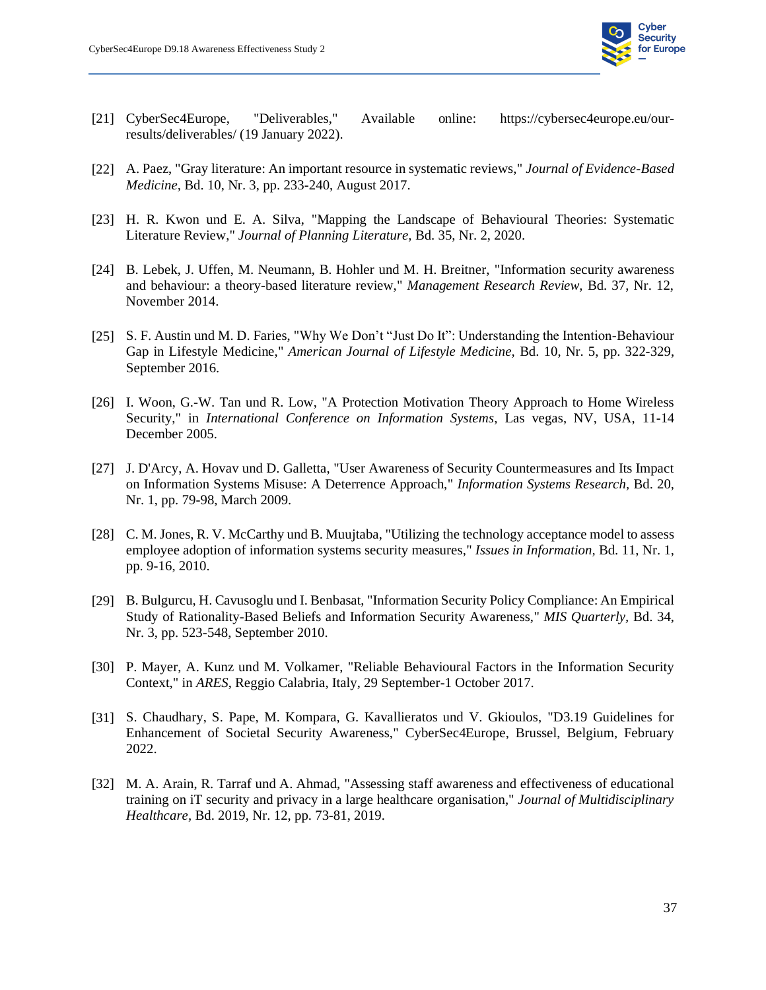

- [21] CyberSec4Europe, "Deliverables," Available online: https://cybersec4europe.eu/ourresults/deliverables/ (19 January 2022).
- [22] A. Paez, "Gray literature: An important resource in systematic reviews," *Journal of Evidence-Based Medicine,* Bd. 10, Nr. 3, pp. 233-240, August 2017.
- [23] H. R. Kwon und E. A. Silva, "Mapping the Landscape of Behavioural Theories: Systematic Literature Review," *Journal of Planning Literature,* Bd. 35, Nr. 2, 2020.
- [24] B. Lebek, J. Uffen, M. Neumann, B. Hohler und M. H. Breitner, "Information security awareness and behaviour: a theory-based literature review," *Management Research Review,* Bd. 37, Nr. 12, November 2014.
- [25] S. F. Austin und M. D. Faries, "Why We Don't "Just Do It": Understanding the Intention-Behaviour Gap in Lifestyle Medicine," *American Journal of Lifestyle Medicine,* Bd. 10, Nr. 5, pp. 322-329, September 2016.
- [26] I. Woon, G.-W. Tan und R. Low, "A Protection Motivation Theory Approach to Home Wireless Security," in *International Conference on Information Systems*, Las vegas, NV, USA, 11-14 December 2005.
- [27] J. D'Arcy, A. Hovav und D. Galletta, "User Awareness of Security Countermeasures and Its Impact on Information Systems Misuse: A Deterrence Approach," *Information Systems Research,* Bd. 20, Nr. 1, pp. 79-98, March 2009.
- [28] C. M. Jones, R. V. McCarthy und B. Muujtaba, "Utilizing the technology acceptance model to assess employee adoption of information systems security measures," *Issues in Information,* Bd. 11, Nr. 1, pp. 9-16, 2010.
- [29] B. Bulgurcu, H. Cavusoglu und I. Benbasat, "Information Security Policy Compliance: An Empirical Study of Rationality-Based Beliefs and Information Security Awareness," *MIS Quarterly,* Bd. 34, Nr. 3, pp. 523-548, September 2010.
- [30] P. Mayer, A. Kunz und M. Volkamer, "Reliable Behavioural Factors in the Information Security Context," in *ARES*, Reggio Calabria, Italy, 29 September-1 October 2017.
- [31] S. Chaudhary, S. Pape, M. Kompara, G. Kavallieratos und V. Gkioulos, "D3.19 Guidelines for Enhancement of Societal Security Awareness," CyberSec4Europe, Brussel, Belgium, February 2022.
- [32] M. A. Arain, R. Tarraf und A. Ahmad, "Assessing staff awareness and effectiveness of educational training on iT security and privacy in a large healthcare organisation," *Journal of Multidisciplinary Healthcare,* Bd. 2019, Nr. 12, pp. 73-81, 2019.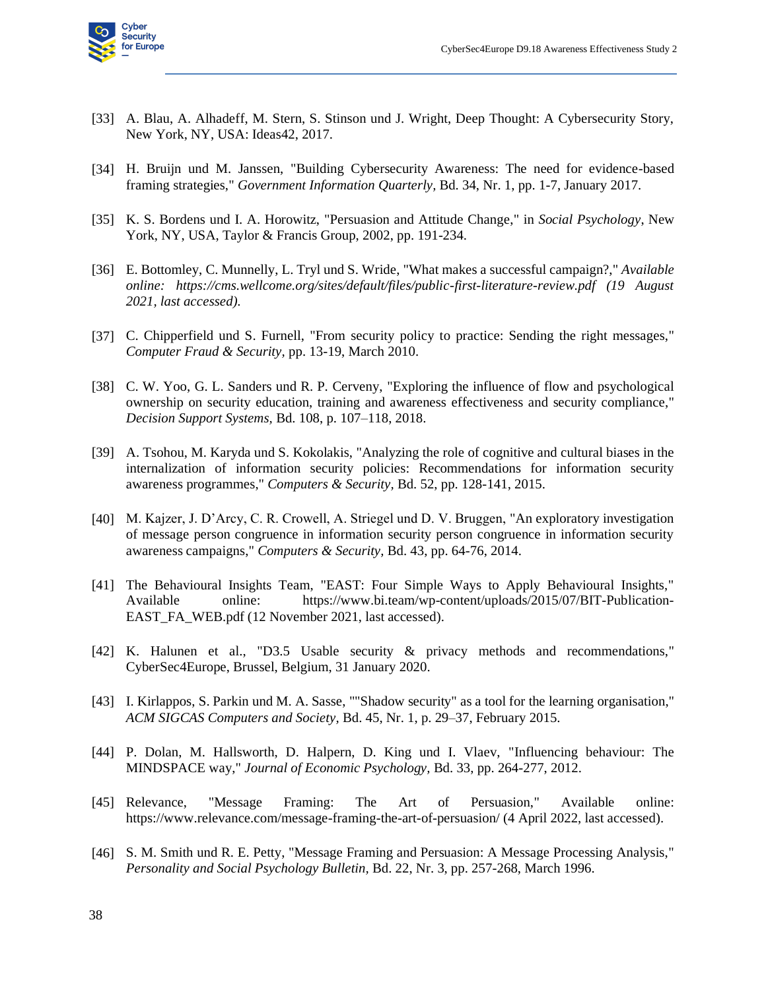

- [33] A. Blau, A. Alhadeff, M. Stern, S. Stinson und J. Wright, Deep Thought: A Cybersecurity Story, New York, NY, USA: Ideas42, 2017.
- [34] H. Bruijn und M. Janssen, "Building Cybersecurity Awareness: The need for evidence-based framing strategies," *Government Information Quarterly,* Bd. 34, Nr. 1, pp. 1-7, January 2017.
- [35] K. S. Bordens und I. A. Horowitz, "Persuasion and Attitude Change," in *Social Psychology*, New York, NY, USA, Taylor & Francis Group, 2002, pp. 191-234.
- [36] E. Bottomley, C. Munnelly, L. Tryl und S. Wride, "What makes a successful campaign?," *Available online: https://cms.wellcome.org/sites/default/files/public-first-literature-review.pdf (19 August 2021, last accessed).*
- [37] C. Chipperfield und S. Furnell, "From security policy to practice: Sending the right messages," *Computer Fraud & Security,* pp. 13-19, March 2010.
- [38] C. W. Yoo, G. L. Sanders und R. P. Cerveny, "Exploring the influence of flow and psychological ownership on security education, training and awareness effectiveness and security compliance," *Decision Support Systems,* Bd. 108, p. 107–118, 2018.
- [39] A. Tsohou, M. Karyda und S. Kokolakis, "Analyzing the role of cognitive and cultural biases in the internalization of information security policies: Recommendations for information security awareness programmes," *Computers & Security,* Bd. 52, pp. 128-141, 2015.
- [40] M. Kajzer, J. D'Arcy, C. R. Crowell, A. Striegel und D. V. Bruggen, "An exploratory investigation of message person congruence in information security person congruence in information security awareness campaigns," *Computers & Security,* Bd. 43, pp. 64-76, 2014.
- [41] The Behavioural Insights Team, "EAST: Four Simple Ways to Apply Behavioural Insights," Available online: https://www.bi.team/wp-content/uploads/2015/07/BIT-Publication-EAST\_FA\_WEB.pdf (12 November 2021, last accessed).
- [42] K. Halunen et al., "D3.5 Usable security & privacy methods and recommendations," CyberSec4Europe, Brussel, Belgium, 31 January 2020.
- [43] I. Kirlappos, S. Parkin und M. A. Sasse, ""Shadow security" as a tool for the learning organisation," *ACM SIGCAS Computers and Society,* Bd. 45, Nr. 1, p. 29–37, February 2015.
- [44] P. Dolan, M. Hallsworth, D. Halpern, D. King und I. Vlaev, "Influencing behaviour: The MINDSPACE way," *Journal of Economic Psychology,* Bd. 33, pp. 264-277, 2012.
- [45] Relevance, "Message Framing: The Art of Persuasion," Available online: https://www.relevance.com/message-framing-the-art-of-persuasion/ (4 April 2022, last accessed).
- [46] S. M. Smith und R. E. Petty, "Message Framing and Persuasion: A Message Processing Analysis," *Personality and Social Psychology Bulletin,* Bd. 22, Nr. 3, pp. 257-268, March 1996.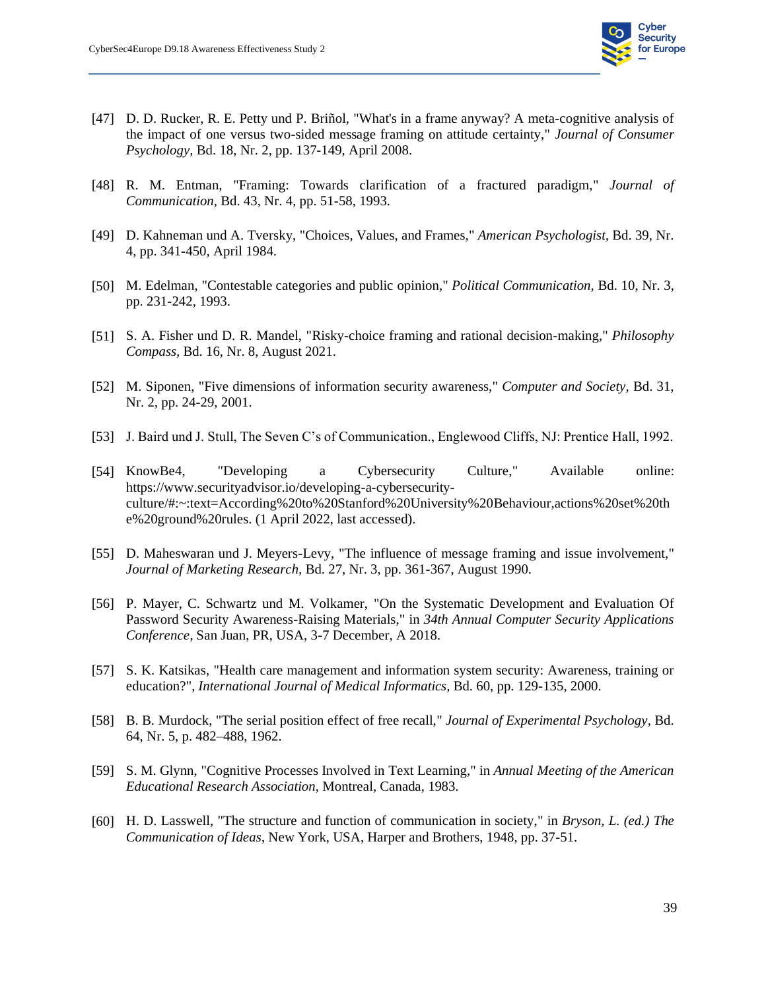

- [47] D. D. Rucker, R. E. Petty und P. Briñol, "What's in a frame anyway? A meta-cognitive analysis of the impact of one versus two-sided message framing on attitude certainty," *Journal of Consumer Psychology,* Bd. 18, Nr. 2, pp. 137-149, April 2008.
- [48] R. M. Entman, "Framing: Towards clarification of a fractured paradigm," *Journal of Communication,* Bd. 43, Nr. 4, pp. 51-58, 1993.
- [49] D. Kahneman und A. Tversky, "Choices, Values, and Frames," *American Psychologist,* Bd. 39, Nr. 4, pp. 341-450, April 1984.
- [50] M. Edelman, "Contestable categories and public opinion," *Political Communication,* Bd. 10, Nr. 3, pp. 231-242, 1993.
- [51] S. A. Fisher und D. R. Mandel, "Risky-choice framing and rational decision-making," *Philosophy Compass,* Bd. 16, Nr. 8, August 2021.
- [52] M. Siponen, "Five dimensions of information security awareness," *Computer and Society,* Bd. 31, Nr. 2, pp. 24-29, 2001.
- [53] J. Baird und J. Stull, The Seven C's of Communication., Englewood Cliffs, NJ: Prentice Hall, 1992.
- [54] KnowBe4, "Developing a Cybersecurity Culture," Available online: https://www.securityadvisor.io/developing-a-cybersecurityculture/#:~:text=According%20to%20Stanford%20University%20Behaviour,actions%20set%20th e%20ground%20rules. (1 April 2022, last accessed).
- [55] D. Maheswaran und J. Meyers-Levy, "The influence of message framing and issue involvement," *Journal of Marketing Research,* Bd. 27, Nr. 3, pp. 361-367, August 1990.
- [56] P. Mayer, C. Schwartz und M. Volkamer, "On the Systematic Development and Evaluation Of Password Security Awareness-Raising Materials," in *34th Annual Computer Security Applications Conference*, San Juan, PR, USA, 3-7 December, A 2018.
- [57] S. K. Katsikas, "Health care management and information system security: Awareness, training or education?", *International Journal of Medical Informatics,* Bd. 60, pp. 129-135, 2000.
- [58] B. B. Murdock, "The serial position effect of free recall," *Journal of Experimental Psychology,* Bd. 64, Nr. 5, p. 482–488, 1962.
- [59] S. M. Glynn, "Cognitive Processes Involved in Text Learning," in *Annual Meeting of the American Educational Research Association*, Montreal, Canada, 1983.
- [60] H. D. Lasswell, "The structure and function of communication in society," in *Bryson, L. (ed.) The Communication of Ideas*, New York, USA, Harper and Brothers, 1948, pp. 37-51.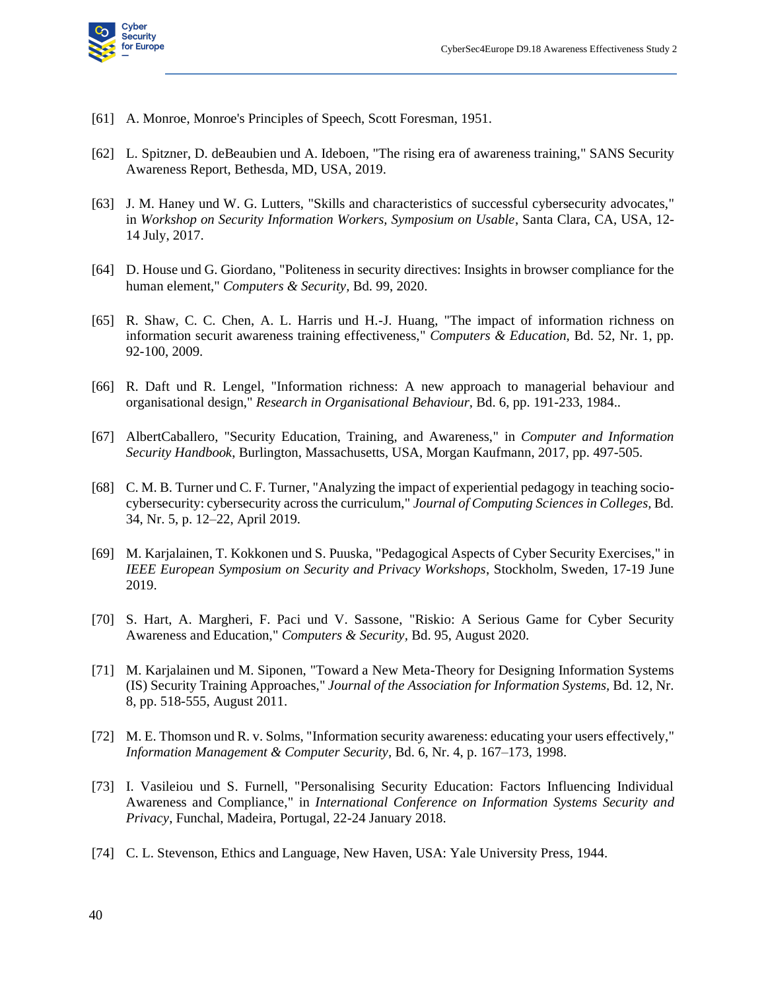

- [61] A. Monroe, Monroe's Principles of Speech, Scott Foresman, 1951.
- [62] L. Spitzner, D. deBeaubien und A. Ideboen, "The rising era of awareness training," SANS Security Awareness Report, Bethesda, MD, USA, 2019.
- [63] J. M. Haney und W. G. Lutters, "Skills and characteristics of successful cybersecurity advocates," in *Workshop on Security Information Workers, Symposium on Usable*, Santa Clara, CA, USA, 12- 14 July, 2017.
- [64] D. House und G. Giordano, "Politeness in security directives: Insights in browser compliance for the human element," *Computers & Security,* Bd. 99, 2020.
- [65] R. Shaw, C. C. Chen, A. L. Harris und H.-J. Huang, "The impact of information richness on information securit awareness training effectiveness," *Computers & Education,* Bd. 52, Nr. 1, pp. 92-100, 2009.
- [66] R. Daft und R. Lengel, "Information richness: A new approach to managerial behaviour and organisational design," *Research in Organisational Behaviour,* Bd. 6, pp. 191-233, 1984..
- [67] AlbertCaballero, "Security Education, Training, and Awareness," in *Computer and Information Security Handbook*, Burlington, Massachusetts, USA, Morgan Kaufmann, 2017, pp. 497-505.
- [68] C. M. B. Turner und C. F. Turner, "Analyzing the impact of experiential pedagogy in teaching sociocybersecurity: cybersecurity across the curriculum," *Journal of Computing Sciences in Colleges,* Bd. 34, Nr. 5, p. 12–22, April 2019.
- [69] M. Karjalainen, T. Kokkonen und S. Puuska, "Pedagogical Aspects of Cyber Security Exercises," in *IEEE European Symposium on Security and Privacy Workshops*, Stockholm, Sweden, 17-19 June 2019.
- [70] S. Hart, A. Margheri, F. Paci und V. Sassone, "Riskio: A Serious Game for Cyber Security Awareness and Education," *Computers & Security,* Bd. 95, August 2020.
- [71] M. Karjalainen und M. Siponen, "Toward a New Meta-Theory for Designing Information Systems (IS) Security Training Approaches," *Journal of the Association for Information Systems,* Bd. 12, Nr. 8, pp. 518-555, August 2011.
- [72] M. E. Thomson und R. v. Solms, "Information security awareness: educating your users effectively," *Information Management & Computer Security,* Bd. 6, Nr. 4, p. 167–173, 1998.
- [73] I. Vasileiou und S. Furnell, "Personalising Security Education: Factors Influencing Individual Awareness and Compliance," in *International Conference on Information Systems Security and Privacy*, Funchal, Madeira, Portugal, 22-24 January 2018.
- [74] C. L. Stevenson, Ethics and Language, New Haven, USA: Yale University Press, 1944.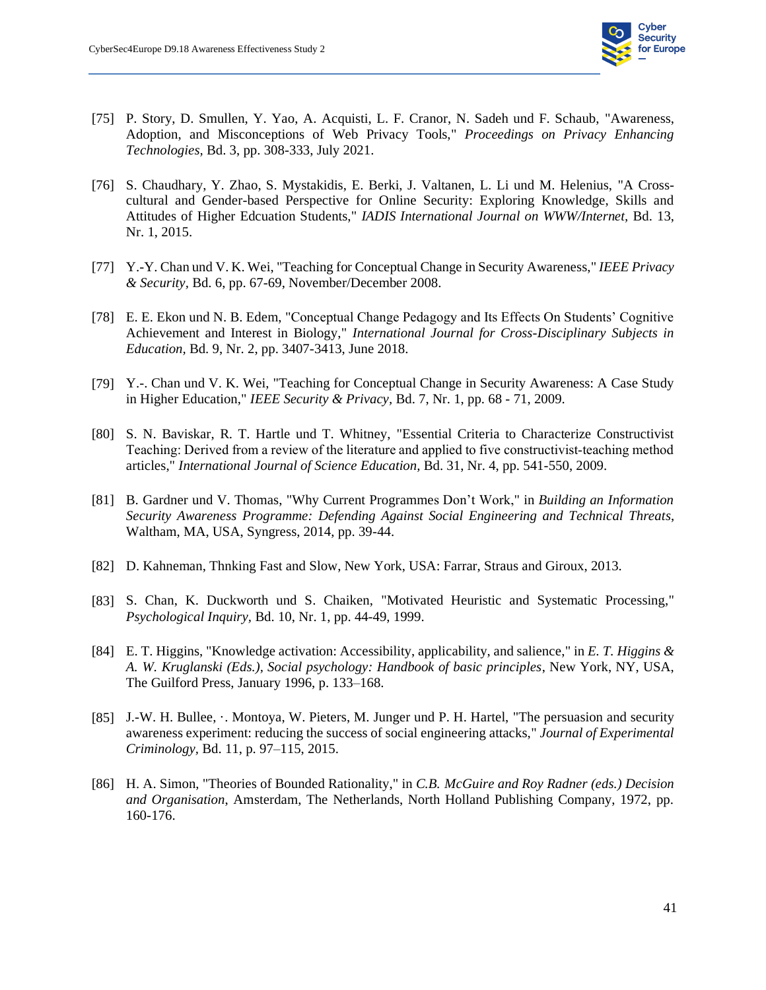

- [75] P. Story, D. Smullen, Y. Yao, A. Acquisti, L. F. Cranor, N. Sadeh und F. Schaub, "Awareness, Adoption, and Misconceptions of Web Privacy Tools," *Proceedings on Privacy Enhancing Technologies,* Bd. 3, pp. 308-333, July 2021.
- [76] S. Chaudhary, Y. Zhao, S. Mystakidis, E. Berki, J. Valtanen, L. Li und M. Helenius, "A Crosscultural and Gender-based Perspective for Online Security: Exploring Knowledge, Skills and Attitudes of Higher Edcuation Students," *IADIS International Journal on WWW/Internet,* Bd. 13, Nr. 1, 2015.
- [77] Y.-Y. Chan und V. K. Wei, "Teaching for Conceptual Change in Security Awareness," *IEEE Privacy & Security,* Bd. 6, pp. 67-69, November/December 2008.
- [78] E. E. Ekon und N. B. Edem, "Conceptual Change Pedagogy and Its Effects On Students' Cognitive Achievement and Interest in Biology," *International Journal for Cross-Disciplinary Subjects in Education,* Bd. 9, Nr. 2, pp. 3407-3413, June 2018.
- [79] Y.-. Chan und V. K. Wei, "Teaching for Conceptual Change in Security Awareness: A Case Study in Higher Education," *IEEE Security & Privacy,* Bd. 7, Nr. 1, pp. 68 - 71, 2009.
- [80] S. N. Baviskar, R. T. Hartle und T. Whitney, "Essential Criteria to Characterize Constructivist Teaching: Derived from a review of the literature and applied to five constructivist-teaching method articles," *International Journal of Science Education,* Bd. 31, Nr. 4, pp. 541-550, 2009.
- [81] B. Gardner und V. Thomas, "Why Current Programmes Don't Work," in *Building an Information Security Awareness Programme: Defending Against Social Engineering and Technical Threats*, Waltham, MA, USA, Syngress, 2014, pp. 39-44.
- [82] D. Kahneman, Thnking Fast and Slow, New York, USA: Farrar, Straus and Giroux, 2013.
- [83] S. Chan, K. Duckworth und S. Chaiken, "Motivated Heuristic and Systematic Processing," *Psychological Inquiry,* Bd. 10, Nr. 1, pp. 44-49, 1999.
- [84] E. T. Higgins, "Knowledge activation: Accessibility, applicability, and salience," in *E. T. Higgins & A. W. Kruglanski (Eds.), Social psychology: Handbook of basic principles*, New York, NY, USA, The Guilford Press, January 1996, p. 133–168.
- [85] J.-W. H. Bullee, ·. Montoya, W. Pieters, M. Junger und P. H. Hartel, "The persuasion and security awareness experiment: reducing the success of social engineering attacks," *Journal of Experimental Criminology,* Bd. 11, p. 97–115, 2015.
- [86] H. A. Simon, "Theories of Bounded Rationality," in *C.B. McGuire and Roy Radner (eds.) Decision and Organisation*, Amsterdam, The Netherlands, North Holland Publishing Company, 1972, pp. 160-176.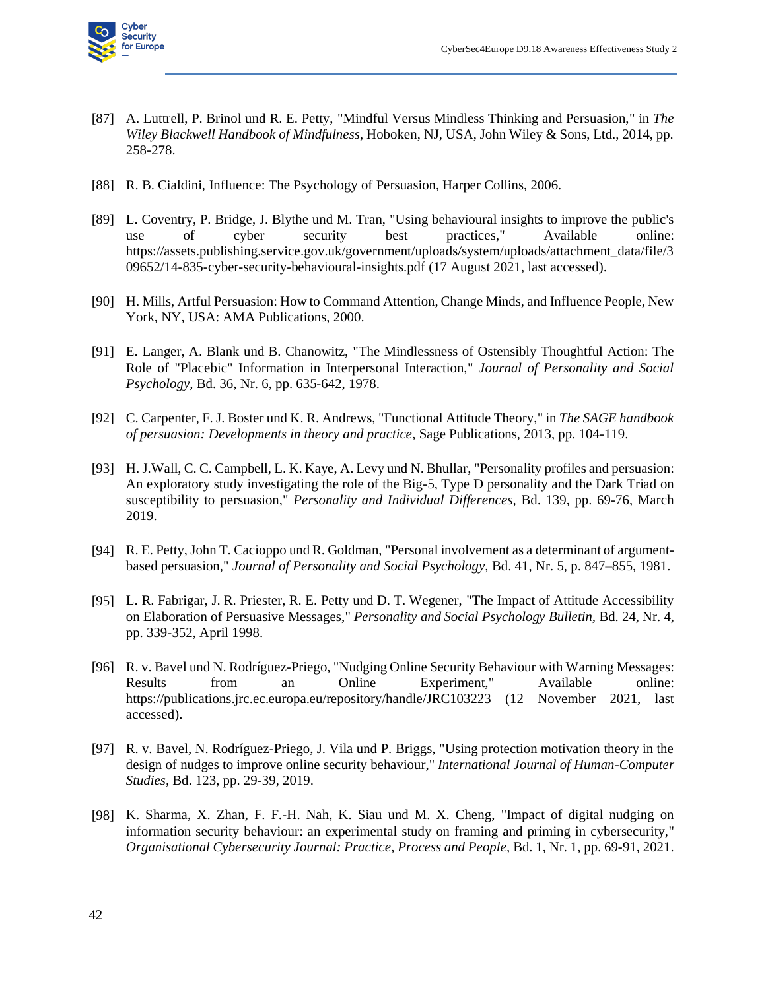

- [87] A. Luttrell, P. Brinol und R. E. Petty, "Mindful Versus Mindless Thinking and Persuasion," in *The Wiley Blackwell Handbook of Mindfulness*, Hoboken, NJ, USA, John Wiley & Sons, Ltd., 2014, pp. 258-278.
- [88] R. B. Cialdini, Influence: The Psychology of Persuasion, Harper Collins, 2006.
- [89] L. Coventry, P. Bridge, J. Blythe und M. Tran, "Using behavioural insights to improve the public's use of cyber security best practices," Available online: https://assets.publishing.service.gov.uk/government/uploads/system/uploads/attachment\_data/file/3 09652/14-835-cyber-security-behavioural-insights.pdf (17 August 2021, last accessed).
- [90] H. Mills, Artful Persuasion: How to Command Attention, Change Minds, and Influence People, New York, NY, USA: AMA Publications, 2000.
- [91] E. Langer, A. Blank und B. Chanowitz, "The Mindlessness of Ostensibly Thoughtful Action: The Role of "Placebic" Information in Interpersonal Interaction," *Journal of Personality and Social Psychology,* Bd. 36, Nr. 6, pp. 635-642, 1978.
- [92] C. Carpenter, F. J. Boster und K. R. Andrews, "Functional Attitude Theory," in *The SAGE handbook of persuasion: Developments in theory and practice*, Sage Publications, 2013, pp. 104-119.
- [93] H. J.Wall, C. C. Campbell, L. K. Kaye, A. Levy und N. Bhullar, "Personality profiles and persuasion: An exploratory study investigating the role of the Big-5, Type D personality and the Dark Triad on susceptibility to persuasion," *Personality and Individual Differences,* Bd. 139, pp. 69-76, March 2019.
- [94] R. E. Petty, John T. Cacioppo und R. Goldman, "Personal involvement as a determinant of argumentbased persuasion," *Journal of Personality and Social Psychology,* Bd. 41, Nr. 5, p. 847–855, 1981.
- [95] L. R. Fabrigar, J. R. Priester, R. E. Petty und D. T. Wegener, "The Impact of Attitude Accessibility on Elaboration of Persuasive Messages," *Personality and Social Psychology Bulletin,* Bd. 24, Nr. 4, pp. 339-352, April 1998.
- [96] R. v. Bavel und N. Rodríguez-Priego, "Nudging Online Security Behaviour with Warning Messages: Results from an Online Experiment," Available online: https://publications.jrc.ec.europa.eu/repository/handle/JRC103223 (12 November 2021, last accessed).
- [97] R. v. Bavel, N. Rodríguez-Priego, J. Vila und P. Briggs, "Using protection motivation theory in the design of nudges to improve online security behaviour," *International Journal of Human-Computer Studies,* Bd. 123, pp. 29-39, 2019.
- [98] K. Sharma, X. Zhan, F. F.-H. Nah, K. Siau und M. X. Cheng, "Impact of digital nudging on information security behaviour: an experimental study on framing and priming in cybersecurity," *Organisational Cybersecurity Journal: Practice, Process and People,* Bd. 1, Nr. 1, pp. 69-91, 2021.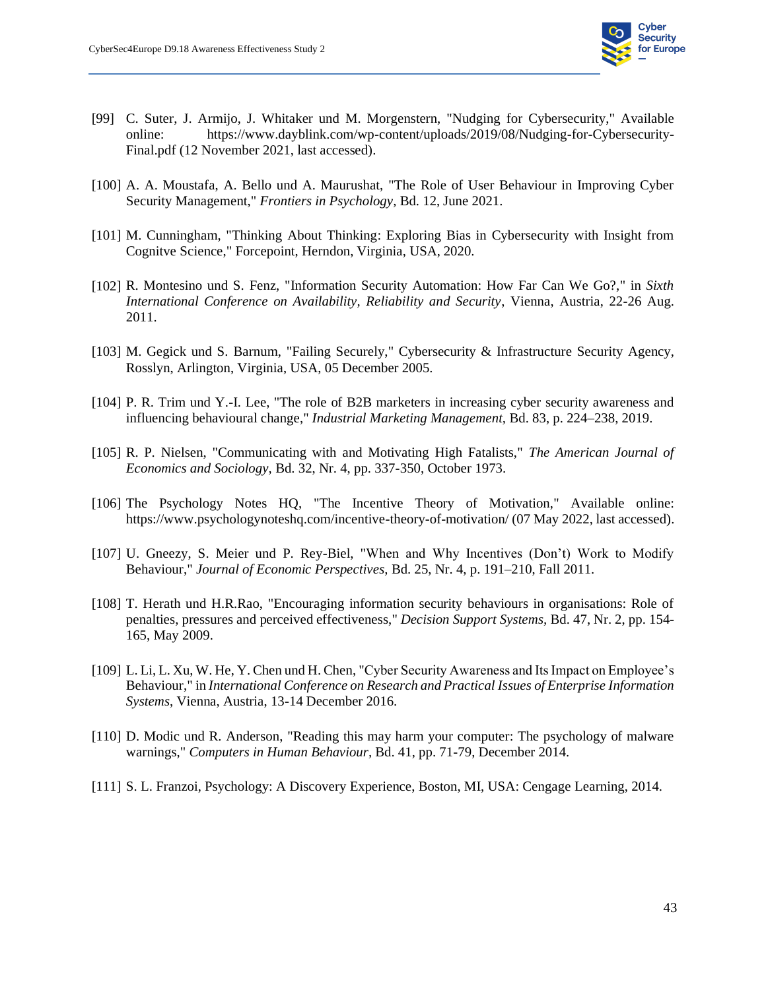

- [99] C. Suter, J. Armijo, J. Whitaker und M. Morgenstern, "Nudging for Cybersecurity," Available online: https://www.dayblink.com/wp-content/uploads/2019/08/Nudging-for-Cybersecurity-Final.pdf (12 November 2021, last accessed).
- [100] A. A. Moustafa, A. Bello und A. Maurushat, "The Role of User Behaviour in Improving Cyber Security Management," *Frontiers in Psychology,* Bd. 12, June 2021.
- [101] M. Cunningham, "Thinking About Thinking: Exploring Bias in Cybersecurity with Insight from Cognitve Science," Forcepoint, Herndon, Virginia, USA, 2020.
- [102] R. Montesino und S. Fenz, "Information Security Automation: How Far Can We Go?," in *Sixth International Conference on Availability, Reliability and Security*, Vienna, Austria, 22-26 Aug. 2011.
- [103] M. Gegick und S. Barnum, "Failing Securely," Cybersecurity & Infrastructure Security Agency, Rosslyn, Arlington, Virginia, USA, 05 December 2005.
- [104] P. R. Trim und Y.-I. Lee, "The role of B2B marketers in increasing cyber security awareness and influencing behavioural change," *Industrial Marketing Management,* Bd. 83, p. 224–238, 2019.
- [105] R. P. Nielsen, "Communicating with and Motivating High Fatalists," *The American Journal of Economics and Sociology,* Bd. 32, Nr. 4, pp. 337-350, October 1973.
- [106] The Psychology Notes HQ, "The Incentive Theory of Motivation," Available online: https://www.psychologynoteshq.com/incentive-theory-of-motivation/ (07 May 2022, last accessed).
- [107] U. Gneezy, S. Meier und P. Rey-Biel, "When and Why Incentives (Don't) Work to Modify Behaviour," *Journal of Economic Perspectives,* Bd. 25, Nr. 4, p. 191–210, Fall 2011.
- [108] T. Herath und H.R.Rao, "Encouraging information security behaviours in organisations: Role of penalties, pressures and perceived effectiveness," *Decision Support Systems,* Bd. 47, Nr. 2, pp. 154- 165, May 2009.
- [109] L. Li, L. Xu, W. He, Y. Chen und H. Chen, "Cyber Security Awareness and Its Impact on Employee's Behaviour," in *International Conference on Research and Practical Issues of Enterprise Information Systems*, Vienna, Austria, 13-14 December 2016.
- [110] D. Modic und R. Anderson, "Reading this may harm your computer: The psychology of malware warnings," *Computers in Human Behaviour,* Bd. 41, pp. 71-79, December 2014.
- [111] S. L. Franzoi, Psychology: A Discovery Experience, Boston, MI, USA: Cengage Learning, 2014.